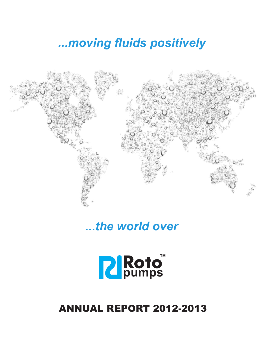*...moving fluids positively*



*...the world over*



## ANNUAL REPORT 2012-2013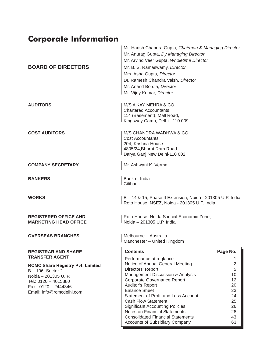## **Corporate Information**

| <b>BOARD OF DIRECTORS</b>                                                                                                                                            | Mr. Harish Chandra Gupta, Chairman & Managing Director<br>Mr. Anurag Gupta, Dy Managing Director<br>Mr. Arvind Veer Gupta, Wholetime Director<br>Mr. B. S. Ramaswamy, Director<br>Mrs. Asha Gupta, Director<br>Dr. Ramesh Chandra Vaish, Director<br>Mr. Anand Bordia, Director<br>Mr. Vijoy Kumar, Director                                     |                                                                           |
|----------------------------------------------------------------------------------------------------------------------------------------------------------------------|--------------------------------------------------------------------------------------------------------------------------------------------------------------------------------------------------------------------------------------------------------------------------------------------------------------------------------------------------|---------------------------------------------------------------------------|
| <b>AUDITORS</b>                                                                                                                                                      | M/S A KAY MEHRA & CO.<br><b>Chartered Accountants</b><br>114 (Basement), Mall Road,<br>Kingsway Camp, Delhi - 110 009                                                                                                                                                                                                                            |                                                                           |
| <b>COST AUDITORS</b>                                                                                                                                                 | M/S CHANDRA WADHWA & CO.<br><b>Cost Accountants</b><br>204, Krishna House<br>4805/24, Bharat Ram Road<br>Darya Ganj New Delhi-110 002                                                                                                                                                                                                            |                                                                           |
| <b>COMPANY SECRETARY</b>                                                                                                                                             | Mr. Ashwani K. Verma                                                                                                                                                                                                                                                                                                                             |                                                                           |
| <b>BANKERS</b>                                                                                                                                                       | Bank of India<br>Citibank                                                                                                                                                                                                                                                                                                                        |                                                                           |
| <b>WORKS</b>                                                                                                                                                         | B - 14 & 15, Phase II Extension, Noida - 201305 U.P. India<br>Roto House, NSEZ, Noida - 201305 U.P. India                                                                                                                                                                                                                                        |                                                                           |
| <b>REGISTERED OFFICE AND</b><br><b>MARKETING HEAD OFFICE</b>                                                                                                         | Roto House, Noida Special Economic Zone,<br>l Noida – 201305 U.P. India                                                                                                                                                                                                                                                                          |                                                                           |
| <b>OVERSEAS BRANCHES</b>                                                                                                                                             | Melbourne - Australia<br>Manchester - United Kingdom                                                                                                                                                                                                                                                                                             |                                                                           |
| <b>REGISTRAR AND SHARE</b><br><b>TRANSFER AGENT</b>                                                                                                                  | <b>Contents</b>                                                                                                                                                                                                                                                                                                                                  | Page No.                                                                  |
| <b>RCMC Share Registry Pvt. Limited</b><br>$B - 106$ , Sector 2<br>Noida - 201305 U. P.<br>Tel.: 0120 - 4015880<br>Fax.: 0120 - 2444346<br>Email: info@rcmcdelhi.com | Performance at a glance<br>Notice of Annual General Meeting<br>Directors' Report<br>Management Discussion & Analysis<br>Corporate Governance Report<br>Auditor's Report<br><b>Balance Sheet</b><br>Statement of Profit and Loss Account<br><b>Cash Flow Statement</b><br><b>Significant Accounting Policies</b><br>Notes on Financial Statements | 1.<br>$\overline{c}$<br>5<br>10<br>12<br>20<br>23<br>24<br>25<br>26<br>28 |

Consolidated Financial Statements 43 Accounts of Subsidiary Company 63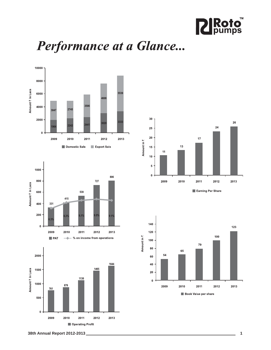

# Performance at a Glance...









Earning Per Share



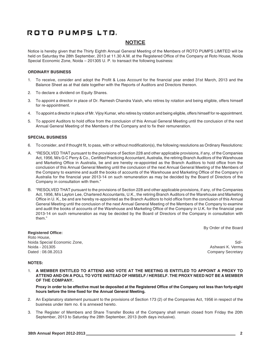## **NOTICE**

Notice is hereby given that the Thirty Eighth Annual General Meeting of the Members of ROTO PUMPS LIMITED will be held on Saturday the 28th September, 2013 at 11.30 A.M. at the Registered Office of the Company at Roto House, Noida Special Economic Zone, Noida – 201305 U. P. to transact the following business:

## **ORDINARY BUSINESS**

- 1. To receive, consider and adopt the Profit & Loss Account for the financial year ended 31st March, 2013 and the Balance Sheet as at that date together with the Reports of Auditors and Directors thereon.
- 2. To declare a dividend on Equity Shares.
- 3. To appoint a director in place of Dr. Ramesh Chandra Vaish, who retires by rotation and being eligible, offers himself for re-appointment.
- 4. To appoint a director in place of Mr. Vijoy Kumar, who retires by rotation and being eligible, offers himself for re-appointment.
- 5. To appoint Auditors to hold office from the conclusion of this Annual General Meeting until the conclusion of the next Annual General Meeting of the Members of the Company and to fix their remuneration.

### **SPECIAL BUSINESS**

- 6. To consider, and if thought fit, to pass, with or without modification(s), the following resolutions as Ordinary Resolutions:
- A. "RESOLVED THAT pursuant to the provisions of Section 228 and other applicable provisions, if any, of the Companies Act, 1956, M/s G C Perry & Co., Certified Practicing Accountant, Australia, the retiring Branch Auditors of the Warehouse and Marketing Office in Australia, be and are hereby re-appointed as the Branch Auditors to hold office from the conclusion of this Annual General Meeting until the conclusion of the next Annual General Meeting of the Members of the Company to examine and audit the books of accounts of the Warehouse and Marketing Office of the Company in Australia for the financial year 2013-14 on such remuneration as may be decided by the Board of Directors of the Company in consultation with them."
- B. "RESOLVED THAT pursuant to the provisions of Section 228 and other applicable provisions, if any, of the Companies Act, 1956, M/s Layton Lee, Chartered Accountants, U.K., the retiring Branch Auditors of the Warehouse and Marketing Office in U. K., be and are hereby re-appointed as the Branch Auditors to hold office from the conclusion of this Annual General Meeting until the conclusion of the next Annual General Meeting of the Members of the Company to examine and audit the books of accounts of the Warehouse and Marketing Office of the Company in U.K. for the financial year 2013-14 on such remuneration as may be decided by the Board of Directors of the Company in consultation with them."

By Order of the Board

**Registered Office:** Roto House, Noida Special Economic Zone, Solid Control of the Solid Control of the Solid Control of Solid Control of Solid Noida - 201305 Ashwani K. Verma Dated : 08.08.2013 Company Secretary

### **NOTES:**

1. **A MEMBER ENTITLED TO ATTEND AND VOTE AT THE MEETING IS ENTITLED TO APPOINT A PROXY TO ATTEND AND ON A POLL TO VOTE INSTEAD OF HIMSELF / HERSELF. THE PROXY NEED NOT BE A MEMBER OF THE COMPANY.**

**Proxy in order to be effective must be deposited at the Registered Office of the Company not less than forty-eight hours before the time fixed for the Annual General Meeting.**

- 2. An Explanatory statement pursuant to the provisions of Section 173 (2) of the Companies Act, 1956 in respect of the business under item no. 6 is annexed hereto.
- 3. The Register of Members and Share Transfer Books of the Company shall remain closed from Friday the 20th September, 2013 to Saturday the 28th September, 2013 (both days inclusive).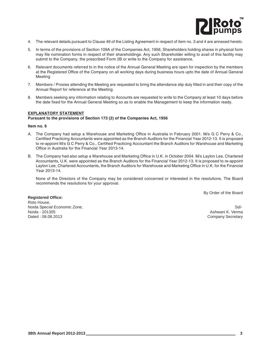

- 4. The relevant details pursuant to Clause 49 of the Listing Agreement in respect of item no. 3 and 4 are annexed hereto.
- 5. In terms of the provisions of Section 109A of the Companies Act, 1956, Shareholders holding shares in physical form may file nomination forms in respect of their shareholdings. Any such Shareholder willing to avail of this facility may submit to the Company, the prescribed Form 2B or write to the Company for assistance.
- 6. Relevant documents referred to in the notice of the Annual General Meeting are open for inspection by the members at the Registered Office of the Company on all working days during business hours upto the date of Annual General Meeting
- 7. Members / Proxies attending the Meeting are requested to bring the attendance slip duly filled in and their copy of the Annual Report for reference at the Meeting.
- 8. Members seeking any information relating to Accounts are requested to write to the Company at least 10 days before the date fixed for the Annual General Meeting so as to enable the Management to keep the information ready.

### **EXPLANATORY STATEMENT**

### **Pursuant to the provisions of Section 173 (2) of the Companies Act, 1956**

#### **Item no. 6**

- A. The Company had setup a Warehouse and Marketing Office in Australia in February 2001. M/s G C Perry & Co., Certified Practicing Accountants were appointed as the Branch Auditors for the Financial Year 2012-13. It is proposed to re-appoint M/s G C Perry & Co., Certified Practicing Accountant the Branch Auditors for Warehouse and Marketing Office in Australia for the Financial Year 2013-14.
- B. The Company had also setup a Warehouse and Marketing Office in U.K. in October 2004. M/s Layton Lee, Chartered Accountants, U.K. were appointed as the Branch Auditors for the Financial Year 2012-13. It is proposed to re-appoint Layton Lee, Chartered Accountants, the Branch Auditors for Warehouse and Marketing Office in U.K. for the Financial Year 2013-14.

None of the Directors of the Company may be considered concerned or interested in the resolutions. The Board recommends the resolutions for your approval.

By Order of the Board

**Registered Office:** Roto House, Noida Special Economic Zone, Sollary and School and School and School and School and School and School and School and School and School and School and School and School and School and School and School and School and Schoo Noida - 201305 Ashwani K. Verma

Company Secretary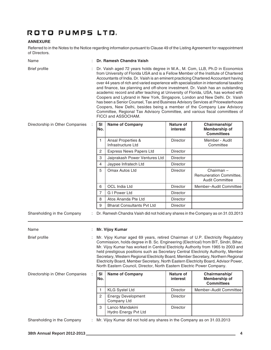## **ANNEXURE**

Referred to in the Notes to the Notice regarding information pursuant to Clause 49 of the Listing Agreement for reappointment of Directors.

| Name                                | Dr. Ramesh Chandra Vaish                                                                                                                                                                                                                                                                                                                                                                                                                                                                                                                                                                                                                                                                                                                                                                                                                                                              |                                                                                                                                                                                                                                                                                                                                                                                                                                                                                                                                                                                                           |                              |                                                                |
|-------------------------------------|---------------------------------------------------------------------------------------------------------------------------------------------------------------------------------------------------------------------------------------------------------------------------------------------------------------------------------------------------------------------------------------------------------------------------------------------------------------------------------------------------------------------------------------------------------------------------------------------------------------------------------------------------------------------------------------------------------------------------------------------------------------------------------------------------------------------------------------------------------------------------------------|-----------------------------------------------------------------------------------------------------------------------------------------------------------------------------------------------------------------------------------------------------------------------------------------------------------------------------------------------------------------------------------------------------------------------------------------------------------------------------------------------------------------------------------------------------------------------------------------------------------|------------------------------|----------------------------------------------------------------|
| <b>Brief profile</b>                | Dr. Vaish aged 72 years holds degree in M.A., M. Com, LLB, Ph.D in Economics<br>from University of Florida USA and is a Fellow Member of the Institute of Chartered<br>Accountants of India. Dr. Vaish is an eminent practicing Chartered Accountant having<br>over 44 years of rich and varied experience with specialization in international taxation<br>and finance, tax planning and off-shore investment. Dr. Vaish has an outstanding<br>academic record and after teaching at University of Florida, USA, has worked with<br>Coopers and Lybrand in New York, Singapore, London and New Delhi. Dr. Vaish<br>has been a Senior Counsel, Tax and Business Advisory Services at Pricewaterhouse<br>Coopers, New Delhi, besides being a member of the Company Law Advisory<br>Committee, Regional Tax Advisory Committee, and various fiscal committees of<br>FICCI and ASSOCHAM. |                                                                                                                                                                                                                                                                                                                                                                                                                                                                                                                                                                                                           |                              |                                                                |
| Directorship in Other Companies     | <b>SI</b><br>No.                                                                                                                                                                                                                                                                                                                                                                                                                                                                                                                                                                                                                                                                                                                                                                                                                                                                      | <b>Name of Company</b>                                                                                                                                                                                                                                                                                                                                                                                                                                                                                                                                                                                    | Nature of<br>interest        | Chairmanship/<br>Membership of<br><b>Committees</b>            |
|                                     | 1                                                                                                                                                                                                                                                                                                                                                                                                                                                                                                                                                                                                                                                                                                                                                                                                                                                                                     | Ansal Properties &<br>Infrastructure Ltd                                                                                                                                                                                                                                                                                                                                                                                                                                                                                                                                                                  | <b>Director</b>              | Member - Audit<br>Committee                                    |
|                                     | $\overline{2}$                                                                                                                                                                                                                                                                                                                                                                                                                                                                                                                                                                                                                                                                                                                                                                                                                                                                        | <b>Express News Papers Ltd</b>                                                                                                                                                                                                                                                                                                                                                                                                                                                                                                                                                                            | Director                     |                                                                |
|                                     | 3                                                                                                                                                                                                                                                                                                                                                                                                                                                                                                                                                                                                                                                                                                                                                                                                                                                                                     | Jaiprakash Power Ventures Ltd                                                                                                                                                                                                                                                                                                                                                                                                                                                                                                                                                                             | <b>Director</b>              |                                                                |
|                                     | 4                                                                                                                                                                                                                                                                                                                                                                                                                                                                                                                                                                                                                                                                                                                                                                                                                                                                                     | Jaypee Infratech Ltd                                                                                                                                                                                                                                                                                                                                                                                                                                                                                                                                                                                      | Director                     |                                                                |
|                                     | 5                                                                                                                                                                                                                                                                                                                                                                                                                                                                                                                                                                                                                                                                                                                                                                                                                                                                                     | Omax Autos Ltd                                                                                                                                                                                                                                                                                                                                                                                                                                                                                                                                                                                            | <b>Director</b>              | Chairman-<br>Remuneration Committee,<br><b>Audit Committee</b> |
|                                     | 6                                                                                                                                                                                                                                                                                                                                                                                                                                                                                                                                                                                                                                                                                                                                                                                                                                                                                     | OCL India Ltd                                                                                                                                                                                                                                                                                                                                                                                                                                                                                                                                                                                             | <b>Director</b>              | Member-Audit Committee                                         |
|                                     | 7                                                                                                                                                                                                                                                                                                                                                                                                                                                                                                                                                                                                                                                                                                                                                                                                                                                                                     | <b>GI Power Ltd</b>                                                                                                                                                                                                                                                                                                                                                                                                                                                                                                                                                                                       | <b>Director</b>              |                                                                |
|                                     | 8                                                                                                                                                                                                                                                                                                                                                                                                                                                                                                                                                                                                                                                                                                                                                                                                                                                                                     | Atos Ananda Pte Ltd                                                                                                                                                                                                                                                                                                                                                                                                                                                                                                                                                                                       | <b>Director</b>              |                                                                |
|                                     | 9                                                                                                                                                                                                                                                                                                                                                                                                                                                                                                                                                                                                                                                                                                                                                                                                                                                                                     | <b>Bharat Consultants Pvt Ltd</b>                                                                                                                                                                                                                                                                                                                                                                                                                                                                                                                                                                         | <b>Director</b>              |                                                                |
| Shareholding in the Company<br>Name |                                                                                                                                                                                                                                                                                                                                                                                                                                                                                                                                                                                                                                                                                                                                                                                                                                                                                       | : Dr. Ramesh Chandra Vaish did not hold any shares in the Company as on 31.03.2013<br>: Mr. Vijoy Kumar                                                                                                                                                                                                                                                                                                                                                                                                                                                                                                   |                              |                                                                |
| <b>Brief profile</b>                |                                                                                                                                                                                                                                                                                                                                                                                                                                                                                                                                                                                                                                                                                                                                                                                                                                                                                       | Mr. Vijoy Kumar aged 69 years, retired Chairman of U.P. Electricity Regulatory<br>Commission, holds degree in B. Sc. Engineering (Electrical) from BIT, Sindri, Bihar.<br>Mr. Vijoy Kumar has worked in Central Electricity Authority from 1965 to 2003 and<br>held prestigious positions such as Secretary Central Electricity Authority, Member<br>Secretary, Western Regional Electricity Board, Member Secretary, Northern Regional<br>Electricity Board, Member Secretary, North Eastern Electricity Board, Advisor Power,<br>North Eastern Council, Director, North Eastern Electric Power Company. |                              |                                                                |
| Directorship in Other Companies     | <b>SI</b><br>No.                                                                                                                                                                                                                                                                                                                                                                                                                                                                                                                                                                                                                                                                                                                                                                                                                                                                      | <b>Name of Company</b>                                                                                                                                                                                                                                                                                                                                                                                                                                                                                                                                                                                    | <b>Nature of</b><br>interest | Chairmanship/<br>Membership of<br><b>Committees</b>            |
|                                     | 1                                                                                                                                                                                                                                                                                                                                                                                                                                                                                                                                                                                                                                                                                                                                                                                                                                                                                     | <b>KLG Systel Ltd</b>                                                                                                                                                                                                                                                                                                                                                                                                                                                                                                                                                                                     | Director                     | Member-Audit Committee                                         |
|                                     | $\mathbf{2}^{\prime}$                                                                                                                                                                                                                                                                                                                                                                                                                                                                                                                                                                                                                                                                                                                                                                                                                                                                 | <b>Energy Development</b><br>Company Ltd                                                                                                                                                                                                                                                                                                                                                                                                                                                                                                                                                                  | Director                     |                                                                |
|                                     | 3                                                                                                                                                                                                                                                                                                                                                                                                                                                                                                                                                                                                                                                                                                                                                                                                                                                                                     | Lanco Mandakini<br>Hydro Energy Pvt Ltd                                                                                                                                                                                                                                                                                                                                                                                                                                                                                                                                                                   | Director                     |                                                                |
| Shareholding in the Company         | Mr. Vijoy Kumar did not hold any shares in the Company as on 31.03.2013                                                                                                                                                                                                                                                                                                                                                                                                                                                                                                                                                                                                                                                                                                                                                                                                               |                                                                                                                                                                                                                                                                                                                                                                                                                                                                                                                                                                                                           |                              |                                                                |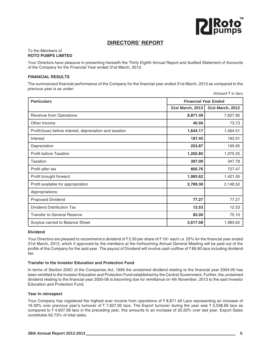

## **DIRECTORS' REPORT**

#### To the Members of **ROTO PUMPS LIMITED**

Your Directors have pleasure in presenting herewith the Thirty Eighth Annual Report and Audited Statement of Accounts of the Company for the Financial Year ended 31st March, 2013.

## **FINANCIAL RESULTS**

The summarized financial performance of the Company for the financial year ended 31st March, 2013 as compared to the previous year is as under: Amount  $\bar{\tau}$  in lacs

| <b>Particulars</b>                                       | <b>Financial Year Ended</b> |                  |
|----------------------------------------------------------|-----------------------------|------------------|
|                                                          | 31st March, 2013            | 31st March, 2012 |
| Revenue from Operations                                  | 8,871.49                    | 7,627.92         |
| Other Income                                             | 40.56                       | 73.73            |
| Profit/(loss) before interest, depreciation and taxation | 1,644.17                    | 1,464.51         |
| Interest                                                 | 187.45                      | 193.31           |
| Depreciation                                             | 253.87                      | 195.95           |
| <b>Profit before Taxation</b>                            | 1,202.85                    | 1,075.25         |
| Taxation                                                 | 397.09                      | 347.78           |
| Profit after tax                                         | 805.76                      | 727.47           |
| Profit brought forward                                   | 1,983.62                    | 1,421.05         |
| Profit available for appropriation                       | 2,789.38                    | 2,148.52         |
| Appropriations:                                          |                             |                  |
| Proposed Dividend                                        | 77.27                       | 77.27            |
| Dividend Distribution Tax                                | 12.53                       | 12.53            |
| <b>Transfer to General Reserve</b>                       | 82.00                       | 75.10            |
| Surplus carried to Balance Sheet                         | 2,617.58                    | 1,983.62         |

### **Dividend**

Your Directors are pleased to recommend a dividend of  $\bar{\tau}$  2.50 per share of  $\bar{\tau}$  10/- each i.e. 25% for the financial year ended 31st March, 2013, which if approved by the members at the forthcoming Annual General Meeting will be paid out of the profits of the Company for the said year. The payout of Dividend will involve cash outflow of  $\bar{z}$  89.80 lacs including dividend tax.

## **Transfer to the Investor Education and Protection Fund**

In terms of Section 205C of the Companies Act, 1956 the unclaimed dividend relating to the financial year 2004-05 has been remitted to the Investor Education and Protection Fund established by the Central Government. Further, the unclaimed dividend relating to the financial year 2005-06 is becoming due for remittance on 4th November, 2013 to the said Investor Education and Protection Fund.

### **Year in retrospect**

Your Company has registered the highest ever income from operations of  $\bar{\tau}$  8,871.49 Lacs representing an increase of 16.30% over previous year's turnover of  $\bar{\tau}$  7,627.92 lacs. The Export turnover during the year was  $\bar{\tau}$  5,538.69 lacs as compared to  $\bar{\tau}$  4,607.58 lacs in the preceding year, this amounts to an increase of 20.20% over last year. Export Sales constitutes 62.73% of total sales.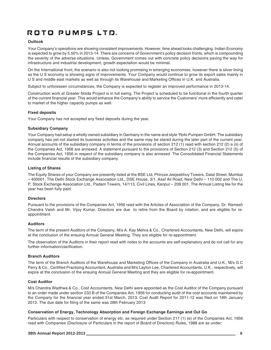## **Outlook**

Your Company's operations are showing consistent improvements. However, time ahead looks challenging. Indian Economy is expected to grow by 5.50% in 2013-14. There are concerns of Government's policy decision fronts, which is compounding the severity of the adverse situations. Unless, Government comes out with concrete policy decisions paving the way for infrastructure and industrial development, growth expectation would be minimal.

On the International front, the scenario is also not looking promising in emerging economies; however there is silver lining as the U S economy is showing signs of improvements. Your Company would continue to grow its export sales mainly in U S and middle east markets as well as through its Warehouse and Marketing Offices in U.K. and Australia.

Subject to unforeseen circumstances, the Company is expected to register an improved performance in 2013-14.

Construction work at Greater Noida Project is in full swing. The Project is scheduled to be functional in the fourth quarter of the current financial year. This would enhance the Company's ability to service the Customers' more efficiently and cater to market of the higher capacity pumps as well.

## **Fixed deposits**

Your Company has not accepted any fixed deposits during the year.

### **Subsidiary Company**

Your Company had setup a wholly owned subsidiary in Germany in the name and style 'Roto Pumpen GmbH. The subsidiary company has yet not started its business activities and the same may be stared during the later part of the current year. Annual accounts of the subsidiary company in terms of the provisions of section 212 (1) read with section 212 (2) a (ii) of the Companies Act, 1956 are annexed. A statement pursuant to the provisions of Section 212 (3) and Section 212 (5) of the Companies Act, 1956 in respect of the subsidiary company is also annexed. The Consolidated Financial Statements include financial results of the subsidiary company.

### **Listing of Shares**

The Equity Shares of your Company are presently listed at the BSE Ltd, Phiroze Jeejeebhoy Towers, Dalal Street, Mumbai – 400001, The Delhi Stock Exchange Association Ltd., DSE House, 3/1, Asaf Ali Road, New Delhi – 110 002 and The U. P. Stock Exchange Association Ltd., Padam Towers, 14/113, Civil Lines, Kanpur – 208 001. The Annual Listing fee for the year has been fully paid.

### **Directors**

Pursuant to the provisions of the Companies Act, 1956 read with the Articles of Association of the Company, Dr. Ramesh Chandra Vaish and Mr. Vijoy Kumar, Directors are due to retire from the Board by rotation, and are eligible for reappointment.

### **Auditors**

The term of the present Auditors of the Company, M/s A. Kay Mehra & Co., Chartered Accountants, New Delhi, will expire at the conclusion of the ensuing Annual General Meeting. They are eligible for re-appointment.

The observation of the Auditors in their report read with notes to the accounts are self-explanatory and do not call for any further information/clarification.

### **Branch Auditors**

The term of the Branch Auditors of the Warehouse and Marketing Offices of the Company in Australia and U.K., M/s G C Perry & Co., Certified Practicing Accountant, Australia and M/s Layton Lee, Chartered Accountants, U.K., respectively, will expire at the conclusion of the ensuing Annual General Meeting and they are eligible for re-appointment.

## **Cost Auditor**

M/s Chandra Wadhwa & Co., Cost Accountants, New Delhi were appointed as the Cost Auditor of the Company pursuant to an order made under section 233 B of the Companies Act, 1956 for conducting audit of the cost accounts maintained by the Company for the financial year ended 31st March, 2013. Cost Audit Report for 2011-12 was filed on 18th January 2013. The due date for filing of the same was 28th February 2013

### **Conservation of Energy, Technology Absorption and Foreign Exchange Earnings and Out Go**

Particulars with respect to conservation of energy etc. as required under Section 217 (1) (e) of the Companies Act, 1956 read with Companies (Disclosure of Particulars in the report of Board of Directors) Rules, 1988 are as under: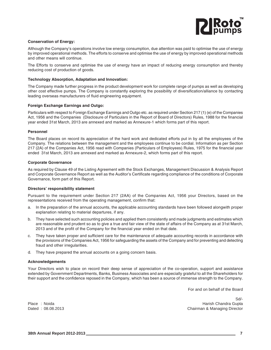

#### **Conservation of Energy:**

Although the Company's operations involve low energy consumption, due attention was paid to optimise the use of energy by improved operational methods. The efforts to conserve and optimise the use of energy by improved operational methods and other means will continue.

The Efforts to conserve and optimise the use of energy have an impact of reducing energy consumption and thereby reducing cost of production of goods.

#### **Technology Absorption, Adaptation and Innovation:**

The Company made further progress in the product development work for complete range of pumps as well as developing other cost effective pumps. The Company is constantly exploring the possibility of diversification/alliance by contacting leading overseas manufacturers of fluid engineering equipment.

#### **Foreign Exchange Earnings and Outgo:**

Particulars with respect to Foreign Exchange Earnings and Outgo etc. as required under Section 217 (1) (e) of the Companies Act, 1956 and the Companies (Disclosure of Particulars in the Report of Board of Directors) Rules, 1988 for the financial year ended 31st March, 2013 are annexed and marked as Annexure-1 which forms part of this report.

#### **Personnel**

The Board places on record its appreciation of the hard work and dedicated efforts put in by all the employees of the Company. The relations between the management and the employees continue to be cordial. Information as per Section 217 (2A) of the Companies Act, 1956 read with Companies (Particulars of Employees) Rules, 1975 for the financial year ended 31st March, 2013 are annexed and marked as Annexure-2, which forms part of this report.

#### **Corporate Governance**

As required by Clause 49 of the Listing Agreement with the Stock Exchanges, Management Discussion & Analysis Report and Corporate Governance Report as well as the Auditor's Certificate regarding compliance of the conditions of Corporate Governance, form part of this Report.

#### **Directors' responsibility statement**

Pursuant to the requirement under Section 217 (2AA) of the Companies Act, 1956 your Directors, based on the representations received from the operating management, confirm that:

- a. In the preparation of the annual accounts, the applicable accounting standards have been followed alongwith proper explanation relating to material departures, if any.
- b. They have selected such accounting policies and applied them consistently and made judgments and estimates which are reasonable and prudent so as to give a true and fair view of the state of affairs of the Company as at 31st March, 2013 and of the profit of the Company for the financial year ended on that date.
- c. They have taken proper and sufficient care for the maintenance of adequate accounting records in accordance with the provisions of the Companies Act, 1956 for safeguarding the assets of the Company and for preventing and detecting fraud and other irregularities.
- d. They have prepared the annual accounts on a going concern basis.

#### **Acknowledgements**

Your Directors wish to place on record their deep sense of appreciation of the co-operation, support and assistance extended by Government Departments, Banks, Business Associates and are especially grateful to all the Shareholders for their support and the confidence reposed in the Company, which has been a source of immense strength to the Company.

For and on behalf of the Board

Sd/- Place : Noida **Harish Chandra Gupta** Harish Chandra Gupta<br>Dated : 08.08.2013 **Alternative Chandra Gupta** Chairman & Managing Director Chairman & Managing Director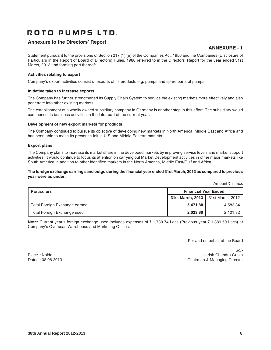## **Annexure to the Directors' Report**

## **ANNEXURE - 1**

Statement pursuant to the provisions of Section 217 (1) (e) of the Companies Act, 1956 and the Companies (Disclosure of Particulars in the Report of Board of Directors) Rules, 1988 referred to in the Directors' Report for the year ended 31st March, 2013 and forming part thereof:

## **Activities relating to export**

Company's export activities consist of exports of its products e.g. pumps and spare parts of pumps.

### **Initiative taken to increase exports**

The Company has further strengthened its Supply Chain System to service the existing markets more effectively and also penetrate into other existing markets.

The establishment of a wholly owned subsidiary company in Germany is another step in this effort. The subsidiary would commence its business activities in the later part of the current year.

### **Development of new export markets for products**

The Company continued to pursue its objective of developing new markets in North America, Middle East and Africa and has been able to make its presence felt in U S and Middle Eastern markets.

### **Export plans**

The Company plans to increase its market share in the developed markets by improving service levels and market support activities. It would continue to focus its attention on carrying out Market Development activities in other major markets like South America in addition to other identified markets in the North America, Middle East/Gulf and Africa.

### **The foreign exchange earnings and outgo during the financial year ended 31st March, 2013 as compared to previous year were as under:**

Amount  $\bar{\tau}$  in lacs

| <b>Particulars</b>            | <b>Financial Year Ended</b>         |          |
|-------------------------------|-------------------------------------|----------|
|                               | 31st March, 2013   31st March, 2012 |          |
| Total Foreign Exchange earned | 5.471.88                            | 4,583.34 |
| Total Foreign Exchange used   | 2,023.80                            | 2.101.32 |

**Note:** Current year's foreign exchange used includes expenses of ₹ 1,780.74 Lacs (Previous year ₹ 1,389.50 Lacs) at Company's Overseas Warehouse and Marketing Offices.

For and on behalf of the Board

Sd/- Place : Noida **Harish Chandra Gupta** Harish Chandra Gupta Dated : 08.08.2013 Chairman & Managing Director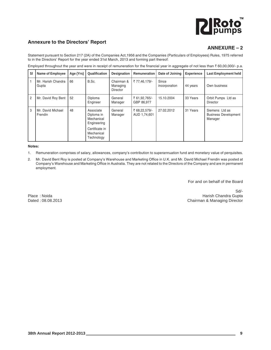# **PIRoto**

## **Annexure to the Directors' Report**

## **ANNEXURE – 2**

Statement pursuant to Section 217 (2A) of the Companies Act,1956 and the Companies (Particulars of Employees) Rules, 1975 referred to in the Directors' Report for the year ended 31st March, 2013 and forming part thereof:

| SI             | <b>Name of Employee</b>      | Age (Yrs) | Qualification                                        | <b>Designation</b>                 | Remuneration                  | Date of Joining        | <b>Experience</b> | <b>Last Employment held</b>                              |
|----------------|------------------------------|-----------|------------------------------------------------------|------------------------------------|-------------------------------|------------------------|-------------------|----------------------------------------------------------|
|                | Mr. Harish Chandra<br>Gupta  | 66        | B.Sc.                                                | Chairman &<br>Managing<br>Director | ₹77,46,179/-                  | Since<br>incorporation | 44 years          | Own business                                             |
| $\overline{2}$ | Mr. David Roy Bent           | 52        | Diploma<br>Engineer                                  | General<br>Manager                 | ₹ 61,92,765/-<br>GBP 86.977   | 15.10.2004             | 33 Years          | Orbit Pumps Ltd as<br>Director                           |
| 3              | Mr. David Michael<br>Frendin | 48        | Associate<br>Diploma in<br>Mechanical<br>Engineering | General<br>Manager                 | ₹ 68,22,579/-<br>AUD 1,74,601 | 27.02.2012             | 31 Years          | Siemens Ltd as<br><b>Business Development</b><br>Manager |
|                |                              |           | Certificate in<br>Mechanical<br>Technology           |                                    |                               |                        |                   |                                                          |

Employed throughout the year and were in receipt of remuneration for the financial year in aggregate of not less than  $\bar{\tau}$  60,00,000/- p.a.

**Notes:**

1. Remuneration comprises of salary, allowances, company's contribution to superannuation fund and monetary value of perquisites.

2. Mr. David Bent Roy is posted at Company's Warehouse and Marketing Office in U.K. and Mr. David Michael Frendin was posted at Company's Warehouse and Marketing Office in Australia. They are not related to the Directors of the Company and are in permanent employment.

For and on behalf of the Board

Sd/- Place : Noida **Harish Chandra Gupta Access 1999** Marish Chandra Gupta Harish Chandra Gupta **Harish Chandra Gupta** Dated : 08.08.2013 Chairman & Managing Director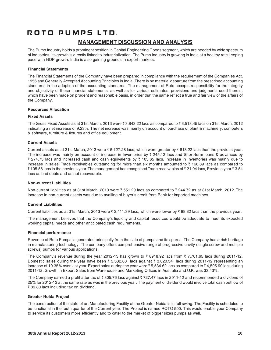## **MANAGEMENT DISCUSSION AND ANALYSIS**

The Pump Industry holds a prominent position in Capital Engineering Goods segment, which are needed by wide spectrum of industries. Its growth is directly linked to industrialization. The Pump Industry is growing in India at a healthy rate keeping pace with GDP growth. India is also gaining grounds in export markets.

### **Financial Statements**

The Financial Statements of the Company have been prepared in compliance with the requirement of the Companies Act, 1956 and Generally Accepted Accounting Principles in India. There is no material departure from the prescribed accounting standards in the adoption of the accounting standards. The management of Roto accepts responsibility for the integrity and objectivity of these financial statements, as well as for various estimates, provisions and judgments used therein, which have been made on prudent and reasonable basis, in order that the same reflect a true and fair view of the affairs of the Company.

### **Resources Allocation**

## **Fixed Assets**

The Gross Fixed Assets as at 31st March, 2013 were  $\bar{\zeta}$  3,843.22 lacs as compared to  $\bar{\zeta}$  3,518.45 lacs on 31st March, 2012 indicating a net increase of 9.23%. The net increase was mainly on account of purchase of plant & machinery, computers & software, furniture & fixtures and office equipment.

## **Current Assets**

Current assets as at 31st March, 2013 were  $\bar{\tau}$  5,127.28 lacs, which were greater by  $\bar{\tau}$  613.22 lacs than the previous year. The increase was mainly on account of increase in Inventories by  $\bar{\tau}$  245.12 lacs and Short-term loans & advances by ₹ 274.73 lacs and increased cash and cash equivalents by ₹ 103.65 lacs. Increase in Inventories was mainly due to increase in sales. Trade receivables outstanding for more than six months amounted to  $\bar{\tau}$  168.89 lacs as compared to ₹105.58 lacs in the previous year. The management has recognised Trade receivables of ₹21.04 lacs, Previous year ₹3.54 lacs as bad debts and as not recoverable.

### **Non-current Liabilities**

Non-current liabilities as at 31st March, 2013 were  $\bar{\tau}$  551.29 lacs as compared to  $\bar{\tau}$  244.72 as at 31st March, 2012. The increase in non-current assets was due to availing of buyer's credit from Bank for imported machines.

### **Current Liabilities**

Current liabilities as at 31st March, 2013 were  $\bar{x}$  3,411.39 lacs, which were lower by  $\bar{x}$  88.82 lacs than the previous year.

The management believes that the Company's liquidity and capital resources would be adequate to meet its expected working capital needs and other anticipated cash requirements.

### **Financial performance**

Revenue of Roto Pumps is generated principally from the sale of pumps and its spares. The Company has a rich heritage in manufacturing technology. The company offers comprehensive range of progressive cavity (single screw and multiple screws) pumps for various applications.

The Company's revenue during the year 2012-13 has grown to  $\bar{\zeta}$  8918.92 lacs from  $\bar{\zeta}$  7,701.65 lacs during 2011-12. Domestic sales during the year have been  $\bar{x}$  3,332.80 lacs against  $\bar{x}$  3,020.34 lacs during 2011-12 representing an increase of 10.35% over last year. Export sales during the year were  $\bar{\tau}$  5.534.62 lacs as compared to  $\bar{\tau}$  4.595.90 lacs during 2011-12. Growth in Export Sales from Warehouse and Marketing Offices in Australia and U.K. was 33.43%.

The Company earned a profit after tax of  $\bar{z}$  805.76 lacs against  $\bar{z}$  727.47 lacs in 2011-12 and recommended a dividend of 25% for 2012-13 at the same rate as was in the previous year. The payment of dividend would involve total cash outflow of ₹89.80 lacs including tax on dividend.

### **Greater Noida Project**

The construction of the state of art Manufacturing Facility at the Greater Noida is in full swing. The Facility is scheduled to be functional in the fouth quarter of the Current year. The Project is named ROTO 500. This would enable your Company to service its customers more efficiently and to cater to the market of bigger sizes pumps as well.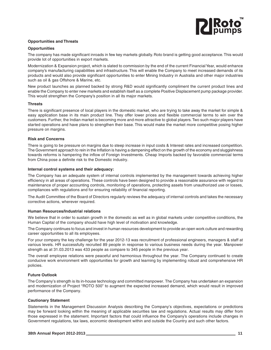

## **Opportunities and Threats**

### **Opportunities**

The company has made significant inroads in few key markets globally. Roto brand is getting good acceptance. This would provide lot of opportunities in export markets.

Modernization & Expansion project, which is slated to commission by the end of the current Financial Year, would enhance company's manufacturing capabilities and infrastructure. This will enable the Company to meet increased demands of its products and would also provide significant opportunities to enter Mining Industry in Australia and other major industries such as oil & gas Offshore & Marine, etc.

New product launches as planned backed by strong R&D would significantly compliment the current product lines and enable the Company to enter new markets and establish itself as a complete Positive Displacement pump package provider. This would strengthen the Company's position in all its major markets.

### **Threats**

There is significant presence of local players in the domestic market, who are trying to take away the market for simple & easy application base in its main product line. They offer lower prices and flexible commercial terms to win over the customers. Further, the Indian market is becoming more and more attractive to global players. Two such major players have started operations and have plans to strengthen their base. This would make the market more competitive posing higher pressure on margins.

#### **Risk and Concerns**

There is going to be pressure on margins due to steep increase in input costs & Interest rates and increased competition. The Government approach to rein in the Inflation is having a dampening effect on the growth of the economy and sluggishness towards reforms is hampering the inflow of Foreign Investments. Cheap Imports backed by favorable commercial terms from China pose a definite risk to the Domestic industry.

#### **Internal control systems and their adequacy:**

The Company has an adequate system of internal controls implemented by the management towards achieving higher efficiency in all areas of operations. These controls have been designed to provide a reasonable assurance with regard to maintenance of proper accounting controls, monitoring of operations, protecting assets from unauthorized use or losses, compliances with regulations and for ensuring reliability of financial reporting.

The Audit Committee of the Board of Directors regularly reviews the adequacy of internal controls and takes the necessary corrective actions, wherever required.

### **Human Resources/Industrial relations**

We believe that in order to sustain growth in the domestic as well as in global markets under competitive conditions, the Human Capital of the company should have high level of motivation and knowledge.

The Company continues to focus and invest in human resources development to provide an open work culture and rewarding career opportunities to all its employees.

For your company the key challenge for the year 2012-13 was recruitment of professional engineers, managers & staff at various levels. HR successfully recruited 89 people in response to various business needs during the year. Manpower strength as at 31.03.2013 was 433 people as compare to 345 people in the previous year.

The overall employee relations were peaceful and harmonious throughout the year. The Company continued to create conducive work environment with opportunities for growth and learning by implementing robust and comprehensive HR policies.

### **Future Outlook**

The Company's strength is its in-house technology and committed manpower. The Company has undertaken an expansion and modernization of Project "ROTO 500" to augment the expected increased demand, which would result in improved performance of the Company.

### **Cautionary Statement**

Statements in the Management Discussion Analysis describing the Company's objectives, expectations or predictions may be forward looking within the meaning of applicable securities law and regulations. Actual results may differ from those expressed in the statement. Important factors that could influence the Company's operations include changes in Government regulations, tax laws, economic development within and outside the Country and such other factors.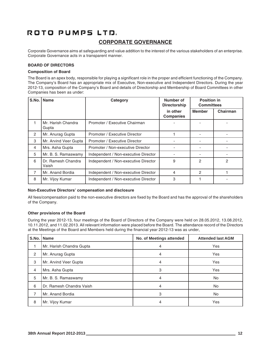## ROTO PUMPS LTD. **CORPORATE GOVERNANCE**

Corporate Governance aims at safeguarding and value addition to the interest of the various stakeholders of an enterprise. Corporate Governance acts in a transparent manner.

## **BOARD OF DIRECTORS**

## **Composition of Board**

The Board is an apex body, responsible for playing a significant role in the proper and efficient functioning of the Company. The Company's Board has an appropriate mix of Executive, Non-executive and Independent Directors. During the year 2012-13, composition of the Company's Board and details of Directorship and Membership of Board Committees in other Companies has been as under:

| S.No. | <b>Name</b>                 | Category                             | Number of<br><b>Directorship</b> | <b>Position in</b><br><b>Committees</b> |          |
|-------|-----------------------------|--------------------------------------|----------------------------------|-----------------------------------------|----------|
|       |                             |                                      | in other<br><b>Companies</b>     | <b>Member</b>                           | Chairman |
|       | Mr. Harish Chandra<br>Gupta | Promoter / Executive Chairman        |                                  |                                         |          |
| 2     | Mr. Anurag Gupta            | Promoter / Executive Director        |                                  |                                         |          |
| 3     | Mr. Arvind Veer Gupta       | Promoter / Executive Director        |                                  |                                         |          |
| 4     | Mrs. Asha Gupta             | Promoter / Non-executive Director    |                                  |                                         |          |
| 5     | Mr. B. S. Ramaswamy         | Independent / Non-executive Director |                                  |                                         |          |
| 6     | Dr. Ramesh Chandra<br>Vaish | Independent / Non-executive Director | 9                                | 2                                       | 2        |
| 7     | Mr. Anand Bordia            | Independent / Non-executive Director | 4                                | 2                                       |          |
| 8     | Mr. Vijoy Kumar             | Independent / Non-executive Director | 3                                |                                         |          |

### **Non-Executive Directors' compensation and disclosure**

All fees/compensation paid to the non-executive directors are fixed by the Board and has the approval of the shareholders of the Company.

### **Other provisions of the Board**

During the year 2012-13, four meetings of the Board of Directors of the Company were held on 28.05.2012, 13.08.2012, 10.11.2012, and 11.02.2013. All relevant information were placed before the Board. The attendance record of the Directors at the Meetings of the Board and Members held during the financial year 2012-13 was as under,

| S.No. | <b>Name</b>              | No. of Meetings attended | <b>Attended last AGM</b> |
|-------|--------------------------|--------------------------|--------------------------|
|       | Mr. Harish Chandra Gupta | 4                        | Yes                      |
| 2     | Mr. Anurag Gupta         | 4                        | Yes                      |
| 3     | Mr. Arvind Veer Gupta    | 4                        | Yes                      |
| 4     | Mrs. Asha Gupta          | 3                        | Yes                      |
| 5     | Mr. B. S. Ramaswamy      | 4                        | No.                      |
| 6     | Dr. Ramesh Chandra Vaish | 4                        | <b>No</b>                |
| 7     | Mr. Anand Bordia         | 3                        | <b>No</b>                |
| 8     | Mr. Vijoy Kumar          | 4                        | Yes                      |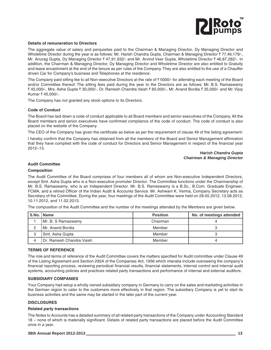

#### **Details of remuneration to Directors**

The aggregate value of salary and perquisites paid to the Chairman & Managing Director, Dy Managing Director and Wholetime Director during the year is as follows: Mr. Harish Chandra Gupta, Chairman & Managing Director ₹77,46,179/-, Mr. Anurag Gupta, Dy Managing Director ₹ 47,91,932/- and Mr. Arvind Veer Gupta, Wholetime Director ₹ 46,87,282/-. In addition, the Chairman & Managing Director, Dy Managing Director and Wholetime Director are also entitled to Gratuity and leave encashment at the end of the tenure as per rules of the Company. They are also entitled to the use of a Chauffer driven Car for Company's business and Telephones at the residence.

The Company paid sitting fee to all Non-executive Directors at the rate of  $\bar{c}$  5000/- for attending each meeting of the Board and/or Committee thereof. The sitting fees paid during the year to the Directors are as follows: Mr. B.S. Ramaswamy ` 45,000/-, Mrs. Asha Gupta ` 30,000/-, Dr. Ramesh Chandra Vaish ` 60,000/-, Mr. Anand Bordia ` 35,000/- and Mr. Vijoy Kumar ₹ 45,000/-.

The Company has not granted any stock options to its Directors.

#### **Code of Conduct**

The Board has laid down a code of conduct applicable to all Board members and senior executives of the Company. All the Board members and senior executives have confirmed compliance of the code of conduct. The code of conduct is also placed on the website of the Company.

The CEO of the Company has given the certificate as below as per the requirement of clause 49 of the listing agreement:

I hereby confirm that the Company has obtained from all the members of the Board and Senior Management affirmation that they have complied with the code of conduct for Directors and Senior Management in respect of the financial year 2012–13.

#### *Harish Chandra Gupta Chairman & Managing Director*

#### **Audit Committee**

#### **Composition**

The Audit Committee of the Board comprises of four members all of whom are Non-executive Independent Directors, except Smt. Asha Gupta who is a Non-executive promoter Director. The Committee functions under the Chairmanship of Mr. B.S. Ramaswamy, who is an Independent Director. Mr. B.S. Ramaswamy is a B.Sc., B.Com. Graduate Engineer, FCMA, and a retired Officer of the Indian Audit & Accounts Service. Mr. Ashwani K. Verma, Company Secretary acts as Secretary of the Committee. During the year, four meetings of the Audit Committee were held on 28.05.2012, 13.08.2012, 10.11.2012, and 11.02.2013.

The composition of the Audit Committee and the number of the meetings attended by the Members are given below.

| S.No.   Name                 | <b>Position</b> | No. of meetings attended |
|------------------------------|-----------------|--------------------------|
| Mr. B. S Ramaswamy           | Chairman        |                          |
| l Mr. Anand Bordia           | Member          |                          |
| Smt. Asha Gupta              | Member          |                          |
| l Dr. Ramesh Chandra Vaish I | Member          |                          |

#### **TERMS OF REFERENCE**

The role and terms of reference of the Audit Committee covers the matters specified for Audit committee under Clause 49 of the Listing Agreement and Section 292A of the Companies Act, 1956 which interalia include overseeing the company's financial reporting process, reviewing periodical financial results, financial statements, internal control and internal audit systems, accounting policies and practices related party transactions and performance of internal and external auditors.

#### **SUBSIDIARY COMPANIES**

Your Company had setup a wholly owned subsidiary company in Germany to carry on the sales and marketing activities in the German region to cater to the customers more effectively in that region. The subsidiary Company is yet to start its business activities and the same may be started in the later part of the current year.

#### **DISCLOSURES**

#### **Related party transactions**

The Notes to Accounts has a detailed summary of all related party transactions of the Company under Accounting Standard 18 – none of which is materially significant. Details of related party transactions are placed before the Audit Committee once in a year.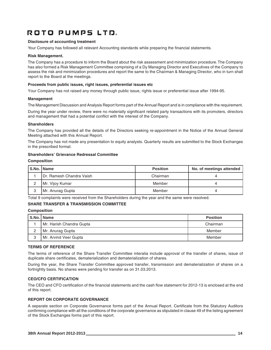## **Disclosure of accounting treatment**

Your Company has followed all relevant Accounting standards while preparing the financial statements.

#### **Risk Management.**

The Company has a procedure to inform the Board about the risk assessment and minimization procedure. The Company has also formed a Risk Management Committee comprising of a Dy Managing Director and Executives of the Company to assess the risk and minimization procedures and report the same to the Chairman & Managing Director, who in turn shall report to the Board at the meetings.

#### **Proceeds from public issues, right issues, preferential issues etc**

Your Company has not raised any money through public issue, rights issue or preferential issue after 1994-95.

#### **Management**

The Management Discussion and Analysis Report forms part of the Annual Report and is in compliance with the requirement.

During the year under review, there were no materially significant related party transactions with its promoters, directors and management that had a potential conflict with the interest of the Company.

## **Shareholders**

The Company has provided all the details of the Directors seeking re-appointment in the Notice of the Annual General Meeting attached with this Annual Report.

The Company has not made any presentation to equity analysts. Quarterly results are submitted to the Stock Exchanges in the prescribed format.

### **Shareholders' Grievance Redressal Committee**

#### **Composition**

|   | S.No.   Name                     | <b>Position</b> | No. of meetings attended |
|---|----------------------------------|-----------------|--------------------------|
|   | <b>IDr. Ramesh Chandra Vaish</b> | Chairman        |                          |
|   | Mr. Vijoy Kumar                  | Member          |                          |
| 3 | Mr. Anurag Gupta                 | Member          |                          |

Total 9 complaints were received from the Shareholders during the year and the same were resolved.

## **SHARE TRANSFER & TRANSMISSION COMMITTEE**

### **Composition**

|   | S.No.   Name             | <b>Position</b> |
|---|--------------------------|-----------------|
|   | Mr. Harish Chandra Gupta | Chairman        |
| っ | Mr. Anurag Gupta         | Member          |
| 3 | Mr. Arvind Veer Gupta    | Member          |

### **TERMS OF REFERENCE**

The terms of reference of the Share Transfer Committee interalia include approval of the transfer of shares, issue of duplicate share certificates, dematerialization and dematerialization of shares.

During the year, the Share Transfer Committee approved transfer, transmission and dematerialization of shares on a fortnightly basis. No shares were pending for transfer as on 31.03.2013.

### **CEO/CFO CERTIFICATION**

The CEO and CFO certification of the financial statements and the cash flow statement for 2012-13 is enclosed at the end of this report.

## **REPORT ON CORPORATE GOVERNANCE**

A separate section on Corporate Governance forms part of the Annual Report. Certificate from the Statutory Auditors confirming compliance with all the conditions of the corporate governance as stipulated in clause 49 of the listing agreement of the Stock Exchanges forms part of this report.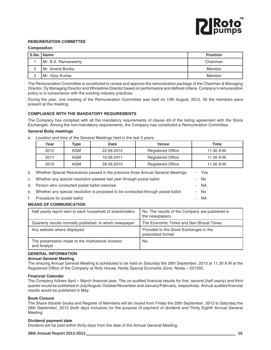

## **REMUNERATION COMMITTEE**

#### **Composition**

|   | S.No.   Name       | <b>Position</b> |
|---|--------------------|-----------------|
|   | Mr. B.S. Ramaswamy | Chairman        |
| ⌒ | l Mr. Anand Bordia | Member          |
| ₽ | Mr. Vijoy Kumar    | Member          |

The Remuneration Committee is constituted to review and approve the remuneration package of the Chairman & Managing Director, Dy Managing Director and Wholetime Director based on performance and defined criteria. Company's remuneration policy is in consonance with the existing industry practices.

During the year, one meeting of the Remuneration Committee was held on 13th August, 2012. All the members were present at the meeting.

### **COMPLIANCE WITH THE MANDATORY REQUIREMENTS**

The Company has complied with all the mandatory requirements of clause 49 of the listing agreement with the Stock Exchanges. Among the non-mandatory requirements, the Company has constituted a Remuneration Committee.

### **General Body meetings**

a. Location and time of the General Meetings held in the last 3 years

| Year | Type | Date       | Venue                    | Time         |
|------|------|------------|--------------------------|--------------|
| 2012 | AGM  | 22.09.2012 | <b>Registered Office</b> | $11.30$ A.M. |
| 2011 | AGM  | 19.09.2011 | <b>Registered Office</b> | $11.30$ A.M. |
| 2010 | AGM  | 28.09.2010 | <b>Registered Office</b> | 11.00 A.M.   |

| <b>MEANS OF COMMUNICATION</b> |                                                                                     |  |      |  |
|-------------------------------|-------------------------------------------------------------------------------------|--|------|--|
| f.                            | Procedure for postal ballot                                                         |  | - NA |  |
|                               | e. Whether any special resolution is proposed to be conducted through postal ballot |  | - No |  |
|                               | d. Person who conducted postal ballot exercise                                      |  | - NA |  |
|                               | c. Whether any special resolution passed last year through postal ballot            |  | - No |  |
|                               | b. Whether Special Resolutions passed in the previous three Annual General Meetings |  | Yes  |  |

| Half yearly report sent to each household of shareholders          | No. The results of the Company are published in<br>the newspapers |
|--------------------------------------------------------------------|-------------------------------------------------------------------|
| Quarterly results normally published in which newspaper            | The Economic Times and Nav Bharat Times                           |
| Any website where displayed                                        | Provided to the Stock Exchanges in the<br>prescribed format       |
| The presentation made to the Institutional Investor<br>and Analyst | No.                                                               |

## **GENERAL INFORMATION**

### **Annual General Meeting**

The ensuing Annual General Meeting is scheduled to be held on Saturday the 28th September, 2013 at 11.30 A.M at the Registered Office of the Company at Roto House, Noida Special Economic Zone, Noida – 201305.

### **Financial Calendar**

The Company follows April – March financial year. The un-audited financial results for first, second (half yearly) and third quarter would be published in July/August, October/November and January/February, respectively. Annual audited financial results would be published in May.

#### **Book Closure**

The Share transfer books and Register of Members will be closed from Friday the 20th September, 2013 to Saturday the 28th September, 2013 (both days inclusive) for the purpose of payment of dividend and Thirty Eighth Annual General Meeting.

#### **Dividend payment date**

Dividend will be paid within thirty days from the date of the Annual General Meeting.

#### **38th Annual Report 2012-2013 15**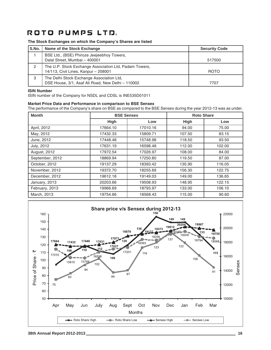## **The Stock Exchanges on which the Company's Shares are listed**

| S.No. | Name of the Stock Exchange                                                                     | <b>Security Code</b> |
|-------|------------------------------------------------------------------------------------------------|----------------------|
|       | BSE Ltd., (BSE) Phiroze Jeejeebhoy Towers,<br>Dalal Street, Mumbai - 400001                    | 517500               |
| 2     | The U.P. Stock Exchange Association Ltd, Padam Towers,<br>14/113, Civil Lines, Kanpur - 208001 | <b>ROTO</b>          |
| 3     | The Delhi Stock Exchange Association Ltd,<br>DSE House, 3/1, Asaf Ali Road, New Delhi - 110002 | 7707                 |

#### **ISIN Number**

ISIN number of the Company for NSDL and CDSL is INE535D01011

#### **Market Price Data and Performance in comparison to BSE Sensex**

The performance of the Company's share on BSE as compared to the BSE Sensex during the year 2012-13 was as under.

| <b>Month</b>    | <b>BSE Sensex</b> |          |        | <b>Roto Share</b> |  |
|-----------------|-------------------|----------|--------|-------------------|--|
|                 | <b>High</b>       | Low      | High   | Low               |  |
| April, 2012     | 17664.10          | 17010.16 | 94.00  | 75.00             |  |
| May, 2012       | 17432.33          | 15809.71 | 107.50 | 83.15             |  |
| June, 2012      | 17448.48          | 15748.98 | 118.50 | 93.50             |  |
| July, 2012      | 17631.19          | 16598.48 | 112.00 | 102.00            |  |
| August, 2012    | 17972.54          | 17026.97 | 108.00 | 84.00             |  |
| September, 2012 | 18869.94          | 17250.80 | 119.50 | 87.00             |  |
| October, 2012   | 19137.29          | 18393.42 | 135.90 | 116.05            |  |
| November, 2012  | 19372.70          | 18255.69 | 156.30 | 122.75            |  |
| December, 2012  | 19612.18          | 19149.03 | 149.00 | 136.65            |  |
| January, 2013   | 20203.66          | 19508.93 | 148.95 | 122.15            |  |
| February, 2013  | 19966.69          | 18793.97 | 133.00 | 106.10            |  |
| March, 2013     | 19754.66          | 18568.43 | 115.00 | 90.60             |  |

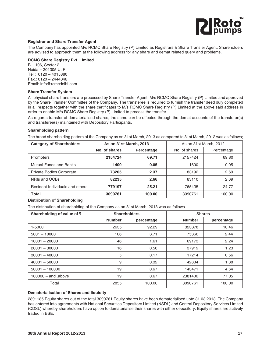

## **Registrar and Share Transfer Agent**

The Company has appointed M/s RCMC Share Registry (P) Limited as Registrars & Share Transfer Agent. Shareholders are advised to approach them at the following address for any share and demat related query and problems.

## **RCMC Share Registry Pvt. Limited**

B – 106, Sector 2 Noida – 201305 U. P. Tel.: 0120 – 4015880 Fax.: 0120 – 2444346 Email: info@rcmcdelhi.com

## **Share Transfer System**

All physical share transfers are processed by Share Transfer Agent, M/s RCMC Share Registry (P) Limited and approved by the Share Transfer Committee of the Company. The transferee is required to furnish the transfer deed duly completed in all respects together with the share certificates to M/s RCMC Share Registry (P) Limited at the above said address in order to enable M/s RCMC Share Registry (P) Limited to process the transfer.

As regards transfer of dematerialised shares, the same can be effected through the demat accounts of the transferor(s) and transferee(s) maintained with Depository Participants.

### **Shareholding pattern**

The broad shareholding pattern of the Company as on 31st March, 2013 as compared to 31st March, 2012 was as follows;

| <b>Category of Shareholders</b> | <b>As on 31st March, 2013</b> |            | As on 31st March, 2012 |            |
|---------------------------------|-------------------------------|------------|------------------------|------------|
|                                 | No. of shares                 | Percentage | No. of shares          | Percentage |
| Promoters                       | 2154724                       | 69.71      | 2157424                | 69.80      |
| <b>Mutual Funds and Banks</b>   | 1400                          | 0.05       | 1600                   | 0.05       |
| Private Bodies Corporate        | 73205                         | 2.37       | 83192                  | 2.69       |
| NRIs and OCBs                   | 82235                         | 2.66       | 83110                  | 2.69       |
| Resident Individuals and others | 779197                        | 25.21      | 765435                 | 24.77      |
| <b>Total</b>                    | 3090761                       | 100.00     | 3090761                | 100.00     |

## **Distribution of Shareholding**

The distribution of shareholding of the Company as on 31st March, 2013 was as follows

| Shareholding of value of ₹ | <b>Shareholders</b> |            | <b>Shares</b> |            |
|----------------------------|---------------------|------------|---------------|------------|
|                            | <b>Number</b>       | percentage | <b>Number</b> | percentage |
| 1-5000                     | 2635                | 92.29      | 323378        | 10.46      |
| $5001 - 10000$             | 106                 | 3.71       | 75366         | 2.44       |
| $10001 - 20000$            | 46                  | 1.61       | 69173         | 2.24       |
| $20001 - 30000$            | 16                  | 0.56       | 37919         | 1.23       |
| $30001 - 40000$            | 5                   | 0.17       | 17214         | 0.56       |
| $40001 - 50000$            | 9                   | 0.32       | 42834         | 1.38       |
| $50001 - 100000$           | 19                  | 0.67       | 143471        | 4.64       |
| $100000 - and above$       | 19                  | 0.67       | 2381406       | 77.05      |
| Total                      | 2855                | 100.00     | 3090761       | 100.00     |

### **Dematerialisation of Shares and liquidity**

2891185 Equity shares out of the total 3090761 Equity shares have been dematerialised upto 31.03.2013. The Company has entered into agreements with National Securities Depository Limited (NSDL) and Central Depository Services Limited (CDSL) whereby shareholders have option to dematerialise their shares with either depository. Equity shares are actively traded in BSE.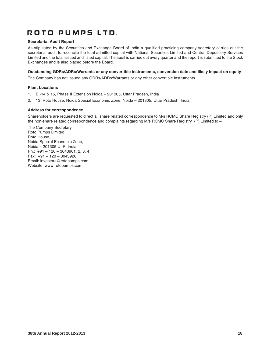## **Secretarial Audit Report**

As stipulated by the Securities and Exchange Board of India a qualified practicing company secretary carries out the secretarial audit to reconcile the total admitted capital with National Securities Limited and Central Depository Services Limited and the total issued and listed capital. The audit is carried out every quarter and the report is submitted to the Stock Exchanges and is also placed before the Board.

## **Outstanding GDRs/ADRs/Warrants or any convertible instruments, conversion date and likely impact on equity**

The Company has not issued any GDRs/ADRs/Warrants or any other convertible instruments.

## **Plant Locations**

- 1. B -14 & 15, Phase II Extension Noida 201305, Uttar Pradesh, India
- 2. 13, Roto House, Noida Special Economic Zone, Noida 201305, Uttar Pradesh, India

## **Address for correspondence**

Shareholders are requested to direct all share related correspondence to M/s RCMC Share Registry (P) Limited and only the non-share related correspondence and complaints regarding M/s RCMC Share Registry (P) Limited to –

The Company Secretary Roto Pumps Limited Roto House, Noida Special Economic Zone, Noida – 201305 U. P. India Ph.: +91 – 120 – 3043901, 2, 3, 4 Fax: +91 – 120 – 3043928 Email: investors@rotopumps.com Website: www.rotopumps.com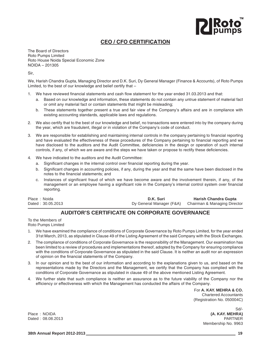# **PIRoto**

## **CEO / CFO CERTIFICATION**

The Board of Directors Roto Pumps Limited Roto House Noida Special Economic Zone NOIDA – 201305

Sir,

We, Harish Chandra Gupta, Managing Director and D.K. Suri, Dy General Manager (Finance & Accounts), of Roto Pumps Limited, to the best of our knowledge and belief certify that –

- 1. We have reviewed financial statements and cash flow statement for the year ended 31.03.2013 and that:
	- a. Based on our knowledge and information, these statements do not contain any untrue statement of material fact or omit any material fact or contain statements that might be misleading;
	- b. These statements together present a true and fair view of the Company's affairs and are in compliance with existing accounting standards, applicable laws and regulations.
- 2. We also certify that to the best of our knowledge and belief, no transactions were entered into by the company during the year, which are fraudulent, illegal or in violation of the Company's code of conduct.
- 3. We are responsible for establishing and maintaining internal controls in the company pertaining to financial reporting and have evaluated the effectiveness of these procedures of the Company pertaining to financial reporting and we have disclosed to the auditors and the Audit Committee, deficiencies in the design or operation of such internal controls, if any, of which we are aware and the steps we have taken or propose to rectify these deficiencies.
- 4. We have indicated to the auditors and the Audit Committee:
	- a. Significant changes in the internal control over financial reporting during the year.
	- b. Significant changes in accounting policies, if any, during the year and that the same have been disclosed in the notes to the financial statements; and
	- c. Instances of significant fraud of which we have become aware and the involvement therein, if any, of the management or an employee having a significant role in the Company's internal control system over financial reporting.

| Place: Noida      | D.K. Suri | <b>Harish Chandra Gupta</b>                           |
|-------------------|-----------|-------------------------------------------------------|
| Dated: 30.05.2013 |           | Dy General Manager (F&A) Chairman & Managing Director |

## **AUDITOR'S CERTIFICATE ON CORPORATE GOVERNANCE**

To the Members of

Roto Pumps Limited

- 1. We have examined the compliance of conditions of Corporate Governance by Roto Pumps Limited, for the year ended 31st March, 2013, as stipulated in Clause 49 of the Listing Agreement of the said Company with the Stock Exchanges.
- 2. The compliance of conditions of Corporate Governance is the responsibility of the Management. Our examination has been limited to a review of procedures and implementations thereof, adopted by the Company for ensuring compliance with the conditions of Corporate Governance as stipulated in the said Clause. It is neither an audit nor an expression of opinion on the financial statements of the Company.
- 3. In our opinion and to the best of our information and according to the explanations given to us, and based on the representations made by the Directors and the Management, we certify that the Company has complied with the conditions of Corporate Governance as stipulated in clause 49 of the above mentioned Listing Agreement.
- 4. We further state that such compliance is neither an assurance as to the future viability of the Company nor the efficiency or effectiveness with which the Management has conducted the affairs of the Company.

For **A. KAY. MEHRA & CO.** Chartered Accountants (Registration No. 050004C)

Sd/- Place : NOIDA **(A. KAY. MEHRA)** Dated : 08.08.2013 PARTNER Membership No. 9963

**38th Annual Report 2012-2013 19**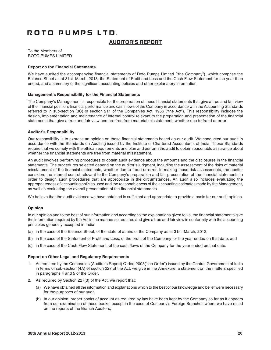## **AUDITOR'S REPORT**

To the Members of ROTO PUMPS LIMITED

## **Report on the Financial Statements**

We have audited the accompanying financial statements of Roto Pumps Limited ("the Company"), which comprise the Balance Sheet as at 31st March, 2013, the Statement of Profit and Loss and the Cash Flow Statement for the year then ended, and a summary of the significant accounting policies and other explanatory information.

### **Management's Responsibility for the Financial Statements**

The Company's Management is responsible for the preparation of these financial statements that give a true and fair view of the financial position, financial performance and cash flows of the Company in accordance with the Accounting Standards referred to in sub-section (3C) of section 211 of the Companies Act, 1956 ("the Act"). This responsibility includes the design, implementation and maintenance of internal control relevant to the preparation and presentation of the financial statements that give a true and fair view and are free from material misstatement, whether due to fraud or error.

## **Auditor's Responsibility**

Our responsibility is to express an opinion on these financial statements based on our audit. We conducted our audit in accordance with the Standards on Auditing issued by the Institute of Chartered Accountants of India. Those Standards require that we comply with the ethical requirements and plan and perform the audit to obtain reasonable assurance about whether the financial statements are free from material misstatement.

An audit involves performing procedures to obtain audit evidence about the amounts and the disclosures in the financial statements. The procedures selected depend on the auditor's judgment, including the assessment of the risks of material misstatement of the financial statements, whether due to fraud or error. In making those risk assessments, the auditor considers the internal control relevant to the Company's preparation and fair presentation of the financial statements in order to design audit procedures that are appropriate in the circumstances. An audit also includes evaluating the appropriateness of accounting policies used and the reasonableness of the accounting estimates made by the Management, as well as evaluating the overall presentation of the financial statements.

We believe that the audit evidence we have obtained is sufficient and appropriate to provide a basis for our audit opinion.

## **Opinion**

In our opinion and to the best of our information and according to the explanations given to us, the financial statements give the information required by the Act in the manner so required and give a true and fair view in conformity with the accounting principles generally accepted in India:

- (a) in the case of the Balance Sheet, of the state of affairs of the Company as at 31st March, 2013;
- (b) in the case of the Statement of Profit and Loss, of the profit of the Company for the year ended on that date; and
- (c) in the case of the Cash Flow Statement, of the cash flows of the Company for the year ended on that date.

## **Report on Other Legal and Regulatory Requirements**

- 1. As required by the Companies (Auditor's Report) Order, 2003("the Order") issued by the Central Government of India in terms of sub-section (4A) of section 227 of the Act, we give in the Annexure, a statement on the matters specified in paragraphs 4 and 5 of the Order.
- 2. As required by Section 227(3) of the Act, we report that:
	- (a) We have obtained all the information and explanations which to the best of our knowledge and belief were necessary for the purposes of our audit;
	- (b) In our opinion, proper books of account as required by law have been kept by the Company so far as it appears from our examination of those books, except in the case of Company's Foreign Branches where we have relied on the reports of the Branch Auditors;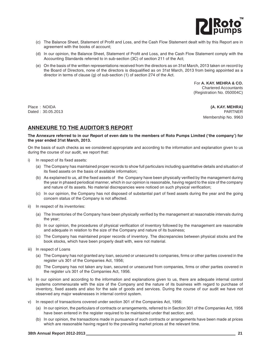

- (c) The Balance Sheet, Statement of Profit and Loss, and the Cash Flow Statement dealt with by this Report are in agreement with the books of account;
- (d) In our opinion, the Balance Sheet, Statement of Profit and Loss, and the Cash Flow Statement comply with the Accounting Standards referred to in sub-section (3C) of section 211 of the Act;
- (e) On the basis of the written representations received from the directors as on 31st March, 2013 taken on record by the Board of Directors, none of the directors is disqualified as on 31st March, 2013 from being appointed as a director in terms of clause (g) of sub-section (1) of section 274 of the Act.

For **A. KAY. MEHRA & CO.** Chartered Accountants (Registration No. 050004C)

Place : NOIDA **(A. KAY. MEHRA)** Dated : 30.05.2013 PARTNER Membership No. 9963

## **ANNEXURE TO THE AUDITOR'S REPORT**

### **The Annexure referred to in our Report of even date to the members of Roto Pumps Limited ('the company') for the year ended 31st March, 2013.**

On the basis of such checks as we considered appropriate and according to the information and explanation given to us during the course of our audit, we report that:

- i) In respect of its fixed assets:
	- (a) The Company has maintained proper records to show full particulars including quantitative details and situation of its fixed assets on the basis of available information;
	- (b) As explained to us, all the fixed assets of the Company have been physically verified by the management during the year in phased periodical manner, which in our opinion is reasonable, having regard to the size of the company and nature of its assets. No material discrepancies were noticed on such physical verification;
	- (c) In our opinion, the Company has not disposed of substantial part of fixed assets during the year and the going concern status of the Company is not affected.
- ii) In respect of its inventories:
	- (a) The Inventories of the Company have been physically verified by the management at reasonable intervals during the year;
	- (b) In our opinion, the procedures of physical verification of inventory followed by the management are reasonable and adequate in relation to the size of the Company and nature of its business;
	- (c) The Company has maintained proper records of inventory. The discrepancies between physical stocks and the book stocks, which have been properly dealt with, were not material.
- iii) In respect of Loans
	- (a) The Company has not granted any loan, secured or unsecured to companies, firms or other parties covered in the register u/s 301 of the Companies Act, 1956;
	- (b) The Company has not taken any loan, secured or unsecured from companies, firms or other parties covered in the register u/s 301 of the Companies Act, 1956.
- iv) In our opinion and according to the information and explanations given to us, there are adequate internal control systems commensurate with the size of the Company and the nature of its business with regard to purchase of inventory, fixed assets and also for the sale of goods and services. During the course of our audit we have not observed any major weaknesses in internal control system.
- v) In respect of transactions covered under section 301 of the Companies Act, 1956:
	- (a) In our opinion, the particulars of contracts or arrangements, referred to in Section 301 of the Companies Act, 1956 have been entered in the register required to be maintained under that section; and.
	- (b) In our opinion, the transactions made in pursuance of such contracts or arrangements have been made at prices which are reasonable having regard to the prevailing market prices at the relevant time.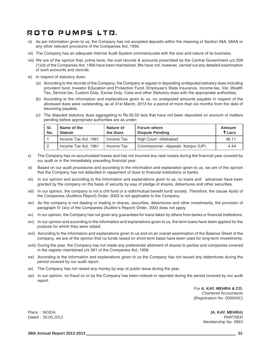- vi) As per information given to us, the Company has not accepted deposits within the meaning of Section 58A, 58AA or any other relevant provisions of the Companies Act, 1956.
- vii) The Company has an adequate Internal Audit System commensurate with the size and nature of its business.
- viii) We are of the opinion that, prima facie, the cost records & accounts prescribed by the Central Government u/s 209 (1)(d) of the Companies Act, 1956 have been maintained. We have not, however, carried out any detailed examination of such accounts and records.
- ix) In respect of statutory dues:
	- (a) According to the records of the Company, the Company is regular in depositing undisputed statutory dues including provident fund, Investor Education and Protection Fund, Employee's State Insurance, Income-tax, Vat, Wealth Tax, Service tax, Custom Duty, Excise Duty, Cess and other Statutory dues with the appropriate authorities;
	- (b) According to the information and explanations given to us, no undisputed amounts payable in respect of the aforesaid dues were outstanding, as at 31st March, 2013 for a period of more than six months from the date of becoming payable;
	- (c) The disputed statutory dues aggregating to Rs.50.55 lacs that have not been deposited on account of matters pending before appropriate authorities are as under;

| SI.<br>No. | Name of the<br><b>Statute</b> | Nature of<br>the Dues | l Forum where<br><b>Dispute Pending</b> | Amount<br>₹ Lacs |
|------------|-------------------------------|-----------------------|-----------------------------------------|------------------|
|            | Income Tax Act. 1961          | Income Tax            | High Court-Allahabad                    | 46.11            |
|            | Income Tax Act. 1961          | Income Tax            | Commissioner-Appeals Kanpur (UP)        | 4.44             |

- x) The Company has no accumulated losses and has not incurred any cash losses during the financial year covered by our audit or in the immediately preceding financial year.
- xi) Based on our audit procedures and according to the information and explanation given to us, we are of the opinion that the Company has not defaulted in repayment of dues to financial institutions or banks.
- xii) In our opinion and according to the information and explanations given to us, no loans and advances have been granted by the company on the basis of security by way of pledge of shares, debentures and other securities.
- xiii) In our opinion, the company is not a chit fund or a nidhi/mutual benefit fund/ society. Therefore, the clause 4(xiii) of the Companies (Auditors Report) Order, 2003 is not applicable to the Company.
- xiv) As the company is not dealing or trading in shares, securities, debentures and other investments, the provision of paragraph IV (xiv) of the Companies (Auditor's Report) Order, 2003 does not apply.
- xv) In our opinion, the Company has not given any guarantees for loans taken by others from banks or financial institutions.
- xvi) In our opinion and according to the information and explanations given to us, the term loans have been applied for the purpose for which they were raised.
- xvii) According to the information and explanations given to us and on an overall examination of the Balance Sheet of the company, we are of the opinion that no funds raised on short-term basis have been used for long-term investments.
- xviii) During the year, the Company has not made any preferential allotment of shares to parties and companies covered in the register maintained u/s 301 of the Companies Act, 1956.
- xix) According to the information and explanations given to us the Company has not issued any debentures during the period covered by our audit report.
- xx) The Company has not raised any money by way of public issue during the year.
- xxi) In our opinion, no fraud on or by the Company has been noticed or reported during the period covered by our audit report.

For **A. KAY. MEHRA & CO.** Chartered Accountants (Registration No. 050004C)

Place : NOIDA **(A. KAY. MEHRA)** Dated : 30.05.2013 PARTNER Membership No. 9963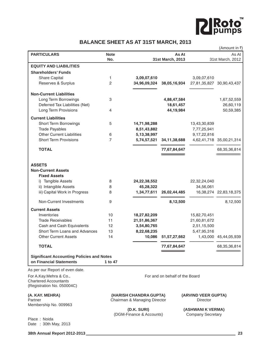

## **BALANCE SHEET AS AT 31ST MARCH, 2013**

|                                                                                      |                    |                        |                                |                     | (Amount in ₹)               |
|--------------------------------------------------------------------------------------|--------------------|------------------------|--------------------------------|---------------------|-----------------------------|
| <b>PARTICULARS</b>                                                                   | <b>Note</b><br>No. |                        | As At<br>31st March, 2013      |                     | As At<br>31st March, 2012   |
| <b>EQUITY AND LIABILITIES</b>                                                        |                    |                        |                                |                     |                             |
| <b>Shareholders' Funds</b>                                                           |                    |                        |                                |                     |                             |
| Share Capital                                                                        | 1                  | 3,09,07,610            |                                | 3,09,07,610         |                             |
| Reserves & Surplus                                                                   | 2                  | 34,96,09,324           | 38,05,16,934                   | 27,81,35,827        | 30,90,43,437                |
| <b>Non-Current Liabilities</b>                                                       |                    |                        |                                |                     |                             |
| Long Term Borrowings                                                                 | 3                  |                        | 4,88,47,584                    |                     | 1,67,52,559                 |
| Deferred Tax Liabilities (Net)                                                       |                    |                        | 18,61,457                      |                     | 26,60,119                   |
| Long Term Provisions                                                                 | 4                  |                        | 44,19,984                      |                     | 50,59,385                   |
| <b>Current Liabilities</b>                                                           |                    |                        |                                |                     |                             |
| <b>Short Term Borrowings</b>                                                         | 5                  | 14,71,98,288           |                                | 13,43,30,839        |                             |
| <b>Trade Payables</b>                                                                |                    | 8,51,43,882            |                                | 7,77,25,941         |                             |
| <b>Other Current Liabilities</b>                                                     | 6                  | 5, 13, 38, 997         |                                | 9,17,22,816         |                             |
| <b>Short Term Provisions</b>                                                         | 7                  | 5,74,57,521            | 34, 11, 38, 688                |                     | 4,62,41,718 35,00,21,314    |
| <b>TOTAL</b>                                                                         |                    |                        | 77,67,84,647                   |                     | 68, 35, 36, 814             |
| <b>ASSETS</b><br><b>Non-Current Assets</b>                                           |                    |                        |                                |                     |                             |
| <b>Fixed Assets</b>                                                                  |                    |                        |                                |                     |                             |
| i) Tangible Assets                                                                   | 8                  | 24,22,38,552           |                                | 22,32,24,040        |                             |
| ii) Intangible Assets                                                                | 8                  | 45,28,322              |                                | 34,56,061           |                             |
| iii) Capital Work in Progress                                                        | 8                  | 1,34,77,611            | 26,02,44,485                   |                     | 16, 38, 274 22, 83, 18, 375 |
| Non-Current Investments                                                              | 9                  |                        | 8,12,500                       |                     | 8,12,500                    |
| <b>Current Assets</b>                                                                |                    |                        |                                |                     |                             |
| Inventories                                                                          | 10                 | 18,27,82,209           |                                | 15,82,70,451        |                             |
| <b>Trade Receivables</b>                                                             | 11                 | 21,51,86,367           |                                | 21,60,81,672        |                             |
| Cash and Cash Equivalents                                                            | 12                 | 3,54,80,765            |                                | 2,51,15,500         |                             |
| Short Term Loans and Advances                                                        | 13                 | 8,22,68,235            |                                | 5,47,95,316         |                             |
| <b>Other Current Assets</b>                                                          | 14                 | 10,086                 | 51, 57, 27, 662                | 1,43,000            | 45,44,05,939                |
| <b>TOTAL</b>                                                                         |                    |                        | 77,67,84,647                   |                     | 68, 35, 36, 814             |
| <b>Significant Accounting Policies and Notes</b><br>on Financial Statements          | 1 to 47            |                        |                                |                     |                             |
| As per our Report of even date.                                                      |                    |                        |                                |                     |                             |
|                                                                                      |                    |                        | For and on behalf of the Board |                     |                             |
| For A.Kay.Mehra & Co.,<br><b>Chartered Accountants</b><br>(Registration No. 050004C) |                    |                        |                                |                     |                             |
| (A. KAY. MEHRA)                                                                      |                    | (HARISH CHANDRA GUPTA) |                                | (ARVIND VEER GUPTA) |                             |

Membership No. 009963

Partner Chairman & Managing Director Chairman & Managing Director Chairman & Managing Director

(DGM-Finance & Accounts)

**(D.K. SURI) (ASHWANI K VERMA)**<br>
Finance & Accounts) Company Secretary

Place : Noida Date : 30th May, 2013

**38th Annual Report 2012-2013 23**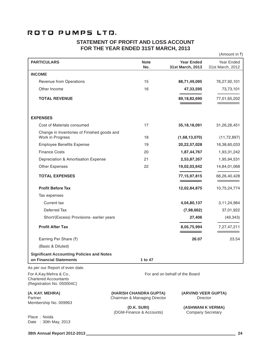## **STATEMENT OF PROFIT AND LOSS ACCOUNT FOR THE YEAR ENDED 31ST MARCH, 2013**

|                                                                             |                    |                                       | (Amount in ₹)                  |
|-----------------------------------------------------------------------------|--------------------|---------------------------------------|--------------------------------|
| <b>PARTICULARS</b>                                                          | <b>Note</b><br>No. | <b>Year Ended</b><br>31st March, 2013 | Year Ended<br>31st March, 2012 |
| <b>INCOME</b>                                                               |                    |                                       |                                |
| Revenue from Operations                                                     | 15                 | 88,71,49,095                          | 76,27,92,101                   |
| Other Income                                                                | 16                 | 47,33,595                             | 73,73,101                      |
| <b>TOTAL REVENUE</b>                                                        |                    | 89,18,82,690                          | 77,01,65,202                   |
| <b>EXPENSES</b>                                                             |                    |                                       |                                |
| Cost of Materials consumed                                                  | 17                 | 35, 18, 18, 091                       | 31,26,26,451                   |
| Change in Inventories of Finished goods and<br>Work in Progress             | 18                 | (1,68,13,070)                         | (11, 72, 897)                  |
| <b>Employee Benefits Expense</b>                                            | 19                 | 20,22,57,028                          | 16,38,60,033                   |
| <b>Finance Costs</b>                                                        | 20                 | 1,87,44,767                           | 1,93,31,242                    |
| Depreciation & Amortisation Expense                                         | 21                 | 2,53,87,357                           | 1,95,94,531                    |
| Other Expenses                                                              | 22                 | 19,02,03,642                          | 14,84,01,068                   |
| <b>TOTAL EXPENSES</b>                                                       |                    | 77, 15, 97, 815                       | 66,26,40,428                   |
| <b>Profit Before Tax</b>                                                    |                    | 12,02,84,875                          | 10,75,24,774                   |
| Tax expenses                                                                |                    |                                       |                                |
| Current tax                                                                 |                    | 4,04,80,137                           | 3, 11, 24, 984                 |
| Deferred Tax                                                                |                    | (7,98,662)                            | 37,01,922                      |
| Short/(Excess) Provisions- earlier years                                    |                    | 27,406                                | (49, 343)                      |
| <b>Profit After Tax</b>                                                     |                    | 8,05,75,994                           | 7,27,47,211                    |
| Earning Per Share (₹)                                                       |                    | 26.07                                 | 23.54                          |
| (Basic & Diluted)                                                           |                    |                                       |                                |
| <b>Significant Accounting Policies and Notes</b><br>on Financial Statements | 1 to 47            |                                       |                                |
| As per our Report of even date.                                             |                    |                                       |                                |
| For A.Kay.Mehra & Co.,<br><b>Chartered Accountants</b>                      |                    | For and on behalf of the Board        |                                |

**(A. KAY. MEHRA) (HARISH CHANDRA GUPTA) (ARVIND VEER GUPTA)**

Chairman & Managing Director

(DGM-Finance & Accounts)

**(D.K. SURI) (ASHWANI K VERMA)**<br>
Finance & Accounts) Company Secretary

Place : Noida Date : 30th May, 2013

Membership No. 009963

(Registration No. 050004C)

**38th Annual Report 2012-2013 24**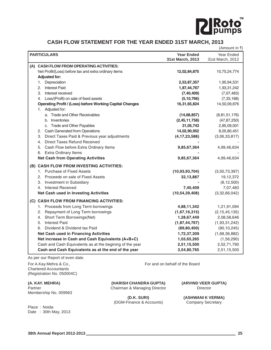

## **CASH FLOW STATEMENT FOR THE YEAR ENDED 31ST MARCH, 2013**

|                                                                 |                   | (Amount in ₹)    |
|-----------------------------------------------------------------|-------------------|------------------|
| <b>PARTICULARS</b>                                              | <b>Year Ended</b> | Year Ended       |
|                                                                 | 31st March, 2013  | 31st March, 2012 |
| (A) CASH FLOW FROM OPERATING ACTIVITIES:                        |                   |                  |
| Net Profit/(Loss) before tax and extra ordinary items           | 12,02,84,875      | 10,75,24,774     |
| <b>Adjusted for:</b>                                            |                   |                  |
| Depreciation<br>1.                                              | 2,53,87,357       | 1,95,94,531      |
| <b>Interest Paid</b><br>2.                                      | 1,87,44,767       | 1,93,31,242      |
| Interest received<br>З.                                         | (7, 40, 409)      | (7,07,483)       |
| 4. Loss/(Profit) on sale of fixed assets                        | (5, 10, 766)      | (7, 33, 188)     |
| <b>Operating Profit / (Loss) before Working Capital Changes</b> | 16,31,65,824      | 14,50,09,876     |
| 1. Adjusted for:                                                |                   |                  |
| a. Trade and Other Receivables                                  | (14, 68, 857)     | (8,81,51,176)    |
| b. Inventories                                                  | (2,45,11,758)     | (47, 87, 250)    |
| c. Trade and Other Payables                                     | 31,05,743         | 2,85,09,001      |
| <b>Cash Generated from Operations</b><br>2.                     | 14,02,90,952      | 8,05,80,451      |
| Direct Taxes Paid & Previous year adjustments<br>З.             | (4, 17, 23, 588)  | (3,06,33,817)    |
| <b>Direct Taxes Refund Received</b><br>4.                       |                   |                  |
| Cash Flow before Extra Ordinary Items<br>5.                     | 9,85,67,364       | 4,99,46,634      |
| 6. Extra Ordinary Items                                         |                   |                  |
| <b>Net Cash from Operating Activities</b>                       | 9,85,67,364       | 4,99,46,634      |
| (B) CASH FLOW FROM INVESTING ACTIVITIES:                        |                   |                  |
| 1. Purchase of Fixed Assets                                     | (10, 93, 93, 704) | (3,50,73,397)    |
| 2. Proceeds on sale of Fixed Assets                             | 32,13,887         | 19,12,372        |
| <b>Investment in Subsidiary</b><br>3.                           |                   | (8, 12, 500)     |
| 4. Interest Received                                            | 7,40,409          | 7,07,483         |
| <b>Net Cash used in Investing Activities</b>                    | (10, 54, 39, 408) | (3,32,66,042)    |
| (C) CASH FLOW FROM FINANCING ACTIVITIES:                        |                   |                  |
| 1. Proceeds from Long Term borrowings                           | 4,88,11,342       | 1,21,91,094      |
| 2. Repayment of Long Term borrowings                            | (1,67,16,315)     | (2, 15, 45, 135) |
| 4. Short Term Borrowings(Net)                                   | 1,28,67,449       | 2,08,58,646      |
| <b>Interest Paid</b><br>5.                                      | (1,87,44,767)     | (1,93,31,242)    |
| Dividend & Dividend tax Paid<br>6.                              | (89, 80, 400)     | (90, 10, 245)    |
| <b>Net Cash used in Financing Activities</b>                    | 1,72,37,309       | (1,68,36,882)    |
| Net increase in Cash and Cash Equivalents (A+B+C)               | 1,03,65,265       | (1,56,290)       |
| Cash and Cash Equivalents as at the begining of the year        | 2,51,15,500       | 2,52,71,790      |
| Cash and Cash Equivalents as at the end of the year             | 3,54,80,765       | 2,51,15,500      |
|                                                                 |                   |                  |

As per our Report of even date.

For A.Kay.Mehra & Co., The Co., For and on behalf of the Board Chartered Accountants (Registration No. 050004C)

Membership No. 009963

**(A. KAY. MEHRA) (HARISH CHANDRA GUPTA) (ARVIND VEER GUPTA)** Partner **Chairman & Managing Director** Director **Director** Director

(DGM-Finance & Accounts) Company Secretary

**(D.K. SURI) (ASHWANI K VERMA)**

Place : Noida Date : 30th May, 2013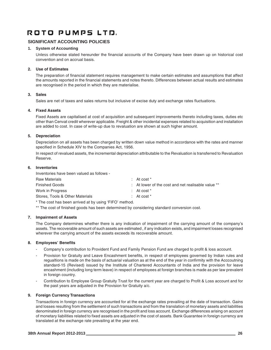## **SIGNIFICANT ACCOUNTING POLICIES**

## **1. System of Accounting**

Unless otherwise stated hereunder the financial accounts of the Company have been drawn up on historical cost convention and on accrual basis.

## **2. Use of Estimates**

The preparation of financial statement requires management to make certain estimates and assumptions that affect the amounts reported in the financial statements and notes thereto. Differences between actual results and estimates are recognised in the period in which they are materialise.

## **3. Sales**

Sales are net of taxes and sales returns but inclusive of excise duty and exchange rates fluctuations.

## **4. Fixed Assets**

Fixed Assets are capitalised at cost of acquisition and subsequent improvements thereto including taxes, duties etc other than Cenvat credit wherever applicable. Freight & other incidental expenses related to acquisition and installation are added to cost. In case of write-up due to revaluation are shown at such higher amount.

## **5. Depreciation**

Depreciation on all assets has been charged by written down value method in accordance with the rates and manner specified in Schedule XIV to the Companies Act, 1956.

In respect of revalued assets, the incremental depreciation attributable to the Revaluation is transferred to Revaluation Reserve.

## **6. Inventories**

Inventories have been valued as follows -

| <b>Raw Materials</b>            | : At cost $*$                                                 |
|---------------------------------|---------------------------------------------------------------|
| <b>Finished Goods</b>           | $\therefore$ At lower of the cost and net realisable value ** |
| Work in Progress                | : At cost $*$                                                 |
| Stores, Tools & Other Materials | $:$ At cost $*$                                               |
|                                 |                                                               |

\* The cost has been arrived at by using 'FIFO' method.

\*\* The cost of finished goods has been determined by considering standard conversion cost.

### **7. Impairment of Assets**

The Company determines whether there is any indication of impairment of the carrying amount of the company's assets. The recoverable amount of such assets are estimated , if any indication exists, and impairment losses recognised wherever the carrying amount of the assets exceeds its recoverable amount.

## **8. Employees' Benefits**

- Company's contribution to Provident Fund and Family Pension Fund are charged to profit & loss account.
- Provision for Gratuity and Leave Encashment benefits, in respect of employees governed by Indian rules and regualtions is made on the basis of actuarial valuation as at the end of the year in confirmity with the Acccoutning standard-15 (Revised) issued by the Institute of Chartered Accountants of India and the provision for leave encashment (including long term leave) in respect of employees at foreign branches is made as per law prevalent in foreign country.
- Contribution to Employee Group Gratuity Trust for the current year are charged to Profit & Loss account and for the past years are adjusted in the Provision for Gratuity a/c.

## **9. Foreign Currency Transactions**

Transactions in foreign currency are accounted for at the exchange rates prevailing at the date of transaction. Gains and losses resulting from the settlement of such transactions and from the translation of monetary assets and liabilities denominated in foreign currency are recognised in the profit and loss account. Exchange differences arising on account of monetary liabilities related to fixed assets are adjusted in the cost of assets. Bank Guarantee in foreign currency are translated at the exchange rate prevailing at the year end.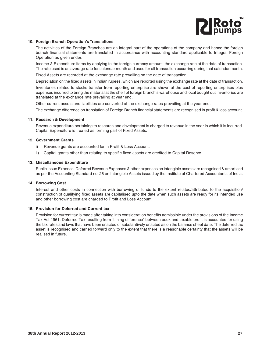

#### **10. Foreign Branch Operation's Translations**

The activities of the Foreign Branches are an integral part of the operations of the company and hence the foreign branch financial statements are translated in accordance with accounting standard applicable to Integral Foreign Operation as given under:

Income & Expenditure items by applying to the foreign currency amount, the exchange rate at the date of transaction. The rate used is an average rate for calendar month and used for all transaction occurring during that calendar month.

Fixed Assets are recorded at the exchange rate prevailing on the date of transaction.

Depreciation on the fixed assets in Indian rupees, which are reported using the exchange rate at the date of transaction.

Inventories related to stocks transfer from reporting enterprise are shown at the cost of reporting enterprises plus expenses incurred to bring the material at the shelf of foreign branch's warehouse and local bought out inventories are translated at the exchange rate prevailing at year end.

Other current assets and liabilities are converted at the exchange rates prevailing at the year end.

The exchange difference on translation of Foreign Branch financial statements are recognised in profit & loss account.

#### **11. Research & Development**

Revenue expenditure pertaining to research and development is charged to revenue in the year in which it is incurred. Capital Expenditure is treated as forming part of Fixed Assets.

#### **12. Government Grants**

- i) Revenue grants are accounted for in Profit & Loss Account.
- ii) Capital grants other than relating to specific fixed assets are credited to Capital Reserve.

#### **13. Miscellaneous Expenditure**

Public Issue Expense, Deferred Revenue Expenses & other expenses on intangible assets are recognised & amortised as per the Accounting Standard no. 26 on Intangible Assets issued by the Institute of Chartered Accountants of India.

### **14. Borrowing Cost**

Interest and other costs in connection with borrowing of funds to the extent related/attributed to the acquisition/ construction of qualifying fixed assets are capitalised upto the date when such assets are ready for its intended use and other borrowing cost are charged to Profit and Loss Account.

### **15. Provision for Deferred and Current tax**

Provision for current tax is made after taking into consideration benefits admissible under the provisions of the Income Tax Act,1961. Deferred Tax resulting from "timing difference" between book and taxable profit is accounted for using the tax rates and laws that have been enacted or substantively enacted as on the balance sheet date. The deferred tax asset is recognised and carried forward only to the extent that there is a reasonable certainty that the assets will be realised in future.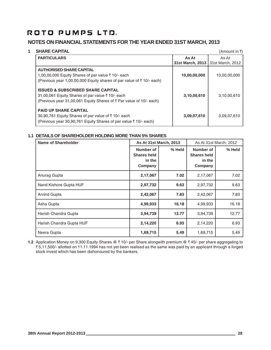## **NOTES ON FINANCIAL STATEMENTS FOR THE YEAR ENDED 31ST MARCH, 2013**

## **1** SHARE CAPITAL (Amount in ₹)

| As At            |                  |
|------------------|------------------|
|                  | As At            |
| 31st March, 2013 | 31st March, 2012 |
|                  |                  |
| 10,00,00,000     | 10,00,00,000     |
|                  |                  |
|                  |                  |
| 3,10,00,610      | 3,10,00,610      |
|                  |                  |
|                  |                  |
| 3,09,07,610      | 3,09,07,610      |
|                  |                  |
|                  |                  |

## **1.1 DETAILS OF SHAREHOLDER HOLDING MORE THAN 5% SHARES**

| <b>Name of Shareholder</b> | <b>As At 31st March, 2013</b>                        |        | As At 31st March, 2012                               |        |
|----------------------------|------------------------------------------------------|--------|------------------------------------------------------|--------|
|                            | Number of<br><b>Shares held</b><br>in the<br>Company | % Held | Number of<br><b>Shares held</b><br>in the<br>Company | % Held |
| Anurag Gupta               | 2,17,067                                             | 7.02   | 2,17,067                                             | 7.02   |
| Nand Kishore Gupta HUF     | 2,97,732                                             | 9.63   | 2,97,732                                             | 9.63   |
| <b>Arvind Gupta</b>        | 2,42,067                                             | 7.83   | 2,42,067                                             | 7.83   |
| Asha Gupta                 | 4,99,933                                             | 16.18  | 4,99,933                                             | 16.18  |
| Harish Chandra Gupta       | 3,94,739                                             | 12.77  | 3,94,739                                             | 12.77  |
| Harish Chandra Gupta HUF   | 2,14,220                                             | 6.93   | 2,14,220                                             | 6.93   |
| Neera Gupta                | 1,69,715                                             | 5.49   | 1,69,715                                             | 5.49   |

**1.2** Application Money on 9,300 Equity Shares @ ₹ 10/- per Share alongwith premium @ ₹ 45/- per share aggregating to ₹5,11,500/- allotted on 11.11.1994 has not yet been realised as the same was paid by an applicant through a forged stock invest which has been dishonoured by the bankers.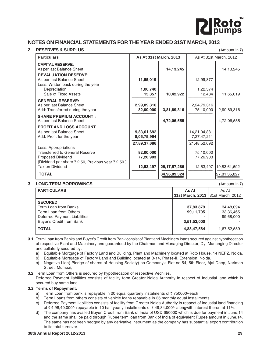

## **NOTES ON FINANCIAL STATEMENTS FOR THE YEAR ENDED 31ST MARCH, 2013**

## **2. RESERVES & SURPLUS** (Amount in  $\bar{x}$ )

**Particulars As At 31st March, 2013** As At 31st March, 2013 As At 31st March, 2012 **CAPITAL RESERVE:** As per last Balance Sheet **14,13,245** 14,13,245 14,13,245 **REVALUATION RESERVE:** As per last Balance Sheet **11,65,019** 12,99,877 Less: Written back during the year Depreciation **1,06,740** 1,06,740 1,22,374<br>Sale of Fixed Assets 15,357 10.42.922 12.484 Sale of Fixed Assets **15,357** 10,42,922 12,484 11,65,019<br>**GENERAL RESERVE:** As per last Balance Sheet **2,99,89,316** 2,24,79,316 Add: Transferred during the year **82,00,000** 3,81,89,316 75,10,000 2,99,89,316<br> **SHARE PREMIUM ACCOUNT :** As per last Balance Sheet 4,72,06,555 As per last Balance Sheet **PROFIT AND LOSS ACCOUNT** As per last Balance Sheet **19,83,61,692** 14,21,04,881 Add: Profit for the year **8,05,75,994** 7,27,47,211 **-----------------------------------------------------------** ------------------------------------------------------------ **27,89,37,686** 21,48,52,092 Less: Appropriations Transferred to General Reserve **82,00,000** 75,10,000 Proposed Dividend **77,26,903** 77,26,903 (Dividend per share  $\bar{\tau}$  2.50, Previous year  $\bar{\tau}$  2.50) Tax on Dividend<br>
TOTAL<br>
TOTAL<br>
TOTAL<br>
TOTAL<br>
TOTAL<br>
TOTAL<br>
TOTAL<br>
TOTAL<br>
TOTAL<br>
TOTAL<br>
TOTAL<br>
TOTAL<br>
TOTAL<br>
TOTAL<br>
TOTAL<br>
TOTAL<br>
TOTAL<br>
TOTAL<br>
TOTAL<br>
TOTAL<br>
TOTAL<br>
TOTAL<br>
TOTAL<br>
TOTAL<br>
TOTAL<br>
TOTAL<br>
TOTAL<br>
TOTAL<br>
TOTAL<br>
T

## **3 LONG-TERM BORROWINGS** (Amount in  $\bar{z}$ )

| As At                               | As At       |
|-------------------------------------|-------------|
| 31st March, 2013   31st March, 2012 |             |
|                                     |             |
| 37,83,879                           | 34,48,094   |
| 99,11,705                           | 33,36,465   |
|                                     | 99,68,000   |
| 3,51,52,000                         |             |
| 4,88,47,584                         | 1,67,52,559 |
|                                     |             |

**3.1** Term Loan from Banks and Buyer's Credit from Bank consist of Plant and Machinery loans secured against hypothecation of respective Plant and Machinery and guaranteed by the Chairman and Managing Director, Dy. Mananging Director and collaterly secured by:

a) Equitable Mortgage of Factory Land and Building, Plant and Machinery located at Roto House, 14 NEPZ, Noida.

b) Equitable Mortgage of Factory Land and Building located at B-14, Phase-II, Extension, Noida.

c) Negative Lien( Pledge of shares of Housing Society) on Company's Flat no 54, 5th Floor, Ajai Deep, Nariman Street, Mumbai,

**3.2** Term Loan from Others is secured by hypothecation of respective Vechiles. Deferred Payment liabilities consists of facility form Greater Noida Authority in respect of Industial land which is secured buy same land.

## **3.2 Terms of Repayment:**

- a) Term Loan from bank is repayable in 20 equal quarterly instalments of  $\bar{z}$  750000/-each
- b) Term Loans from others consists of vehicle loans repayable in 36 monthly equal installments.
- c) Deferred Payment liabilities consists of facility from Greater Noida Authority in respect of Industial land financing of  $\bar{\tau}$  4,98,40,000/- repayable in 10 half yearly installments of  $\bar{\tau}$  49,84,000/- alongwith interest theron at 11%.
- d) The company has availed Buyer' Credit from Bank of India of USD 650000 which is due for payment in June,14 and the same shall be paid through Rupee term loan from Bank of India of equivalent Rupee amount in June,14. The same has not been hedged by any derivative instrument as the company has substantial export contribution to its total turnover.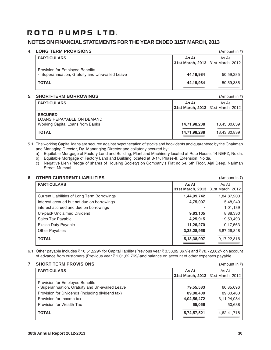## **NOTES ON FINANCIAL STATEMENTS FOR THE YEAR ENDED 31ST MARCH, 2013**

## **4. LONG TERM PROVISIONS** (Amount in  $\bar{x}$ )

| <b>PARTICULARS</b>                              | As At                               | As At     |
|-------------------------------------------------|-------------------------------------|-----------|
|                                                 | 31st March, 2013   31st March, 2012 |           |
| <b>Provision for Employee Benefits</b>          |                                     |           |
| - Superannuation, Gratuity and Un-availed Leave | 44,19,984                           | 50,59,385 |
| <b>TOTAL</b>                                    | 44,19,984                           | 50,59,385 |
|                                                 |                                     |           |

## **5. SHORT-TERM BORROWINGS** (Amount in  $\bar{x}$ )

| <u>UIUINTILINII DUINNUINUU</u>                     |                                     | $\sqrt{ }$   |
|----------------------------------------------------|-------------------------------------|--------------|
| <b>PARTICULARS</b>                                 | As At                               | As At        |
|                                                    | 31st March, 2013   31st March, 2012 |              |
| <b>SECURED</b><br><b>LOANS REPAYABLE ON DEMAND</b> |                                     |              |
| Working Capital Loans from Banks                   | 14,71,98,288                        | 13,43,30,839 |
| <b>TOTAL</b>                                       | 14,71,98,288                        | 13,43,30,839 |

5.1 The working Capital loans are secured against hypothecation of stocks and book debts and guaranteed by the Chairman and Managing Director, Dy. Mananging Director and collaterly secured by:

a) Equitable Mortgage of Factory Land and Building, Plant and Machinery located at Roto House, 14 NEPZ, Noida.

b) Equitable Mortgage of Factory Land and Building located at B-14, Phase-II, Extension, Noida.

c) Negative Lien (Pledge of shares of Housing Society) on Company's Flat no 54, 5th Floor, Ajai Deep, Nariman Street, Mumbai.

## **6 OTHER CURRRENT LIABILITIES** (Amount in  $\bar{x}$ )

| <b>PARTICULARS</b>                          | As At<br>31st March, 2013 | As At<br>31st March, 2012 |
|---------------------------------------------|---------------------------|---------------------------|
| Current Liabilities of Long Term Borrowings | 1,44,99,742               | 1,84,87,203               |
| Interest accrued but not due on borrowings  | 4,75,007                  | 5,48,240                  |
| interest accrued and due on borrowings      |                           | 1,01,139                  |
| Un-paid/ Unclaimed Dividend                 | 9,83,105                  | 8,88,330                  |
| Sales Tax Payable                           | 4,25,915                  | 19,53,493                 |
| <b>Excise Duty Payable</b>                  | 11,26,270                 | 10,17,563                 |
| <b>Other Payables</b>                       | 3,38,28,958               | 6,87,26,848               |
| <b>TOTAL</b>                                | 5, 13, 38, 997            | 9,17,22,816               |

6.1 Other payable includes  $\bar{t}$  10,51,229/- for Capital liability (Previous year  $\bar{t}$  3,58,92,367/-) and  $\bar{t}$  78,72,662/- on account of advance from customers (Previous year  $\bar{\tau}$  1,01,62,769/-and balance on account of other expenses payable.

| <b>SHORT TERM PROVISIONS</b>                                                       |                                     | (Amount in ₹)  |
|------------------------------------------------------------------------------------|-------------------------------------|----------------|
| <b>PARTICULARS</b>                                                                 | As At                               | As At          |
|                                                                                    | 31st March, 2013   31st March, 2012 |                |
| Provision for Employee Benefits<br>- Superannuation, Gratuity and Un-availed Leave | 79,55,583                           | 60,85,696      |
| Provision for Dividends (including dividend tax)                                   | 89,80,400                           | 89,80,400      |
| Provision for Income tax                                                           | 4,04,56,472                         | 3, 11, 24, 984 |
| Provision for Wealth Tax                                                           | 65,066                              | 50,638         |
| <b>TOTAL</b>                                                                       | 5,74,57,521                         | 4,62,41,718    |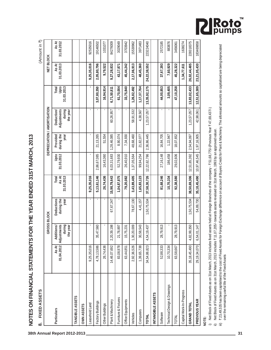| ֧֧ׅ֧֪֧֪֪֪֪֪֪֪֪֪֪֧֚֚֚֚֚֚֚֚֚֚֚֚֚֚֚֚֚֚֚֚֚֚֚֚֬֡֡֡֡֡֡֡֬֝֬֜֓֓֝֓֝֬ |
|-------------------------------------------------------------|
|                                                             |
| Í                                                           |
|                                                             |
|                                                             |
|                                                             |
|                                                             |
|                                                             |
|                                                             |
|                                                             |
|                                                             |
|                                                             |
|                                                             |
| c CLCIAL C <l\ l\<="" td=""></l\>                           |
|                                                             |
|                                                             |
|                                                             |
|                                                             |
|                                                             |
|                                                             |
|                                                             |
|                                                             |
|                                                             |
|                                                             |
|                                                             |
|                                                             |
|                                                             |
| i                                                           |
|                                                             |
|                                                             |
|                                                             |
|                                                             |
|                                                             |
|                                                             |
| i<br>I                                                      |
|                                                             |
|                                                             |
|                                                             |
|                                                             |
|                                                             |
| י                                                           |
|                                                             |
|                                                             |
|                                                             |
|                                                             |
|                                                             |
| ļ                                                           |
|                                                             |
|                                                             |
|                                                             |
| $\overline{\phantom{a}}$<br>I                               |

| FIXED ASSETS<br>ထံ                                                                                                                                                                                                                                                                                                                                                                                                                                                                                                                                                                                                      |                     |                                                 |                                  |                              |                    |                                |                                                 |                             |                     | (Amount in 7)       |
|-------------------------------------------------------------------------------------------------------------------------------------------------------------------------------------------------------------------------------------------------------------------------------------------------------------------------------------------------------------------------------------------------------------------------------------------------------------------------------------------------------------------------------------------------------------------------------------------------------------------------|---------------------|-------------------------------------------------|----------------------------------|------------------------------|--------------------|--------------------------------|-------------------------------------------------|-----------------------------|---------------------|---------------------|
|                                                                                                                                                                                                                                                                                                                                                                                                                                                                                                                                                                                                                         |                     | GROSS BLOCK                                     |                                  |                              |                    |                                | DEPRECIATION / AMORTISATION                     |                             | NET BLOCK           |                     |
| Particulars                                                                                                                                                                                                                                                                                                                                                                                                                                                                                                                                                                                                             | 01.04.2012<br>As At | Adjustments<br>during<br>Additions/<br>the year | during the<br>Deductions<br>year | 31.03.2013<br>As At<br>Total | Upto<br>31.03.2012 | Provided<br>during the<br>year | Adjustments<br>during<br>the year<br>Deduction/ | Upto<br>31.03.2013<br>Total | As At<br>31.03.2013 | As At<br>31.03.2012 |
| TANGIBLE ASSETS                                                                                                                                                                                                                                                                                                                                                                                                                                                                                                                                                                                                         |                     |                                                 |                                  |                              |                    |                                |                                                 |                             |                     |                     |
| <b>OWN ASSETS</b>                                                                                                                                                                                                                                                                                                                                                                                                                                                                                                                                                                                                       |                     |                                                 |                                  |                              |                    |                                |                                                 |                             |                     |                     |
| Leasehold Land                                                                                                                                                                                                                                                                                                                                                                                                                                                                                                                                                                                                          | 9,25,35,016         |                                                 |                                  | 9,25,35,016                  |                    |                                |                                                 |                             | 9,25,35,016         | 92535016            |
| Factory Buildings                                                                                                                                                                                                                                                                                                                                                                                                                                                                                                                                                                                                       | 4,78,13,586         | 35,47,560                                       |                                  | 5,13,61,146                  | 2,86,67,085        | 21,13,265                      |                                                 | 3,07,80,350                 | 2,05,80,796         | 19146502            |
| Other Buildings                                                                                                                                                                                                                                                                                                                                                                                                                                                                                                                                                                                                         | 26,74,436           |                                                 |                                  | 26,74,436                    | 16,43,360          | 51,554                         |                                                 | 16,94,914                   | 9,79,522            | 1031077             |
| Plant & Machinery                                                                                                                                                                                                                                                                                                                                                                                                                                                                                                                                                                                                       | 14,46,07,692        | 20,39,198<br>2,                                 | 67,67,247                        | 15,98,79,643                 | 6,03,31,683        | 1,28,46,085                    | 60,26,957                                       | 6,71,50,811                 | 9,27,28,832         | 84276009            |
| Furniture & Fixtures                                                                                                                                                                                                                                                                                                                                                                                                                                                                                                                                                                                                    | 83,08,978           | 21,78,897                                       |                                  | 1,04,87,875                  | 52,79,930          | 8,90,074                       |                                                 | 61,70,004                   | 43,17,871           | 3029049             |
| Office Equipments                                                                                                                                                                                                                                                                                                                                                                                                                                                                                                                                                                                                       | 63,44,851           | 15,75,231                                       |                                  | 79,20,082                    | 26,40,910          | 7,34,930                       |                                                 | 33,75,840                   | 45,44,242           | 3703942             |
| Vehicles                                                                                                                                                                                                                                                                                                                                                                                                                                                                                                                                                                                                                | 2,92,36,526         | 1,30,20,009                                     | 78,67,130                        | 3,43,89,405                  | 1,37,05,564        | 48,68,460                      | 58,91,532                                       | 1,26,82,492                 | 2,17,06,913         | 15530962            |
| Computers                                                                                                                                                                                                                                                                                                                                                                                                                                                                                                                                                                                                               | 1,39,65,738         | 30,58,543                                       | 4,41,157                         | 1,65,83,123                  | 99,94,254          | 21,82,077                      | 4,38,567                                        | 1,17,37,764                 | 48,45,360           | 3971483             |
| TOTAL                                                                                                                                                                                                                                                                                                                                                                                                                                                                                                                                                                                                                   | 34,54,86,823        | 4,54,19,437                                     | ,50,75,534                       | 37,58,30,726                 | 12,22,62,786       | 2,36,86,445                    | 1,23,57,057                                     | 13,35,92,175                | 24,22,38,552        | 223224040           |
| INTANGIBLE ASSETS                                                                                                                                                                                                                                                                                                                                                                                                                                                                                                                                                                                                       |                     |                                                 |                                  |                              |                    |                                |                                                 |                             |                     |                     |
| Software                                                                                                                                                                                                                                                                                                                                                                                                                                                                                                                                                                                                                | 52,88,333           | 28,79,913                                       |                                  | 81,68,246                    | 27, 16, 148        | 16,84,705                      | ٠                                               | 44,00,853                   | 37,67,393           | 2572185             |
| Technical Design & Drawings                                                                                                                                                                                                                                                                                                                                                                                                                                                                                                                                                                                             | 10,70,334           |                                                 |                                  | 10,70,334                    | 186,458            | 1,22,947                       |                                                 | 3,09,405                    | 7,60,929            | 883876              |
| <b>TOTAL</b>                                                                                                                                                                                                                                                                                                                                                                                                                                                                                                                                                                                                            | 63,58,667           | 28,79,913                                       |                                  | 92,38,580                    | 29,02,606          | 18,07,652                      |                                                 | 47,10,258                   | 45,28,322           | 3456061             |
| Capital Work-In-Progress                                                                                                                                                                                                                                                                                                                                                                                                                                                                                                                                                                                                |                     |                                                 |                                  |                              |                    |                                |                                                 |                             | 1,34,77,611         | 1638274             |
| <b>GRAND TOTAL</b>                                                                                                                                                                                                                                                                                                                                                                                                                                                                                                                                                                                                      | 35, 18, 45, 490     | 4,82,99,350                                     | 1,50,75,534                      | 38,50,69,306                 | 12,51,65,392       | 2,54,94,097                    | 1,23,57,057                                     | 13,83,02,433                | 26,02,44,485        | 228318375           |
| PREVIOUS YEAR                                                                                                                                                                                                                                                                                                                                                                                                                                                                                                                                                                                                           | 29, 19, 34, 070     | 6,54,01,147                                     | 54,89,730                        | 35,18,45,490                 | 10,97,46,545       | 1,97,16,905                    | 42,98,061                                       | 12,51,65,389                | 23,21,05,430        | 183469858           |
| ₹23,49,535 has been capitalised to the cost of Fixed Assets for Foreign Exchange difference on account of Buyers Credit for Plant & Machinery. The aforesaid amounts so capitalised are being depreciated<br>Net Block of Fixed Assets as on 31st March, 2013 includes fixed assets held at Foreign Branches of the company - ₹ 51,68,775/-(Previous Year ₹ 47,69,437/-)<br>Net Block of Fixed Assets as on 31st March, 2013 includes ₹ 11,07,205/- towards assets revalued on 31st March, 1993 by an approved valuer.<br>over the remaining useful life of the Fixed Assets<br>NOTE:<br>$\widehat{=}$<br>$\Rightarrow$ |                     |                                                 |                                  |                              |                    |                                |                                                 |                             |                     |                     |

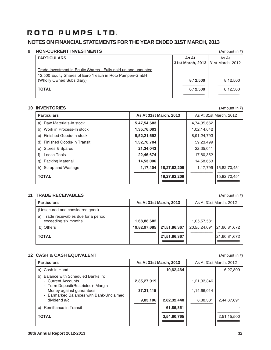## **NOTES ON FINANCIAL STATEMENTS FOR THE YEAR ENDED 31ST MARCH, 2013**

## **9 NON-CURRENT INVESTMENTS** (Amount in ₹)

| <b>PARTICULARS</b>                                                                                                        | As At<br>31st March, 2013   31st March, 2012 | As At                |
|---------------------------------------------------------------------------------------------------------------------------|----------------------------------------------|----------------------|
| Trade Investment in Equity Shares - Fully paid up and unquoted<br>12,500 Equity Shares of Euro 1 each in Roto Pumpen-GmbH |                                              |                      |
| (Wholly Owned Subsidiary)<br><b>TOTAL</b>                                                                                 | 8,12,500<br>8,12,500                         | 8,12,500<br>8,12,500 |

## **10 INVENTORIES** (Amount in  $\bar{x}$ )

| <b>Particulars</b>            |             | <b>As At 31st March, 2013</b> |             | As At 31st March, 2012 |
|-------------------------------|-------------|-------------------------------|-------------|------------------------|
| a) Raw Materials-In stock     | 5,47,54,683 |                               | 4,74,35,662 |                        |
| b) Work in Process-In stock   | 1,35,76,003 |                               | 1,02,14,642 |                        |
| c) Finished Goods-In stock    | 9,52,21,692 |                               | 8,91,24,793 |                        |
| d) Finished Goods-In Transit  | 1,32,78,704 |                               | 59,23,499   |                        |
| e) Stores & Spares            | 21,34,043   |                               | 22,35,041   |                        |
| Loose Tools<br>f)             | 22,46,674   |                               | 17,60,352   |                        |
| <b>Packing Material</b><br>g) | 14,53,006   |                               | 14,58,663   |                        |
| h) Scrap and Wastage          | 1,17,404    | 18,27,82,209                  | 1,17,799    | 15,82,70,451           |
| <b>TOTAL</b>                  |             | 18,27,82,209                  |             | 15,82,70,451           |

## **11 TRADE RECEIVABLES** (Amount in ₹)

**Particulars As At 31st March, 2013** As At 31st March, 2012 As At 31st March, 2012 (Unsecured and considered good) a) Trade receivables due for a period exceeding six months **1,68,88,682** 1,68,89,682 1,05,57,581 b) Others **19,82,97,685 21,51,86,367** 20,55,24,091 21,60,81,672 **------------------------------------------------------ ------------------------------------------------------** ------------------------------------------------------ ------------------------------------------------------ **TOTAL** 21,51,86,367 21,51,86,367 21,51,80,367 21,51,80,81,672 **=================================** ==================================

## **12 CASH & CASH EQUIVALENT** (Amount in ₹)

| <b>Particulars</b>                                                                                  | <b>As At 31st March, 2013</b> |             |             | As At 31st March, 2012 |
|-----------------------------------------------------------------------------------------------------|-------------------------------|-------------|-------------|------------------------|
| a) Cash in Hand                                                                                     |                               | 10,62,464   |             | 6,27,809               |
| Balance with Scheduled Banks In:<br>b)<br>- Current Accounts<br>- Term Deposit(Restricted) - Margin | 2,35,27,919                   |             | 1,21,33,346 |                        |
| Money against guarantees                                                                            | 37,21,415                     |             | 1,14,66,014 |                        |
| - Earmarked Balances with Bank-Unclaimed<br>dividend a/c                                            | 9,83,106                      | 2,82,32,440 | 8,88,331    | 2,44,87,691            |
| <b>Remittance in Transit</b><br>C)                                                                  |                               | 61,85,861   |             |                        |
| <b>TOTAL</b>                                                                                        |                               | 3,54,80,765 |             | 2,51,15,500            |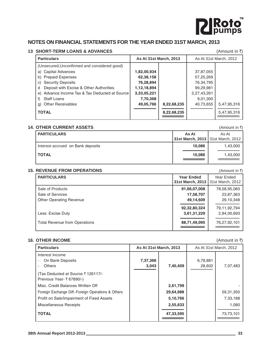

## **NOTES ON FINANCIAL STATEMENTS FOR THE YEAR ENDED 31ST MARCH, 2013**

## 13 SHORT-TERM LOANS & ADVANCES **13 SHORT-TERM LOANS & ADVANCES** (Amount in  $\bar{x}$ )

| <b>Particulars</b>                             | <b>As At 31st March, 2013</b> |             |             | As At 31st March, 2012 |
|------------------------------------------------|-------------------------------|-------------|-------------|------------------------|
| (Unsecured, Unconfirmed and considered good)   |                               |             |             |                        |
| a) Capital Advances                            | 1,82,00,934                   |             | 37,87,055   |                        |
| <b>Prepaid Expenses</b><br>b)                  | 62,38,158                     |             | 57,25,269   |                        |
| <b>Security Deposits</b><br>C)                 | 76,28,894                     |             | 76,34,795   |                        |
| Deposit with Excise & Other Authorities<br>d   | 1,12,18,894                   |             | 99,29,981   |                        |
| e) Advance Income Tax & Tax Deducted at Source | 3,33,05,221                   |             | 2,27,43,261 |                        |
| Staff Loans<br>f)                              | 7,70,368                      |             | 9,01,300    |                        |
| <b>Other Receivables</b><br>g)                 | 49,05,766                     | 8,22,68,235 | 40,73,655   | 5,47,95,316            |
| <b>TOTAL</b>                                   |                               | 8,22,68,235 |             | 5,47,95,316            |

## **14. OTHER CURRENT ASSETS 10. In the set of the set of the set of the set of the set of the set of the set of the set of the set of the set of the set of the set of the set of the set of the set of the set of the set of**

| <b>PARTICULARS</b>                | As At<br>31st March, 2013 31st March, 2012 | As At    |
|-----------------------------------|--------------------------------------------|----------|
| Interest accrued on Bank deposits | 10.086                                     | 1,43,000 |
| <b>TOTAL</b>                      | 10.086                                     | 1,43,000 |
|                                   |                                            |          |

## **15. REVENUE FROM OPERATIONS 15. REVENUE FROM OPERATIONS 15.**

| <b>PARTICULARS</b>                   | <b>Year Ended</b><br>31st March, 2013 | Year Ended<br>31st March, 2012 |
|--------------------------------------|---------------------------------------|--------------------------------|
| Sale of Products                     | 91,66,07,008                          | 78,58,95,083                   |
| Sale of Services                     | 17,58,707                             | 23,87,363                      |
| <b>Other Operating Revenue</b>       | 49,14,609                             | 29,10,348                      |
|                                      | 92,32,80,324                          | 79,11,92,794                   |
| Less: Excise Duty                    | 3,61,31,229                           | 2,84,00,693                    |
| <b>Total Revenue from Operations</b> | 88,71,49,095                          | 76,27,92,101                   |

## **16. OTHER INCOME** (Amount in ₹)

| <b>Particulars</b>                                 |          | <b>As At 31st March, 2013</b> |          | As At 31st March, 2012 |
|----------------------------------------------------|----------|-------------------------------|----------|------------------------|
| Interest Income                                    |          |                               |          |                        |
| On Bank Deposits                                   | 7,37,366 |                               | 6,78,881 |                        |
| <b>Others</b>                                      | 3,043    | 7,40,409                      | 28,602   | 7,07,483               |
| (Tax Deducted at Source ₹ 126117/-                 |          |                               |          |                        |
| Previous Year- ₹ 67890/-)                          |          |                               |          |                        |
| Misc. Credit Balances Written Off                  |          | 2,61,799                      |          |                        |
| Foreign Exchange Diff.-Foreign Operations & Others |          | 29,64,988                     |          | 59,31,350              |
| Profit on Sale/Impairment of Fixed Assets          |          | 5,10,766                      |          | 7,33,188               |
| Miscellaneous Receipts                             |          | 2,55,633                      |          | 1,080                  |
| <b>TOTAL</b>                                       |          | 47,33,595                     |          | 73,73,101              |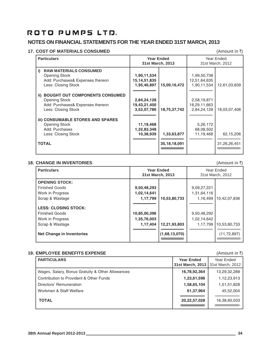## **NOTES ON FINANCIAL STATEMENTS FOR THE YEAR ENDED 31ST MARCH, 2013**

## **17. COST OF MATERIALS CONSUMED** (Amount in ₹)

| <b>Particulars</b>                                                                                                       | 31st March, 2013                              | <b>Year Ended</b>              |                                            | Year Ended<br>31st March, 2012 |
|--------------------------------------------------------------------------------------------------------------------------|-----------------------------------------------|--------------------------------|--------------------------------------------|--------------------------------|
| <b>RAW MATERIALS CONSUMED</b><br>i)<br>Opening Stock<br>Add: Purchases& Expenses thereon<br>Less: Closing Stock          | 1,90,11,534<br>15, 14, 51, 835<br>1,95,46,897 | 15,09,16,472                   | 1,99,50,738<br>12,51,64,635<br>1,90,11,534 | 12,61,03,839                   |
| <b>BOUGHT OUT COMPONENTS CONSUMED</b><br>ii)<br>Opening Stock<br>Add: Purchases& Expenses thereon<br>Less: Closing Stock | 2,84,24,128<br>19,43,21,400<br>3,52,07,786    | 18,75,37,742                   | 2,58,19,871<br>18,29,11,663<br>2,84,24,128 | 18,03,07,406                   |
| <b>iii) CONSUMABLE STORES AND SPARES</b><br>Opening Stock<br>Add: Purchases<br>Less: Closing Stock<br><b>TOTAL</b>       | 11,19,468<br>1,32,83,348<br>10,38,939         | 1,33,63,877<br>35, 18, 18, 091 | 5,26,172<br>68,08,502<br>11,19,468         | 62,15,206<br>31,26,26,451      |
|                                                                                                                          |                                               |                                |                                            |                                |

## **18. CHANGE IN INVENTORIES** (Amount in ₹)

| <b>Particulars</b>                                                       |                             | <b>Year Ended</b><br>31st March, 2013 |                            | Year Ended<br>31st March, 2012 |
|--------------------------------------------------------------------------|-----------------------------|---------------------------------------|----------------------------|--------------------------------|
| <b>OPENING STOCK:</b>                                                    |                             |                                       |                            |                                |
| <b>Finished Goods</b>                                                    | 9,50,48,293                 |                                       | 9,09,27,221                |                                |
| Work in Progress                                                         | 1,02,14,641                 |                                       | 1,31,64,116                |                                |
| Scrap & Wastage                                                          | 1,17,799                    | 10,53,80,733                          | 1,16,499                   | 10,42,07,836                   |
| <b>LESS: CLOSING STOCK:</b><br><b>Finished Goods</b><br>Work in Progress | 10,85,00,396<br>1,35,76,003 |                                       | 9,50,48,292<br>1,02,14,642 |                                |
| Scrap & Wastage                                                          | 1,17,404                    | 12,21,93,803                          | 1,17,799                   | 10,53,80,733                   |
| <b>Net Change in Inventories</b>                                         |                             | (1,68,13,070)                         |                            | (11, 72, 897)                  |

## **19. EMPLOYEE BENEFITS EXPENSE** (Amount in ₹)

|  | <b>PARTICULARS</b>                               | <b>Year Ended</b><br>31st March, 2013   31st March, 2012 | Year Ended   |
|--|--------------------------------------------------|----------------------------------------------------------|--------------|
|  | Wages, Salary, Bonus Gratuity & Other Allowances | 16,78,92,364                                             | 13,29,32,288 |
|  | Contribution to Provident & Other Funds          | 1,23,61,596                                              | 1,12,23,913  |
|  | Directors' Remuneration                          | 1,58,65,104                                              | 1,51,51,828  |
|  | Workmen & Staff Welfare                          | 61,37,964                                                | 45,52,004    |
|  | <b>TOTAL</b>                                     | 20,22,57,028                                             | 16,38,60,033 |
|  |                                                  |                                                          |              |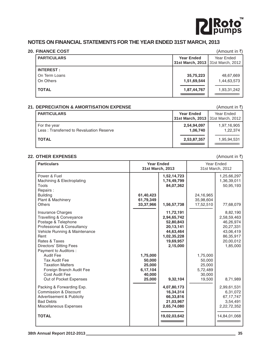

## **NOTES ON FINANCIAL STATEMENTS FOR THE YEAR ENDED 31ST MARCH, 2013**

## **20. FINANCE COST** (Amount in ₹)

| <b>PARTICULARS</b> | <b>Year Ended</b> | Year Ended                          |
|--------------------|-------------------|-------------------------------------|
|                    |                   | 31st March, 2013   31st March, 2012 |
| <b>INTEREST:</b>   |                   |                                     |
| On Term Loans      | 35,75,223         | 48,67,669                           |
| On Others          | 1,51,69,544       | 1,44,63,573                         |
| <b>TOTAL</b>       | 1,87,44,767       | 1,93,31,242                         |
|                    |                   |                                     |

## **21. DEPRECIATION & AMORTISATION EXPENSE** (Amount in ₹)

| <b>PARTICULARS</b>                                       | <b>Year Ended</b><br>31st March, 2013   31st March, 2012 | Year Ended              |
|----------------------------------------------------------|----------------------------------------------------------|-------------------------|
| For the year<br>Less: Transferred to Revaluation Reserve | 2,54,94,097<br>1,06,740                                  | 1,97,16,905<br>1,22,374 |
| <b>TOTAL</b>                                             | 2,53,87,357                                              | 1,95,94,531             |

## **22. OTHER EXPENSES** (Amount in ₹)

| <b>Particulars</b>                                                                                                                                                                            |                                                              | <b>Year Ended</b><br>31st March, 2013                                                                   |                                                              | Year Ended<br>31st March, 2012                                                                       |
|-----------------------------------------------------------------------------------------------------------------------------------------------------------------------------------------------|--------------------------------------------------------------|---------------------------------------------------------------------------------------------------------|--------------------------------------------------------------|------------------------------------------------------------------------------------------------------|
| Power & Fuel<br>Machining & Electroplating<br>Tools                                                                                                                                           |                                                              | 1,52,14,723<br>1,74,49,799<br>84,07,362                                                                 |                                                              | 1,25,66,297<br>1,36,39,011<br>50,95,193                                                              |
| Repairs:<br><b>Building</b><br>Plant & Machinery<br><b>Others</b>                                                                                                                             | 61,40,423<br>61,79,349<br>33,37,966                          | 1,56,57,738                                                                                             | 24,16,965<br>35,98,604<br>17,52,510                          | 77,68,079                                                                                            |
| <b>Insurance Charges</b><br>Travelling & Conveyance<br>Postage & Telephone<br>Professional & Consultancy<br>Vehicle Running & Maintenance<br>Rent<br>Rates & Taxes<br>Directors' Sitting Fees |                                                              | 11,72,191<br>2,94,65,742<br>52,80,843<br>20,13,141<br>44,63,464<br>1,02,35,228<br>19,69,957<br>2,15,000 |                                                              | 8,82,190<br>2,58,59,463<br>46,26,974<br>20,27,331<br>43,06,419<br>86,35,917<br>20,00,012<br>1,85,000 |
| Payment to Auditors :<br><b>Audit Fee</b><br><b>Tax Audit Fee</b><br><b>Taxation Matters</b><br>Foreign Branch Audit Fee<br>Cost Audit Fee<br>Out of Pocket Expenses                          | 1,75,000<br>50,000<br>25,000<br>6,17,104<br>40,000<br>25,000 | 9,32,104                                                                                                | 1,75,000<br>50,000<br>25,000<br>5,72,489<br>30,000<br>19,500 | 8,71,989                                                                                             |
| Packing & Forwarding Exp.<br><b>Commission &amp; Discount</b><br><b>Advertisement &amp; Publicity</b><br><b>Bad Debts</b><br>Miscellaneous Expenses                                           |                                                              | 4,07,80,173<br>16,34,314<br>66,33,816<br>21,03,967<br>2,65,74,080                                       |                                                              | 2,99,61,531<br>6,31,072<br>67, 17, 747<br>3,54,491<br>2,22,72,352                                    |
| <b>TOTAL</b>                                                                                                                                                                                  |                                                              | 19,02,03,642                                                                                            |                                                              | 14,84,01,068                                                                                         |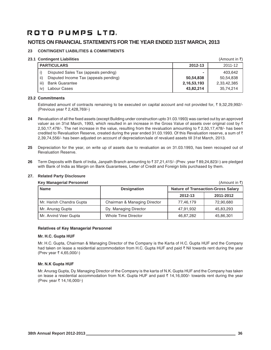## **NOTES ON FINANCIAL STATEMENTS FOR THE YEAR ENDED 31ST MARCH, 2013**

## **23 CONTINGENT LIABILITIES & COMMITMENTS**

## **23.1 Contingent Liabilities** (Amount in ₹)

|      |                                       |             | $(1 \text{ m})$ $\cup$ $\cup$ $\cup$ $\cup$ $\cup$ $\cup$ |
|------|---------------------------------------|-------------|-----------------------------------------------------------|
|      | <b>PARTICULARS</b>                    | 2012-13     | 2011-12                                                   |
|      | Disputed Sales Tax (appeals pending)  | ٠           | 403.642                                                   |
| ii)  | Disputed Income Tax (appeals pending) | 50.54.838   | 50,54,838                                                 |
| iii) | <b>Bank Guarantee</b>                 | 2,16,53,193 | 2,33,42,385                                               |
| iv)  | Labour Cases                          | 43,82,214   | 35,74,214                                                 |

### **23.2 Commitments**

Estimated amount of contracts remaining to be executed on capital account and not provided for,  $\bar{\tau}$  9,32,29,992/-(Previous year ₹ 2,428,769/-)

- **24** Revaluation of all the fixed assets (except Building under construction upto 31.03.1993) was carried out by an approved valuer as on 31st March, 1993, which resulted in an increase in the Gross Value of assets over original cost by  $\bar{\tau}$ 2,50,17,478/-. The net increase in the value, resulting from the revaluation amounting to  $\bar{z}$  2,50,17,478/- has been credited to Revaluation Reserve, created during the year ended 31.03.1993. Of this Revaluation reserve, a sum of  $\bar{\tau}$ 2,39,74,556/- has been adjusted on account of depreciation/sale of revalued assets till 31st March, 2013.
- **25** Depreciation for the year, on write up of assets due to revaluation as on 31.03.1993, has been recouped out of Revaluation Reserve.
- **26** Term Deposits with Bank of India, Janpath Branch amounting to  $\bar{x}$  37,21,415/- (Prev. year  $\bar{x}$  89,24,823/-) are pledged with Bank of India as Margin on Bank Guarantees, Letter of Credit and Foreign biils purchased by them.

| <b>Key Managerial Personnel</b> |                              |                                           | (Amount in ₹) |  |
|---------------------------------|------------------------------|-------------------------------------------|---------------|--|
| <b>Name</b>                     | <b>Designation</b>           | <b>Nature of Transaction-Gross Salary</b> |               |  |
|                                 |                              | 2012-13                                   | 2011-2012     |  |
| Mr. Harish Chandra Gupta        | Chairman & Managing Director | 77,46,179                                 | 72,90,680     |  |
| Mr. Anurag Gupta                | Dy. Managing Director        | 47.91.932                                 | 45,83,293     |  |
| Mr. Arvind Veer Gupta           | Whole Time Director          | 46,87,282                                 | 45,86,301     |  |

## **27. Related Party Disclosure**

## **Relatives of Key Managerial Personnel**

### **Mr. H.C. Gupta HUF**

Mr. H.C. Gupta, Chairman & Managing Director of the Company is the Karta of H.C. Gupta HUF and the Company had taken on lease a residential accommodation from H.C. Gupta HUF and paid ₹ Nil towards rent during the year (Prev year ₹ 4,65,000/-)

### **Mr. N.K Gupta HUF**

Mr. Anurag Gupta, Dy. Managing Director of the Company is the karta of N.K. Gupta HUF and the Company has taken on lease a residential accommodation from N.K. Gupta HUF and paid  $\bar{\tau}$  14,16,000/- towards rent during the year (Prev. year ₹ 14,16,000/-)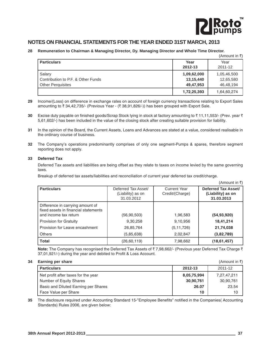

 $(\Delta$ mount in  $\bar{x}$ )

## **NOTES ON FINANCIAL STATEMENTS FOR THE YEAR ENDED 31ST MARCH, 2013**

## **28 Remuneration to Chairman & Managing Director, Dy. Managing Director and Whole Time Director.**

|                                                                     |                                       | $\mathcal{U}$ will would not $\mathcal{U}$ |
|---------------------------------------------------------------------|---------------------------------------|--------------------------------------------|
| <b>Particulars</b>                                                  | Year<br>2012-13                       | Year<br>2011-12                            |
| Salary<br>l Contribution to P.F. & Other Funds<br>Other Perquisites | 1,09,62,000<br>13,15,440<br>49,47,953 | 1,05,46,500<br>12,65,580<br>46,48,194      |
|                                                                     | 1,72,25,393                           | 1,64,60,274                                |

- **29** Income/(Loss) on difference in exchange rates on account of foreign currency transactions relating to Export Sales amounting to  $\bar{\tau}$  34,42,735/- (Previous Year - ( $\bar{\tau}$  38,91,826/-)) has been grouped with Export Sale.
- **30** Excise duty payable on finished goods/Scrap Stock lying in stock at factory amounting to ₹11,11,553/- (Prev. year ₹ 5,61,602/-) has been included in the value of the closing stock after creating suitable provision for liability.
- **31** In the opinion of the Board, the Current Assets, Loans and Advances are stated at a value, considered realisable in the ordinary course of business.
- **32** The Company's operations predominantly comprises of only one segment-Pumps & spares, therefore segment reporting does not apply.

## **33 Deferred Tax**

Deferred Tax assets and liabilities are being offset as they relate to taxes on income levied by the same governing laws.

Breakup of deferred tax assets/liabilities and reconciliation of current year deferred tax credit/charge.

|                                                                                                   |                                                        |                                        | (Amount in ₹)                                          |
|---------------------------------------------------------------------------------------------------|--------------------------------------------------------|----------------------------------------|--------------------------------------------------------|
| <b>Particulars</b>                                                                                | Deferred Tax Asset/<br>(Liability) as on<br>31.03.2012 | <b>Current Year</b><br>Credit/(Charge) | Deferred Tax Asset/<br>(Liability) as on<br>31.03.2013 |
| Difference in carrying amount of<br>fixed assets in financial statements<br>and income tax return | (56, 90, 503)                                          | 1,96,583                               | (54, 93, 920)                                          |
| <b>Provision for Gratuity</b>                                                                     | 9,30,258                                               | 9,10,956                               | 18,41,214                                              |
| Provision for Leave encashment                                                                    | 26,85,764                                              | (5, 11, 726)                           | 21,74,038                                              |
| Others                                                                                            | (5,85,638)                                             | 2,02,847                               | (3,82,789)                                             |
| <b>Total</b>                                                                                      | (26, 60, 119)                                          | 7,98,662                               | (18, 61, 457)                                          |

**Note:** The Company has recognised the Deferred Tax Assets of ₹7,98,662/- (Previous year Deferred Tax Charge ₹ 37,01,921/-) during the year and debited to Profit & Loss Account.

## **34 Earning per share** (Amount in  $\bar{x}$ )

| <b>Larring por share</b>             |             | $\mathcal{U}$ will would us $\mathcal{U}$ |
|--------------------------------------|-------------|-------------------------------------------|
| <b>Particulars</b>                   | 2012-13     | 2011-12                                   |
| Net profit after taxes for the year  | 8,05,75,994 | 7,27,47,211                               |
| Number of Equity Shares              | 30,90,761   | 30,90,761                                 |
| Basic and Diluted Earning per Shares | 26.07       | 23.54                                     |
| Face Value per Share                 | 10          | 10                                        |

**35** The disclosure required under Accounting Standard 15-"Employee Benefits" notified in the Companies( Accounting Standards) Rules 2006, are given below: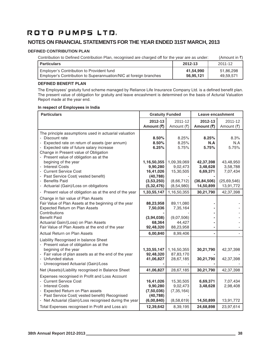## **NOTES ON FINANCIAL STATEMENTS FOR THE YEAR ENDED 31ST MARCH, 2013**

## **DEFINED CONTRIBUTION PLAN**

| Contribution to Defined Contribution Plan, recognised are charged off for the year are as under: | (Amount in ₹) |
|--------------------------------------------------------------------------------------------------|---------------|
|                                                                                                  |               |

| <b>Particulars</b>                                                | 2012-13   | 2011-12   |
|-------------------------------------------------------------------|-----------|-----------|
| Employer's Contribution to Provident fund                         | 41,54,990 | 51,86,298 |
| Employer's Contribution to Superannuation/NIC at foreign branches | 56,95,121 | 49,59,571 |

## **DEFINED BENEFIT PLAN**

The Employees' gratuity fund scheme managed by Reliance Life Insurance Company Ltd. is a defined benefit plan. The present value of obligation for gratuity and leave encashment is determined on the basis of Acturial Valuation Report made at the year end.

## **In respect of Employees in India**

| <b>Particulars</b>                                                                                                                                                                                                                                                                                                                                                                                | <b>Gratuity Funded</b>                                                                     |                                                                               | Leave encashment                                                            |                                                                            |
|---------------------------------------------------------------------------------------------------------------------------------------------------------------------------------------------------------------------------------------------------------------------------------------------------------------------------------------------------------------------------------------------------|--------------------------------------------------------------------------------------------|-------------------------------------------------------------------------------|-----------------------------------------------------------------------------|----------------------------------------------------------------------------|
|                                                                                                                                                                                                                                                                                                                                                                                                   | 2012-13<br>Amount (₹)                                                                      | 2011-12<br>Amount (₹)                                                         | 2012-13<br>Amount (₹)                                                       | 2011-12<br>Amount (₹)                                                      |
| The principle assumptions used in actuarial valuation<br>Discount rate<br>- Expected rate on return of assets (per annum)<br>Expected rate of future salary increase<br>Change in Present value of Obligation<br>- Present value of obligation as at the<br>begining of the year<br>- Interest Costs<br><b>Current Service Cost</b><br>Past Service Cost( vested benefit)<br><b>Benefits Paid</b> | 8.50%<br>8.50%<br>6.25%<br>1,16,50,355<br>9,90,280<br>16,41,026<br>(40, 788)<br>(3,53,250) | 8.25%<br>8.25%<br>5.75%<br>1,09,39,069<br>9,02,473<br>15,30,505<br>(8,66,712) | 8.25%<br>N.A<br>5.75%<br>42,37,398<br>3,48,628<br>6,69,371<br>(36, 84, 506) | 8.3%<br>N.A<br>5.75%<br>43,48,950<br>3,58,788<br>7,07,434<br>(25, 69, 546) |
| - Actuarial (Gain)/Loss on obligations                                                                                                                                                                                                                                                                                                                                                            | (5, 32, 476)                                                                               | (8,54,980)                                                                    | 14,50,899                                                                   | 13,91,772                                                                  |
| - Present value of obligation as at the end of the year<br>Change in fair value of Plan Assets<br>Fair Value of Plan Assets at the beginning of the year<br><b>Expected Return on Plan Assets</b><br>Contributions<br><b>Benefit Paid</b><br>Actuarial Gain/(Loss) on Plan Assets<br>Fair Value of Plan Assets at the end of the year                                                             | 1,33,55,147<br>88,23,958<br>7,50,036<br>(3,94,038)<br>68,364<br>92,48,320                  | 1,16,50,355<br>89,11,080<br>7,35,164<br>(9,07,506)<br>44,427<br>88,23,958     | 30,21,790                                                                   | 42,37,398                                                                  |
| Actual Return on Plan Assets                                                                                                                                                                                                                                                                                                                                                                      | 6,00,840                                                                                   | 8,99,406                                                                      |                                                                             |                                                                            |
| Liability Recognised in balance Sheet<br>- Present value of obligation as at the<br>begining of the year<br>- Fair value of plan assets as at the end of the year<br>Unfunded status<br>Unrecognised Actuarial (Gain)/Loss                                                                                                                                                                        | 1,33,55,147<br>92,48,320<br>41,06,827                                                      | 1,16,50,355<br>87,83,170<br>28,67,185                                         | 30,21,790<br>30,21,790                                                      | 42,37,398<br>42,37,398                                                     |
| Net (Assets)/Liability recognised in Balance Sheet                                                                                                                                                                                                                                                                                                                                                | 41,06,827                                                                                  | 28,67,185                                                                     | 30,21,790                                                                   | 42,37,398                                                                  |
| Expenses recognised in Profit and Loss Account<br>- Current Service Cost<br>- Interest Costs<br>Expected Return on Plan assets<br>- Past Service Cost( vested benefit) Recognised<br>- Net Actuarial (Gain)/Loss recognised during the year                                                                                                                                                       | 16,41,026<br>9,90,280<br>(7,50,036)<br>(40, 788)<br>(6,00,840)                             | 15,30,505<br>9,02,473<br>(7, 35, 164)<br>(8,58,619)                           | 6,69,371<br>3,48,628<br>14,50,899                                           | 7,07,434<br>2,98,408<br>13,91,772                                          |
| Total Expenses recognised in Profit and Loss a/c                                                                                                                                                                                                                                                                                                                                                  | 12,39,642                                                                                  | 8,39,195                                                                      | 24,68,898                                                                   | 23,97,614                                                                  |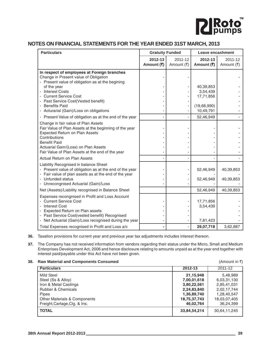

## **NOTES ON FINANCIAL STATEMENTS FOR THE YEAR ENDED 31ST MARCH, 2013**

| <b>Particulars</b>                                                                                                                                                                                                                                 | <b>Gratuity Funded</b> |                       | Leave encashment                  |                        |
|----------------------------------------------------------------------------------------------------------------------------------------------------------------------------------------------------------------------------------------------------|------------------------|-----------------------|-----------------------------------|------------------------|
|                                                                                                                                                                                                                                                    | 2012-13<br>Amount (₹)  | 2011-12<br>Amount (₹) | 2012-13<br>Amount (₹)             | 2011-12<br>Amount (₹)  |
| In respect of employees at Foreign branches<br>Change in Present value of Obligation<br>- Present value of obligation as at the begining                                                                                                           |                        |                       |                                   |                        |
| of the year<br><b>Interest Costs</b>                                                                                                                                                                                                               |                        |                       | 40,39,853<br>3,54,439             |                        |
| - Current Service Cost<br>- Past Service Cost(Vested benefit)<br><b>Benefits Paid</b>                                                                                                                                                              |                        |                       | 17,71,856<br>(19,68,990)          |                        |
| - Acturarial (Gain)/Loss on obligations                                                                                                                                                                                                            |                        |                       | 10,49,791                         |                        |
| - Present Value of obligation as at the end of the year                                                                                                                                                                                            |                        |                       | 52,46,949                         |                        |
| Change in fair value of Plan Assets<br>Fair Value of Plan Assets at the beginning of the year<br>Expected Return on Plan Assets<br>Contributions<br><b>Benefit Paid</b><br>Actuarial Gain/(Loss) on Plan Assets                                    |                        |                       |                                   |                        |
| Fair Value of Plan Assets at the end of the year<br>Actual Return on Plan Assets                                                                                                                                                                   |                        |                       |                                   |                        |
| Liability Recognised in balance Sheet<br>- Present value of obligation as at the end of the year<br>Fair value of plan assets as at the end of the year<br>- Unfunded status<br>- Unrecongnised Actuarial (Gain)/Loss                              |                        |                       | 52,46,949<br>52,46,949            | 40,39,853<br>40,39,853 |
| Net (Assets)/Liability recognised in Balance Sheet                                                                                                                                                                                                 |                        |                       | 52,46,949                         | 40,39,853              |
| Expenses recongnised in Profit and Loss Account<br><b>Current Service Cost</b><br><b>Interest Cost</b><br>Expected Return on Plan assets<br>Past Service Cost(vested benefit) Recognised<br>- Net Actuarial (Gain)/Loss recognised during the year |                        |                       | 17,71,856<br>3,54,439<br>7,81,423 |                        |
| Total Expenses recognised in Profit and Loss a/c                                                                                                                                                                                                   |                        |                       | 29,07,718                         | 3,62,887               |

**36.** Taxation provisions for current year and previous year tax adjustments includes interest thereon.

**37.** The Company has not received information from vendors regarding their status under the Micro, Small and Medium Enterprises Development Act, 2006 and hence disclosure relating to amounts unpaid as at the year end together with interest paid/payable under this Act have not been given.

## **38. Raw Material and Components Consumed 1988 1999 12. Amount in 3.** (Amount in 3)

|              | 2011-12      |
|--------------|--------------|
| 21,15,948    | 5,48,989     |
| 7,00,01,618  | 6,03,31,130  |
| 3,80,22,561  | 2,85,41,031  |
| 2,24,83,840  | 2,02,17,744  |
| 1,36,89,740  | 1,28,40,547  |
| 18,75,37,743 | 18,03,07,405 |
| 46,02,764    | 36,24,399    |
| 33,84,54,214 | 30,64,11,245 |
|              | 2012-13      |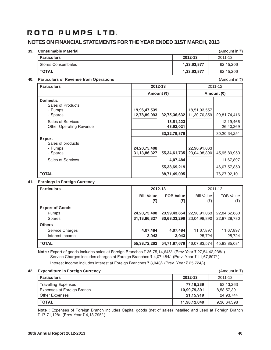## **NOTES ON FINANCIAL STATEMENTS FOR THE YEAR ENDED 31ST MARCH, 2013**

## **39. Consumable Material** and **Amount in ₹)** and *Amount in ₹***) and** *Amount in ₹***) and** *Amount in ₹*

| <b>Particulars</b> | 2012-13     | 2011-12   |
|--------------------|-------------|-----------|
| Stores Consumbales | 1,33,63,877 | 62,15,206 |
| <b>TOTAL</b>       | 1,33,63,877 | 62,15,206 |

## **40. Particulars of Revenue from Operations** (Amount in ₹)

| <b>Particulars</b>                                                             | 2012-13                            |                                                | 2011-12                      |                                           |
|--------------------------------------------------------------------------------|------------------------------------|------------------------------------------------|------------------------------|-------------------------------------------|
|                                                                                | Amount (₹)                         |                                                |                              | Amount (र)                                |
| <b>Domestic</b><br>Sales of Products<br>- Pumps<br>- Spares                    | 19,96,47,539<br>12,78,89,093       | 32,75,36,632                                   | 18,51,03,557<br>11,30,70,859 | 29,81,74,416                              |
| Sales of Services<br><b>Other Operating Revenue</b>                            |                                    | 13,51,223<br>43,92,021                         |                              | 12,19,466<br>26,40,369                    |
| <b>Export</b><br>Sales of products<br>- Pumps<br>- Spares<br>Sales of Services | 24, 20, 75, 408<br>31, 13, 86, 327 | 33, 32, 79, 876<br>55, 34, 61, 735<br>4,07,484 | 22,90,91,063<br>23,04,98,890 | 30,20,34,251<br>45,95,89,953<br>11,67,897 |
|                                                                                |                                    | 55,38,69,219                                   |                              | 46,07,57,850                              |
| <b>TOTAL</b>                                                                   |                                    | 88,71,49,095                                   |                              | 76,27,92,101                              |

## **41. Earnings in Foreign Currency**

| <b>Particulars</b>     | 2012-13           |                  | 2011-12           |                  |
|------------------------|-------------------|------------------|-------------------|------------------|
|                        | <b>Bill Value</b> | <b>FOB Value</b> | <b>Bill Value</b> | <b>FOB Value</b> |
|                        | (3)               | (₹)              | (₹)               | (₹)              |
| <b>Export of Goods</b> |                   |                  |                   |                  |
| <b>Pumps</b>           | 24, 20, 75, 408   | 23,99,43,854     | 22,90,91,063      | 22,84,62,680     |
| <b>Spares</b>          | 31, 13, 86, 327   | 30,68,33,299     | 23,04,98,890      | 22,87,28,780     |
| <b>Others</b>          |                   |                  |                   |                  |
| Service Charges        | 4,07,484          | 4,07,484         | 11,67,897         | 11,67,897        |
| Interest Income        | 3,043             | 3,043            | 25,724            | 25,724           |
| <b>TOTAL</b>           | 55,38,72,262      | 54,71,87,679     | 46,07,83,574      | 45,83,85,081     |

**Note :** Export of goods includes sales at Foreign Branches ₹ 36,75,14,645/- (Prev. Year ₹ 27,54,42,238/-) Service Charges includes charges at Foreign Branches ₹ 4,07,484/- (Prev. Year ₹ 11,67,897/-) Interest Income includes interest at Foreign Branches ₹ 3,043/- (Prev. Year ₹ 25,724/-)

### **42. Expenditure in Foreign Currency** (Amount in ₹)

| <b>Experience in Foreign Carlency</b> |              | $\left(\bigcap_{i=1}^{n} \left[1\right]\right)$ |
|---------------------------------------|--------------|-------------------------------------------------|
| <b>Particulars</b>                    | 2012-13      | 2011-12                                         |
| <b>Travelling Expenses</b>            | 77,16,239    | 53,13,263                                       |
| Expenses at Foreign Branch            | 10,99,79,891 | 8,58,57,391                                     |
| <b>Other Expenses</b>                 | 21.15.919    | 24,93,744                                       |
| <b>TOTAL</b>                          | 11,98,12,049 | 9,36,64,398                                     |

**Note :** Expenses of Foreign Branch includes Capital goods (net of sales) installed and used at Foreign Branch ₹ 17,71,128/- (Prev. Year ₹ 4,13,795/-)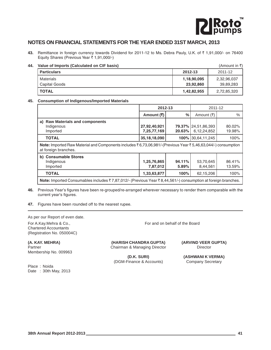

## **NOTES ON FINANCIAL STATEMENTS FOR THE YEAR ENDED 31ST MARCH, 2013**

**43.** Remittance in foreign currency towards Dividend for 2011-12 to Ms. Debra Pauly, U.K. of ₹ 1,91,000/- on 76400 Equity Shares (Previous Year ` 1,91,000/-)

### **44. Value of Imports (Calculated on CIF basis)** (Amount in ₹)

| <b>Particulars</b>         | 2012-13                  | 2011-12                  |
|----------------------------|--------------------------|--------------------------|
| Materials<br>Capital Goods | 1,18,90,095<br>23,92,860 | 2,32,96,037<br>39,89,283 |
| <b>TOTAL</b>               | 1,42,82,955              | 2,72,85,320              |

### **45. Consumption of Indigenous/Imported Materials**

|                                                                                                                                             | 2012-13                     |                 | 2011-12                            |                  |  |
|---------------------------------------------------------------------------------------------------------------------------------------------|-----------------------------|-----------------|------------------------------------|------------------|--|
|                                                                                                                                             | Amount (र)                  | $\frac{0}{0}$   | Amount (₹)                         | $\frac{0}{0}$    |  |
| a) Raw Materials and components<br>Indigenous<br>Imported                                                                                   | 27,92,40,921<br>7,25,77,169 | $20.63\%$       | 79.37% 24,51,86,393<br>6,12,24,852 | 80.02%<br>19.98% |  |
| <b>TOTAL</b>                                                                                                                                | 35, 18, 18, 090             |                 | 100% 30,64,11,245                  | 100%             |  |
| <b>Note:</b> Imported Raw Material and Components includes ₹6,73,06,981/-(Previous Year ₹5,46,63,044/-) consumption<br>at foreign branches. |                             |                 |                                    |                  |  |
| b) Consumable Stores<br>Indigenous<br>Imported                                                                                              | 1,25,76,865<br>7,87,012     | 94.11%<br>5.89% | 53,70,645<br>8,44,561              | 86.41%<br>13.59% |  |
| <b>TOTAL</b>                                                                                                                                | 1,33,63,877                 | 100%            | 62,15,206                          | 100%             |  |
| Note: Imported Consumables includes ₹7,87,012/- (Previous Year ₹8,44,561/-) consumption at foreign branches.                                |                             |                 |                                    |                  |  |

**46.** Previous Year's figures have been re-grouped/re-arranged wherever necessary to render them comparable with the current year's figures.

**47.** Figures have been rounded off to the nearest rupee.

As per our Report of even date.

For A.Kay.Mehra & Co., The Co., For and on behalf of the Board Chartered Accountants (Registration No. 050004C)

Membership No. 009963

Place : Noida Date : 30th May, 2013

**(A. KAY. MEHRA) (HARISH CHANDRA GUPTA) (ARVIND VEER GUPTA)** Partner **Chairman & Managing Director** Director **Director** Director

(DGM-Finance & Accounts) Company Secretary

**(D.K. SURI) (ASHWANI K VERMA)**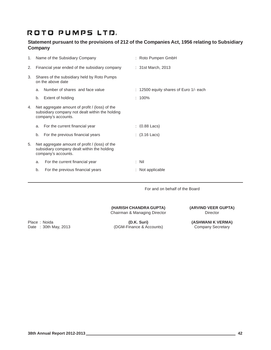## **Statement pursuant to the provisions of 212 of the Companies Act, 1956 relating to Subsidiary Company**

| 1. |    | Name of the Subsidiary Company                                                                                           | : Roto Pumpen GmbH                     |
|----|----|--------------------------------------------------------------------------------------------------------------------------|----------------------------------------|
| 2. |    | Financial year ended of the subsidiary company                                                                           | : 31st March, 2013                     |
| 3. |    | Shares of the subsidiary held by Roto Pumps<br>on the above date                                                         |                                        |
|    | a. | Number of shares and face value                                                                                          | : 12500 equity shares of Euro 1/- each |
|    | b. | Extent of holding                                                                                                        | $: 100\%$                              |
| 4. |    | Net aggregate amount of profit / (loss) of the<br>subsidiary company not dealt within the holding<br>company's accounts. |                                        |
|    | a. | For the current financial year                                                                                           | $(0.88$ Lacs)                          |
|    | b. | For the previous financial years                                                                                         | : $(3.16$ Lacs)                        |
| 5. |    | Net aggregate amount of profit / (loss) of the<br>subsidiary company dealt within the holding<br>company's accounts.     |                                        |
|    | a. | For the current financial year                                                                                           | : Nil                                  |
|    | b. | For the previous financial years                                                                                         | : Not applicable                       |
|    |    |                                                                                                                          |                                        |

For and on behalf of the Board

**(HARISH CHANDRA GUPTA) (ARVIND VEER GUPTA)** Chairman & Managing Director **Director** Director

Place : Noida **(D.K. Suri) (D.K. Suri)** (ASHWANI K VERMA) (Date : 30th May, 2013 (ASHWANI K VERMA) (DGM-Finance & Accounts) Company Secretary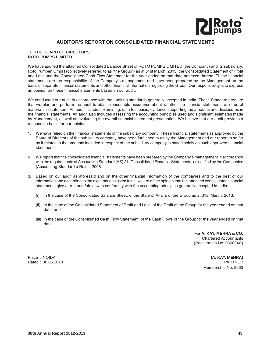

## **AUDITOR'S REPORT ON CONSOLIDATED FINANCIAL STATEMENTS**

#### TO THE BOARD OF DIRECTORS, **ROTO PUMPS LIMITED**

We have audited the attached Consolidated Balance Sheet of ROTO PUMPS LIMITED (the Company) and its subsidiary, Roto Pumpen GmbH (collectively referred to as "the Group") as at 31st March, 2013, the Consolidated Statement of Profit and Loss and the Consolidated Cash Flow Statement for the year ended on that date annexed thereto. These financial statements are the responsibility of the Company's management and have been prepared by the Management on the basis of separate financial statements and other financial information regarding the Group. Our responsibility is to express an opinion on these financial statements based on our audit.

We conducted our audit in accordance with the auditing standards generally accepted in India. Those Standards require that we plan and perform the audit to obtain reasonable assurance about whether the financial statements are free of material misstatement. An audit includes examining, on a test basis, evidence supporting the amounts and disclosures in the financial statements. An audit also includes assessing the accounting principles used and significant estimates made by Management, as well as evaluating the overall financial statement presentation. We believe that our audit provides a reasonable basis for our opinion.

- 1. We have relied on the financial statements of the subsidiary company. These financial statements as approved by the Board of Directors of the subsidiary company have been furnished to us by the Management and our report in so far as it relates to the amounts included in respect of the subsidiary company is based solely on such approved financial statements.
- 2. We report that the consolidated financial statements have been prepared by the Company's management in accordance with the requirements of Accounting Standard (AS) 21, Consolidated Financial Statements, as notified by the Companies (Accounting Standards) Rules, 2006.
- 3. Based on our audit as aforesaid and on the other financial information of the companies and to the best of our information and according to the explanations given to us, we are of the opinion that the attached consolidated financial statements give a true and fair view in conformity with the accounting principles generally accepted in India:
	- (i) in the case of the Consolidated Balance Sheet, of the State of Affairs of the Group as at 31st March, 2013;
	- (ii) in the case of the Consolidated Statement of Profit and Loss, of the Profit of the Group for the year ended on that date; and
	- (iii) in the case of the Consolidated Cash Flow Statement, of the Cash Flows of the Group for the year ended on that date.

For **A. KAY. MEHRA & CO.** Chartered Accountants (Registration No. 050004C)

Place : NOIDA **(A. KAY. MEHRA)** Dated : 30.05.2013 PARTNER Membership No. 9963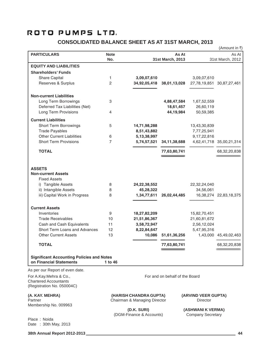## **CONSOLIDATED BALANCE SHEET AS AT 31ST MARCH, 2013**

|                                                                                                                                                   |                    |                                          |                                |                           | (Amount in ₹)             |
|---------------------------------------------------------------------------------------------------------------------------------------------------|--------------------|------------------------------------------|--------------------------------|---------------------------|---------------------------|
| <b>PARTICULARS</b>                                                                                                                                | <b>Note</b><br>No. |                                          | As At<br>31st March, 2013      |                           | As At<br>31st March, 2012 |
| <b>EQUITY AND LIABILITIES</b>                                                                                                                     |                    |                                          |                                |                           |                           |
| <b>Shareholders' Funds</b>                                                                                                                        |                    |                                          |                                |                           |                           |
| Share Capital                                                                                                                                     | 1                  | 3,09,07,610                              |                                | 3,09,07,610               |                           |
| Reserves & Surplus                                                                                                                                | 2                  | 34,92,05,418                             | 38,01,13,028                   |                           | 27,78,19,851 30,87,27,461 |
| <b>Non-current Liabilities</b>                                                                                                                    |                    |                                          |                                |                           |                           |
| Long Term Borrowings                                                                                                                              | 3                  |                                          | 4,88,47,584                    | 1,67,52,559               |                           |
| Deferred Tax Liabilities (Net)                                                                                                                    |                    |                                          | 18,61,457                      | 26,60,119                 |                           |
| Long Term Provisions                                                                                                                              | 4                  |                                          | 44,19,984                      | 50,59,385                 |                           |
| <b>Current Liabilities</b>                                                                                                                        |                    |                                          |                                |                           |                           |
| <b>Short Term Borrowings</b>                                                                                                                      | 5                  | 14,71,98,288                             |                                | 13,43,30,839              |                           |
| <b>Trade Payables</b>                                                                                                                             |                    | 8,51,43,882                              |                                | 7,77,25,941               |                           |
| <b>Other Current Liabilities</b>                                                                                                                  | 6                  | 5,13,38,997                              |                                | 9,17,22,816               |                           |
| <b>Short Term Provisions</b>                                                                                                                      | 7                  | 5,74,57,521                              | 34, 11, 38, 688                |                           | 4,62,41,718 35,00,21,314  |
| <b>TOTAL</b>                                                                                                                                      |                    |                                          | 77,63,80,741                   |                           | 68, 32, 20, 838           |
| <b>ASSETS</b><br><b>Non-current Assets</b><br><b>Fixed Assets</b><br>i) Tangible Assets<br>ii) Intangible Assets<br>iii) Capital Work in Progress | 8<br>8<br>8        | 24,22,38,552<br>45,28,322<br>1,34,77,611 | 26,02,44,485                   | 22,32,24,040<br>34,56,061 | 16,38,274 22,83,18,375    |
|                                                                                                                                                   |                    |                                          |                                |                           |                           |
| <b>Current Assets</b>                                                                                                                             |                    |                                          |                                |                           |                           |
| Inventories                                                                                                                                       | 9                  | 18,27,82,209                             |                                | 15,82,70,451              |                           |
| <b>Trade Receivables</b>                                                                                                                          | 10                 | 21,51,86,367                             |                                | 21,60,81,672              |                           |
| Cash and Cash Equivalents                                                                                                                         | 11                 | 3,58,72,947                              |                                | 2,56,12,024               |                           |
| Short Term Loans and Advances                                                                                                                     | 12                 | 8,22,84,647                              |                                | 5,47,95,316               |                           |
| <b>Other Current Assets</b>                                                                                                                       | 13                 | 10,086                                   | 51,61,36,256                   |                           | 1,43,000 45,49,02,463     |
| <b>TOTAL</b>                                                                                                                                      |                    |                                          | 77,63,80,741                   |                           | 68, 32, 20, 838           |
| <b>Significant Accounting Policies and Notes</b><br>on Financial Statements                                                                       | 1 to 46            |                                          |                                |                           |                           |
| As per our Report of even date.                                                                                                                   |                    |                                          |                                |                           |                           |
| For A.Kay.Mehra & Co.,<br><b>Chartered Accountants</b><br>(Registration No. 050004C)                                                              |                    |                                          | For and on behalf of the Board |                           |                           |

Membership No. 009963

**(A. KAY. MEHRA) (HARISH CHANDRA GUPTA) (ARVIND VEER GUPTA)** Chairman & Managing Director

(DGM-Finance & Accounts)

**(D.K. SURI) (ASHWANI K VERMA)**<br>
Finance & Accounts) Company Secretary

Place : Noida Date : 30th May, 2013

**38th Annual Report 2012-2013 44**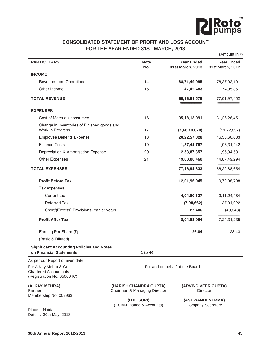

## **CONSOLIDATED STATEMENT OF PROFIT AND LOSS ACCOUNT FOR THE YEAR ENDED 31ST MARCH, 2013**

|                                                                                      |                                                        |                                       | (Amount in ₹)                  |
|--------------------------------------------------------------------------------------|--------------------------------------------------------|---------------------------------------|--------------------------------|
| <b>PARTICULARS</b>                                                                   | <b>Note</b><br>No.                                     | <b>Year Ended</b><br>31st March, 2013 | Year Ended<br>31st March, 2012 |
| <b>INCOME</b>                                                                        |                                                        |                                       |                                |
| Revenue from Operations                                                              | 14                                                     | 88,71,49,095                          | 76,27,92,101                   |
| Other Income                                                                         | 15                                                     | 47, 42, 483                           | 74,05,351                      |
| <b>TOTAL REVENUE</b>                                                                 |                                                        | 89, 18, 91, 578                       | 77,01,97,452                   |
| <b>EXPENSES</b>                                                                      |                                                        |                                       |                                |
| Cost of Materials consumed                                                           | 16                                                     | 35, 18, 18, 091                       | 31,26,26,451                   |
| Change in Inventories of Finished goods and<br>Work in Progress                      | 17                                                     | (1,68,13,070)                         | (11, 72, 897)                  |
| <b>Employee Benefits Expense</b>                                                     | 18                                                     | 20,22,57,028                          | 16,38,60,033                   |
| <b>Finance Costs</b>                                                                 | 19                                                     | 1,87,44,767                           | 1,93,31,242                    |
| Depreciation & Amortisation Expense                                                  | 20                                                     | 2,53,87,357                           | 1,95,94,531                    |
| <b>Other Expenses</b>                                                                | 21                                                     | 19,03,00,460                          | 14,87,49,294                   |
| <b>TOTAL EXPENSES</b>                                                                |                                                        | 77, 16, 94, 633                       | 66,29,88,654                   |
| <b>Profit Before Tax</b>                                                             |                                                        | 12,01,96,945                          | 10,72,08,798                   |
| Tax expenses                                                                         |                                                        |                                       |                                |
| Current tax                                                                          |                                                        | 4,04,80,137                           | 3, 11, 24, 984                 |
| Deferred Tax                                                                         |                                                        | (7,98,662)                            | 37,01,922                      |
| Short/(Excess) Provisions- earlier years                                             |                                                        | 27,406                                | (49, 343)                      |
| <b>Profit After Tax</b>                                                              |                                                        | 8,04,88,064                           | 7,24,31,235                    |
| Earning Per Share (₹)                                                                |                                                        | 26.04                                 | 23.43                          |
| (Basic & Diluted)                                                                    |                                                        |                                       |                                |
| <b>Significant Accounting Policies and Notes</b><br>on Financial Statements          | 1 to 46                                                |                                       |                                |
| As per our Report of even date.                                                      |                                                        |                                       |                                |
| For A.Kay.Mehra & Co.,<br><b>Chartered Accountants</b><br>(Registration No. 050004C) |                                                        | For and on behalf of the Board        |                                |
| (A. KAY. MEHRA)<br>Partner<br>Membership No. 009963                                  | (HARISH CHANDRA GUPTA)<br>Chairman & Managing Director | (ARVIND VEER GUPTA)<br>Director       |                                |

**(D.K. SURI) (ASHWANI K VERMA)**<br>
Finance & Accounts) Company Secretary (DGM-Finance & Accounts)

Place : Noida Date : 30th May, 2013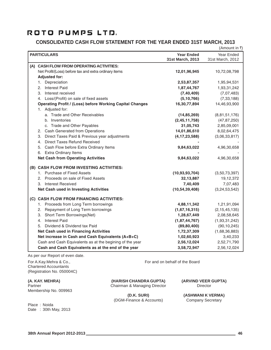## **CONSOLIDATED CASH FLOW STATEMENT FOR THE YEAR ENDED 31ST MARCH, 2013**

|                                                                 |                   | (Amount in ₹)    |
|-----------------------------------------------------------------|-------------------|------------------|
| <b>PARTICULARS</b>                                              | <b>Year Ended</b> | Year Ended       |
|                                                                 | 31st March, 2013  | 31st March, 2012 |
| (A) CASH FLOW FROM OPERATING ACTIVITIES:                        |                   |                  |
| Net Profit/(Loss) before tax and extra ordinary items           | 12,01,96,945      | 10,72,08,798     |
| <b>Adjusted for:</b>                                            |                   |                  |
| 1. Depreciation                                                 | 2,53,87,357       | 1,95,94,531      |
| <b>Interest Paid</b><br>2.                                      | 1,87,44,767       | 1,93,31,242      |
| 3.<br>Interest received                                         | (7, 40, 409)      | (7,07,483)       |
| 4. Loss/(Profit) on sale of fixed assets                        | (5, 10, 766)      | (7, 33, 188)     |
| <b>Operating Profit / (Loss) before Working Capital Changes</b> | 16,30,77,894      | 14,46,93,900     |
| 1. Adjusted for:                                                |                   |                  |
| a. Trade and Other Receivables                                  | (14, 85, 269)     | (8,81,51,176)    |
| b. Inventories                                                  | (2,45,11,758)     | (47, 87, 250)    |
| c. Trade and Other Payables                                     | 31,05,743         | 2,85,09,001      |
| 2. Cash Generated from Operations                               | 14,01,86,610      | 8,02,64,475      |
| 3. Direct Taxes Paid & Previous year adjustments                | (4, 17, 23, 588)  | (3,06,33,817)    |
| 4. Direct Taxes Refund Received                                 |                   |                  |
| 5. Cash Flow before Extra Ordinary Items                        | 9,84,63,022       | 4,96,30,658      |
| 6. Extra Ordinary Items                                         |                   |                  |
| <b>Net Cash from Operating Activities</b>                       | 9,84,63,022       | 4,96,30,658      |
| (B) CASH FLOW FROM INVESTING ACTIVITIES:                        |                   |                  |
| 1. Purchase of Fixed Assets                                     | (10, 93, 93, 704) | (3,50,73,397)    |
| 2. Proceeds on sale of Fixed Assets                             | 32, 13, 887       | 19,12,372        |
| 3. Interest Received                                            | 7,40,409          | 7,07,483         |
| Net Cash used in Investing Activities                           | (10, 54, 39, 408) | (3,24,53,542)    |
| (C) CASH FLOW FROM FINANCING ACTIVITIES:                        |                   |                  |
| 1. Proceeds from Long Term borrowings                           | 4,88,11,342       | 1,21,91,094      |
| Repayment of Long Term borrowings<br>2.                         | (1,67,16,315)     | (2, 15, 45, 135) |
| Short Term Borrowings(Net)<br>3.                                | 1,28,67,449       | 2,08,58,645      |
| <b>Interest Paid</b><br>4.                                      | (1,87,44,767)     | (1,93,31,242)    |
| Dividend & Dividend tax Paid<br>5.                              | (89, 80, 400)     | (90, 10, 245)    |
| <b>Net Cash used in Financing Activities</b>                    | 1,72,37,309       | (1,68,36,883)    |
| Net increase in Cash and Cash Equivalents (A+B+C)               | 1,02,60,923       | 3,40,233         |
| Cash and Cash Equivalents as at the begining of the year        | 2,56,12,024       | 2,52,71,790      |
| Cash and Cash Equivalents as at the end of the year             | 3,58,72,947       | 2,56,12,024      |

As per our Report of even date.

For A.Kay.Mehra & Co., **For and on behalf of the Board** For and on behalf of the Board Chartered Accountants (Registration No. 050004C)

Membership No. 009963

Date : 30th May, 2013

Place : Noida

**(A. KAY. MEHRA) (HARISH CHANDRA GUPTA) (ARVIND VEER GUPTA)** Partner **Chairman & Managing Director** Director **Director** Director

(DGM-Finance & Accounts) Company Secretary

**(D.K. SURI) (ASHWANI K VERMA)**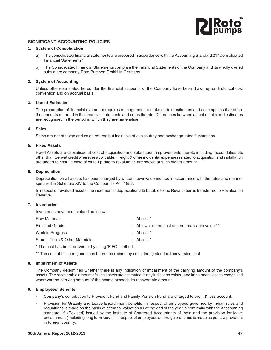

## **SIGNIFICANT ACCOUNTING POLICIES**

#### **1. System of Consolidation**

- a) The consolidated financial statements are prepared in accordance with the Accounting Standard 21 "Consolidated Financial Statements"
- b) The Consolidated Financial Statements comprise the Financial Statements of the Company and its wholly owned subsidiary company Roto Pumpen GmbH in Germany.

#### **2. System of Accounting**

Unless otherwise stated hereunder the financial accounts of the Company have been drawn up on historical cost convention and on accrual basis.

#### **3. Use of Estimates**

The preparation of financial statement requires management to make certain estimates and assumptions that affect the amounts reported in the financial statements and notes thereto. Differences between actual results and estimates are recognised in the period in which they are materialise.

### **4. Sales**

Sales are net of taxes and sales returns but inclusive of excise duty and exchange rates fluctuations.

#### **5. Fixed Assets**

Fixed Assets are capitalised at cost of acquisition and subsequent improvements thereto including taxes, duties etc other than Cenvat credit wherever applicable. Freight & other incidental expenses related to acquisition and installation are added to cost. In case of write-up due to revaluation are shown at such higher amount.

#### **6. Depreciation**

Depreciation on all assets has been charged by written down value method in accordance with the rates and manner specified in Schedule XIV to the Companies Act, 1956.

In respect of revalued assets, the incremental depreciation attributable to the Revaluation is transferred to Revaluation Reserve.

## **7. Inventories**

Inventories have been valued as follows -

| <b>Raw Materials</b>            | : At cost $*$                                      |
|---------------------------------|----------------------------------------------------|
| <b>Finished Goods</b>           | : At lower of the cost and net realisable value ** |
| Work in Progress                | : At cost $*$                                      |
| Stores. Tools & Other Materials | : At cost $*$                                      |
|                                 |                                                    |

\* The cost has been arrived at by using 'FIFO' method.

\*\* The cost of finished goods has been determined by considering standard conversion cost.

#### **8. Impairment of Assets**

The Company determines whether there is any indication of impairment of the carrying amount of the company's assets. The recoverable amount of such assets are estimated, if any indication exists , and impairment losses recognised wherever the carrying amount of the assets exceeds its recoverable amount.

### **9. Employees' Benefits**

- Company's contribution to Provident Fund and Family Pension Fund are charged to profit & loss account.
- Provision for Gratuity and Leave Encashment benefits, in respect of employees governed by Indian rules and regualtions is made on the basis of actuarial valuation as at the end of the year in confirmity with the Acccoutning standard-15 (Revised) issued by the Institute of Chartered Accountants of India and the provision for leave encashment ( including long term leave ) in respect of employees at foreign branches is made as per law prevalent in foreign country.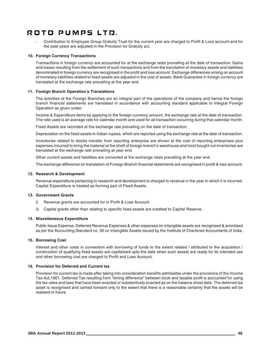Contribution to Employee Group Gratuity Trust for the current year are charged to Profit & Loss account and for the past years are adjusted in the Provision for Gratuity a/c.

## **10. Foreign Currency Transactions**

Transactions in foreign currency are accounted for at the exchange rates prevailing at the date of transaction. Gains and losses resulting from the settlement of such transactions and from the translation of monetary assets and liabilities denominated in foreign currency are recognised in the profit and loss account. Exchange differences arising on account of monetary liabilities related to fixed assets are adjusted in the cost of assets. Bank Guarantee in foreign currency are translated at the exchange rate prevailing at the year end.

### **11. Foreign Branch Operation's Translations**

The activities of the Foreign Branches are an integral part of the operations of the company and hence the foreign branch financial statements are translated in accordance with accounting standard applicable to Integral Foreign Operation as given under:

Income & Expenditure items by applying to the foreign currency amount, the exchange rate at the date of transaction. The rate used is an average rate for calendar month and used for all transaction occurring during that calendar month.

Fixed Assets are recorded at the exchange rate prevailing on the date of transaction.

Depreciation on the fixed assets in Indian rupees, which are reported using the exchange rate at the date of transaction.

Inventories related to stocks transfer from reporting enterprise are shown at the cost of reporting enterprises plus expenses incurred to bring the material at the shelf of foreign branch's warehouse and local bought out inventories are translated at the exchange rate prevailing at year end.

Other current assets and liabilities are converted at the exchange rates prevailing at the year end.

The exchange difference on translation of Foreign Branch financial statements are recognised in profit & loss account.

#### **12. Research & Development**

Revenue expenditure pertaining to research and development is charged to revenue in the year in which it is incurred. Capital Expenditure is treated as forming part of Fixed Assets.

### **13. Government Grants**

- i) Revenue grants are accounted for in Profit & Loss Account.
- ii) Capital grants other than relating to specific fixed assets are credited to Capital Reserve.

### **14. Miscellaneous Expenditure**

Public Issue Expense, Deferred Revenue Expenses & other expenses on intangible assets are recognised & amortised as per the Accounting Standard no. 26 on Intangible Assets issued by the Institute of Chartered Accountants of India.

### **15. Borrowing Cost**

Interest and other costs in connection with borrowing of funds to the extent related / attributed to the acquisition / construction of qualifying fixed assets are capitalised upto the date when such assets are ready for its intended use and other borrowing cost are charged to Profit and Loss Account.

### **16. Provision for Deferred and Current tax**

Provision for current tax is made after taking into consideration benefits admissible under the provisions of the Income Tax Act,1961. Deferred Tax resulting from "timing difference" between book and taxable profit is accounted for using the tax rates and laws that have been enacted or substantively enacted as on the balance sheet date. The deferred tax asset is recognised and carried forward only to the extent that there is a reasonable certainty that the assets will be realised in future.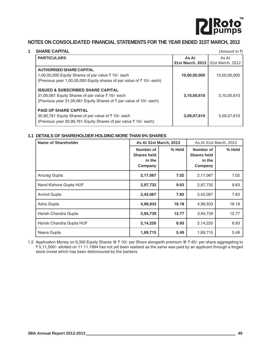

## **NOTES ON CONSOLIDATED FINANCIAL STATEMENTS FOR THE YEAR ENDED 31ST MARCH, 2013**

|                                                                                                                                                                                                                                                                                                                                                                                                                                                                                                                                                                        | (Amount in ₹)    |
|------------------------------------------------------------------------------------------------------------------------------------------------------------------------------------------------------------------------------------------------------------------------------------------------------------------------------------------------------------------------------------------------------------------------------------------------------------------------------------------------------------------------------------------------------------------------|------------------|
| As At                                                                                                                                                                                                                                                                                                                                                                                                                                                                                                                                                                  | As At            |
| 31st March, 2013                                                                                                                                                                                                                                                                                                                                                                                                                                                                                                                                                       | 31st March, 2012 |
|                                                                                                                                                                                                                                                                                                                                                                                                                                                                                                                                                                        |                  |
| 10,00,00,000                                                                                                                                                                                                                                                                                                                                                                                                                                                                                                                                                           | 10,00,00,000     |
|                                                                                                                                                                                                                                                                                                                                                                                                                                                                                                                                                                        |                  |
|                                                                                                                                                                                                                                                                                                                                                                                                                                                                                                                                                                        |                  |
| 3,10,00,610                                                                                                                                                                                                                                                                                                                                                                                                                                                                                                                                                            | 3,10,00,610      |
|                                                                                                                                                                                                                                                                                                                                                                                                                                                                                                                                                                        |                  |
|                                                                                                                                                                                                                                                                                                                                                                                                                                                                                                                                                                        |                  |
| 3,09,07,610                                                                                                                                                                                                                                                                                                                                                                                                                                                                                                                                                            | 3,09,07,610      |
|                                                                                                                                                                                                                                                                                                                                                                                                                                                                                                                                                                        |                  |
| <b>SHARE CAPITAL</b><br><b>PARTICULARS</b><br><b>AUTHORISED SHARE CAPITAL</b><br>1,00,00,000 Equity Shares of par value ₹ 10/- each<br>(Previous year 1,00,00,000 Equity shares of par value of ₹10/- each)<br><b>ISSUED &amp; SUBSCRIBED SHARE CAPITAL</b><br>31,00,061 Equity Shares of par value ₹ 10/- each<br>(Previous year 31,00,061 Equity Shares of $\bar{\tau}$ par value of 10/- each)<br><b>PAID UP SHARE CAPITAL</b><br>30,90,761 Equity Shares of par value of ₹10/- each<br>(Previous year 30,90,761 Equity Shares of par value $\bar{\tau}$ 10/- each) |                  |

## **1.1 DETAILS OF SHAREHOLDER HOLDING MORE THAN 5% SHARES**

| <b>Name of Shareholder</b> | <b>As At 31st March, 2013</b>                        |        | As At 31st March, 2012                               |        |
|----------------------------|------------------------------------------------------|--------|------------------------------------------------------|--------|
|                            | Number of<br><b>Shares held</b><br>in the<br>Company | % Held | Number of<br><b>Shares held</b><br>in the<br>Company | % Held |
| Anurag Gupta               | 2,17,067                                             | 7.02   | 2,17,067                                             | 7.02   |
| Nand Kishore Gupta HUF     | 2,97,732                                             | 9.63   | 2,97,732                                             | 9.63   |
| <b>Arvind Gupta</b>        | 2,42,067                                             | 7.83   | 2,42,067                                             | 7.83   |
| Asha Gupta                 | 4,99,933                                             | 16.18  | 4,99,933                                             | 16.18  |
| Harish Chandra Gupta       | 3,94,739                                             | 12.77  | 3,94,739                                             | 12.77  |
| Harish Chandra Gupta HUF   | 2,14,220                                             | 6.93   | 2,14,220                                             | 6.93   |
| Neera Gupta                | 1,69,715                                             | 5.49   | 1,69,715                                             | 5.49   |

1.2 Application Money on 9,300 Equity Shares @ ₹ 10/- per Share alongwith premium @ ₹ 45/- per share aggregating to ` 5,11,500/- allotted on 11.11.1994 has not yet been realised as the same was paid by an applicant through a forged stock invest which has been dishonoured by the bankers.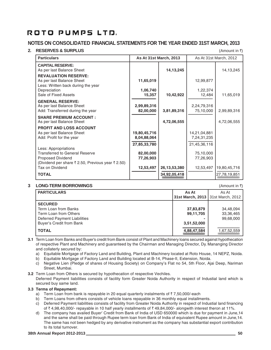## **NOTES ON CONSOLIDATED FINANCIAL STATEMENTS FOR THE YEAR ENDED 31ST MARCH, 2013**

## **2. RESERVES & SURPLUS** (Amount in ₹)

| <b>Particulars</b>                                                                                                                      |                                             | As At 31st March, 2013 | As At 31st March, 2012                      |              |
|-----------------------------------------------------------------------------------------------------------------------------------------|---------------------------------------------|------------------------|---------------------------------------------|--------------|
| <b>CAPITAL RESERVE:</b><br>As per last Balance Sheet                                                                                    |                                             | 14, 13, 245            |                                             | 14, 13, 245  |
| <b>REVALUATION RESERVE:</b><br>As per last Balance Sheet<br>Less: Written back during the year                                          | 11,65,019                                   |                        | 12,99,877                                   |              |
| Depreciation<br>Sale of Fixed Assets                                                                                                    | 1,06,740<br>15,357                          | 10,42,922              | 1,22,374<br>12,484                          | 11,65,019    |
| <b>GENERAL RESERVE:</b><br>As per last Balance Sheet<br>Add: Transferred during the year                                                | 2,99,89,316<br>82,00,000                    | 3,81,89,316            | 2,24,79,316<br>75,10,000                    | 2,99,89,316  |
| <b>SHARE PREMIUM ACCOUNT:</b><br>As per last Balance Sheet                                                                              |                                             | 4,72,06,555            |                                             | 4,72,06,555  |
| <b>PROFIT AND LOSS ACCOUNT</b><br>As per last Balance Sheet<br>Add: Profit for the year                                                 | 19,80,45,716<br>8,04,88,064<br>27,85,33,780 |                        | 14,21,04,881<br>7,24,31,235<br>21,45,36,116 |              |
| Less: Appropriations<br><b>Transferred to General Reserve</b><br>Proposed Dividend<br>(Dividend per share ₹ 2.50, Previous year ₹ 2.50) | 82,00,000<br>77,26,903                      |                        | 75,10,000<br>77,26,903                      |              |
| Tax on Dividend                                                                                                                         | 12,53,497                                   | 26, 13, 53, 380        | 12,53,497                                   | 19,80,45,716 |
| <b>TOTAL</b>                                                                                                                            |                                             | 34,92,05,418           |                                             | 27,78,19,851 |

## **3 LONG-TERM BORROWINGS** (Amount in  $\bar{x}$ )

**PARTICULARS** As At As At As At As At As At As At As At As At As At As At As At As At As At As At As At As At As At As At As At As At As At As At As At As At As At As At As At As At As At As At As At As At As At As At As A **31st March, 2013** 31st March, 2012 **SECURED** Term Loan from Banks **37,83,879** 34,48,094<br>
Term Loan from Others **37,88,485** 33,36.465 Term Loan from Others **199,11,705** 33,36,465<br>Deferred Payment Liabilities **199,11,705** 33,36,465 Deferred Payment Liabilities **-** 99,68,000 **Buyer's Credit from Bank TOTAL**  $\frac{4,88,47,584}{\frac{4,88,47,584}{\frac{1,67,52,559}{\frac{1,67,52,559}{\frac{1,67,52,559}{\frac{1,67,52,559}{\frac{1,67,52,559}{\frac{1,67,52,559}{\frac{1,67,52,559}{\frac{1,67,52,559}{\frac{1,67,52,559}{\frac{1,67,52,559}{\frac{1,67,52,559}{\frac{1,67,52,559}{\frac$ 

**3.1** Term Loan from Banks and Buyer's credit from Bank consist of Plant and Machinery loans secured against hypothecation of respective Plant and Machinery and guaranteed by the Chairman and Managing Director, Dy. Mananging Director and collaterly secured by:

a) Equitable Mortgage of Factory Land and Building, Plant and Machinery located at Roto House, 14 NEPZ, Noida.

b) Equitable Mortgage of Factory Land and Building located at B-14, Phase-II, Extension, Noida.

c) Negative Lien (Pledge of shares of Housing Society) on Company's Flat no 54, 5th Floor, Ajai Deep, Nariman Street, Mumbai.

**3.2** Term Loan from Others is secured by hypothecation of respective Vechiles. Deferred Payment liabilities consists of facility form Greater Noida Authority in respect of Industial land which is secured buy same land.

## **3.3 Terms of Repayment:**

- a) Term Loan from bank is repayable in 20 equal quarterly instalments of  $\bar{z}$  7,50,000/-each
- b) Term Loans from others consists of vehicle loans repayable in 36 monthly equal installments.
- c) Deferred Payment liabilities consists of facility from Greater Noida Authority in respect of Industial land financing of  $\bar{\tau}$  4,98,40,000/- repayable in 10 half yearly installments of  $\bar{\tau}$  49,84,000/- alongwith interest theron at 11%.
- d) The company has availed Buyer' Credit from Bank of India of USD 650000 which is due for payment in June,14 and the same shall be paid through Rupee term loan from Bank of India of equivalent Rupee amount in June,14. The same has not been hedged by any derivative instrument as the company has substantial export contribution to its total turnover.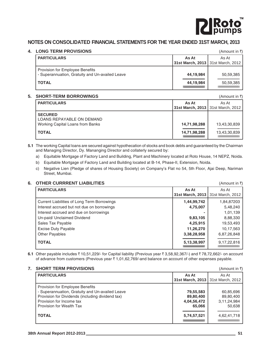

## **NOTES ON CONSOLIDATED FINANCIAL STATEMENTS FOR THE YEAR ENDED 31ST MARCH, 2013**

## **4. LONG TERM PROVISIONS** (Amount in  $\bar{x}$ )

| -----------------------                                                            |           |                                              |
|------------------------------------------------------------------------------------|-----------|----------------------------------------------|
| <b>PARTICULARS</b>                                                                 | As At     | As At<br>31st March, 2013   31st March, 2012 |
| Provision for Employee Benefits<br>- Superannuation, Gratuity and Un-availed Leave | 44,19,984 | 50,59,385                                    |
| <b>TOTAL</b>                                                                       | 44,19,984 | 50,59,385                                    |

## **5. SHORT-TERM BORROWINGS** (Amount in  $\bar{x}$ )

| UI UI I LI LI LI LI UU I I I VITTUU U                                |                                              | $(7.1110 \, \text{GHz} \, \text{Hz})$ |
|----------------------------------------------------------------------|----------------------------------------------|---------------------------------------|
| <b>PARTICULARS</b>                                                   | As At<br>31st March, 2013   31st March, 2012 | As At                                 |
| <b>SECURED</b>                                                       |                                              |                                       |
| <b>LOANS REPAYABLE ON DEMAND</b><br>Working Capital Loans from Banks | 14,71,98,288                                 | 13,43,30,839                          |
| <b>TOTAL</b>                                                         | 14,71,98,288                                 | 13,43,30,839                          |

**5.1** The working Capital loans are secured against hypothecation of stocks and book debts and guaranteed by the Chairman and Managing Director, Dy. Mananging Director and collaterly secured by:

- a) Equitable Mortgage of Factory Land and Building, Plant and Machinery located at Roto House, 14 NEPZ, Noida.
- b) Equitable Mortgage of Factory Land and Building located at B-14, Phase-II, Extension, Noida.
- c) Negative Lien (Pledge of shares of Housing Society) on Company's Flat no 54, 5th Floor, Ajai Deep, Nariman Street, Mumbai.

## **6. OTHER CURRRENT LIABILITIES** (Amount in  $\bar{x}$ )

| <b>PARTICULARS</b>                          | As At<br>31st March, 2013 | As At<br>31st March, 2012 |
|---------------------------------------------|---------------------------|---------------------------|
| Current Liabilities of Long Term Borrowings | 1,44,99,742               | 1,84,87203                |
| Interest accrued but not due on borrowings  | 4,75,007                  | 5,48,240                  |
| Interest accrued and due on borrowings      |                           | 1,01,139                  |
| Un-paid/ Unclaimed Dividend                 | 9,83,105                  | 8,88,330                  |
| Sales Tax Payable                           | 4,25,915                  | 19,53,493                 |
| <b>Excise Duty Payable</b>                  | 11,26,270                 | 10,17,563                 |
| <b>Other Payables</b>                       | 3,38,28,958               | 6,87,26,848               |
| <b>TOTAL</b>                                | 5, 13, 38, 997            | 9,17,22,816               |

**6.1** Other payable includes  $\bar{z}$  10,51,229/- for Capital liability (Previous year  $\bar{z}$  3,58,92,367/-) and  $\bar{z}$  78,72,662/- on account of advance from customers (Previous year  $\bar{x}$  1,01,62,769/-and balance on account of other expenses payable.

| As At                               |
|-------------------------------------|
| 31st March, 2013   31st March, 2012 |
|                                     |
| 79,55,583<br>60,85,696              |
| 89,80,400<br>89,80,400              |
| 3,11,24,984<br>4,04,56,472          |
| 65,066<br>50,638                    |
| 4,62,41,718<br>5,74,57,521          |
|                                     |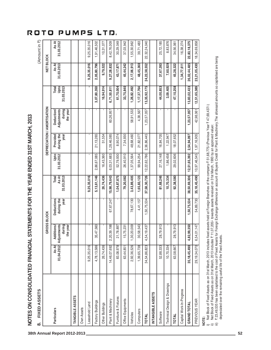| As At<br>31.03.2013<br>9,25,35,016<br>2,17,06,913<br>26,02,44,485<br>2,05,80,796<br>9,79,522<br>9,27,28,832<br>45,44,242<br>48,45,360<br>24,22,38,552<br>37,67,393<br>7,60,929<br>45,28,322<br>1,34,77,611<br>43,17,871<br>Upto<br>31.03.2013<br>33,75,840<br>13,35,92,175<br>3,09,405<br>47,10,258<br>13,83,02,433<br>16,94,914<br>1,26,82,492<br>44,00,853<br>3,07,80,350<br>6,71,50,811<br>61,70,004<br>1,17,37,764<br>Total<br>during<br>the year<br>58,91,532<br>Adjustments<br>1,23,57,057<br>Deduction<br>60,26,957<br>1,23,57,057<br>4,38,567<br>during the<br>21,13,265<br>1,28,46,085<br>2,36,86,445<br>16,84,705<br>8,90,074<br>7,34,930<br>48,68,460<br>18,07,652<br>Provided<br>1,22,947<br>2,54,94,097<br>year<br>51,554<br>21,82,077<br>Upto<br>31.03.2012<br>2,86,67,085<br>26,40,910<br>12,22,62,786<br>27,16,148<br>29,02,606<br>12,51,65,392<br>52,79,930<br>1,86,458<br>16,43,360<br>6,03,31,683<br>1,37,05,564<br>99,94,254<br>38,50,69,306<br>9,25,35,016<br>5,13,61,146<br>1,04,87,875<br>3,43,89,405<br>37,58,30,726<br>81,68,246<br>As At<br>31.03.2013<br>26,74,436<br>79,20,082<br>92,38,580<br>15,98,79,643<br>1,65,83,123<br>10,70,334<br>Total<br>1,50,75,534<br><b>Deductions</b><br>during the<br>67,67,247<br>78,67,130<br>year<br>1,50,75,534<br>4,41,157<br>28,79,913<br>ustments<br>during<br>the year<br>2,20,39,198<br>28,79,913<br>35,47,560<br>1,30,20,009<br>4,82,99,350<br>Additions/<br>21,78,897<br>30,58,543<br>4,54,19,437<br>15,75,231<br>As At<br>01.04.2012 Adju<br>9,25,35,016<br>14,46,07,692<br>2,92,36,526<br>4,78,13,586<br>26,74,436<br>83,08,978<br>1,39,65,738<br>34,54,86,823<br>52,88,333<br>35,18,45,490<br>10,70,334<br>63,58,667<br>63,44,851<br>Technical Design & Drawings<br>Capital Work-In-Progress<br>INTANGIBLE ASSETS<br><b>TANGIBLE ASSETS</b><br>Furniture & Fixtures<br>Office Equipments<br>Plant & Machinery<br>Factory Buildings<br>Leasehold Land<br><b>GRAND TOTAL</b><br>Other Buildings<br>Own Assets<br><b>Particulars</b><br>Computers<br>Software<br>Vehicles<br>TOTAL<br><b>TOTAL</b> | FIXED ASSETS<br>ထံ |              | GROSS BLOCK |           |                 |              |             | DEPRECIATION / AMORTISATION |              | <b>NET BLOCK</b> | (Amount in $\bar{z}$ ) |
|---------------------------------------------------------------------------------------------------------------------------------------------------------------------------------------------------------------------------------------------------------------------------------------------------------------------------------------------------------------------------------------------------------------------------------------------------------------------------------------------------------------------------------------------------------------------------------------------------------------------------------------------------------------------------------------------------------------------------------------------------------------------------------------------------------------------------------------------------------------------------------------------------------------------------------------------------------------------------------------------------------------------------------------------------------------------------------------------------------------------------------------------------------------------------------------------------------------------------------------------------------------------------------------------------------------------------------------------------------------------------------------------------------------------------------------------------------------------------------------------------------------------------------------------------------------------------------------------------------------------------------------------------------------------------------------------------------------------------------------------------------------------------------------------------------------------------------------------------------------------------------------------------------------------------------------------------------------------------------------------------------------------------------------------------------------------------|--------------------|--------------|-------------|-----------|-----------------|--------------|-------------|-----------------------------|--------------|------------------|------------------------|
|                                                                                                                                                                                                                                                                                                                                                                                                                                                                                                                                                                                                                                                                                                                                                                                                                                                                                                                                                                                                                                                                                                                                                                                                                                                                                                                                                                                                                                                                                                                                                                                                                                                                                                                                                                                                                                                                                                                                                                                                                                                                           |                    |              |             |           |                 |              |             |                             |              |                  | As At<br>31.03.2012    |
|                                                                                                                                                                                                                                                                                                                                                                                                                                                                                                                                                                                                                                                                                                                                                                                                                                                                                                                                                                                                                                                                                                                                                                                                                                                                                                                                                                                                                                                                                                                                                                                                                                                                                                                                                                                                                                                                                                                                                                                                                                                                           |                    |              |             |           |                 |              |             |                             |              |                  |                        |
|                                                                                                                                                                                                                                                                                                                                                                                                                                                                                                                                                                                                                                                                                                                                                                                                                                                                                                                                                                                                                                                                                                                                                                                                                                                                                                                                                                                                                                                                                                                                                                                                                                                                                                                                                                                                                                                                                                                                                                                                                                                                           |                    |              |             |           |                 |              |             |                             |              |                  |                        |
|                                                                                                                                                                                                                                                                                                                                                                                                                                                                                                                                                                                                                                                                                                                                                                                                                                                                                                                                                                                                                                                                                                                                                                                                                                                                                                                                                                                                                                                                                                                                                                                                                                                                                                                                                                                                                                                                                                                                                                                                                                                                           |                    |              |             |           |                 |              |             |                             |              |                  | 9,25,35,016            |
|                                                                                                                                                                                                                                                                                                                                                                                                                                                                                                                                                                                                                                                                                                                                                                                                                                                                                                                                                                                                                                                                                                                                                                                                                                                                                                                                                                                                                                                                                                                                                                                                                                                                                                                                                                                                                                                                                                                                                                                                                                                                           |                    |              |             |           |                 |              |             |                             |              |                  | 1,91,46,502            |
|                                                                                                                                                                                                                                                                                                                                                                                                                                                                                                                                                                                                                                                                                                                                                                                                                                                                                                                                                                                                                                                                                                                                                                                                                                                                                                                                                                                                                                                                                                                                                                                                                                                                                                                                                                                                                                                                                                                                                                                                                                                                           |                    |              |             |           |                 |              |             |                             |              |                  | 10,31,077              |
|                                                                                                                                                                                                                                                                                                                                                                                                                                                                                                                                                                                                                                                                                                                                                                                                                                                                                                                                                                                                                                                                                                                                                                                                                                                                                                                                                                                                                                                                                                                                                                                                                                                                                                                                                                                                                                                                                                                                                                                                                                                                           |                    |              |             |           |                 |              |             |                             |              |                  | 8,42,76,009            |
|                                                                                                                                                                                                                                                                                                                                                                                                                                                                                                                                                                                                                                                                                                                                                                                                                                                                                                                                                                                                                                                                                                                                                                                                                                                                                                                                                                                                                                                                                                                                                                                                                                                                                                                                                                                                                                                                                                                                                                                                                                                                           |                    |              |             |           |                 |              |             |                             |              |                  | 30,29,049              |
|                                                                                                                                                                                                                                                                                                                                                                                                                                                                                                                                                                                                                                                                                                                                                                                                                                                                                                                                                                                                                                                                                                                                                                                                                                                                                                                                                                                                                                                                                                                                                                                                                                                                                                                                                                                                                                                                                                                                                                                                                                                                           |                    |              |             |           |                 |              |             |                             |              |                  | 37,03,942              |
|                                                                                                                                                                                                                                                                                                                                                                                                                                                                                                                                                                                                                                                                                                                                                                                                                                                                                                                                                                                                                                                                                                                                                                                                                                                                                                                                                                                                                                                                                                                                                                                                                                                                                                                                                                                                                                                                                                                                                                                                                                                                           |                    |              |             |           |                 |              |             |                             |              |                  | 1,55,30,962            |
|                                                                                                                                                                                                                                                                                                                                                                                                                                                                                                                                                                                                                                                                                                                                                                                                                                                                                                                                                                                                                                                                                                                                                                                                                                                                                                                                                                                                                                                                                                                                                                                                                                                                                                                                                                                                                                                                                                                                                                                                                                                                           |                    |              |             |           |                 |              |             |                             |              |                  | 39,71,483              |
|                                                                                                                                                                                                                                                                                                                                                                                                                                                                                                                                                                                                                                                                                                                                                                                                                                                                                                                                                                                                                                                                                                                                                                                                                                                                                                                                                                                                                                                                                                                                                                                                                                                                                                                                                                                                                                                                                                                                                                                                                                                                           |                    |              |             |           |                 |              |             |                             |              |                  | 22,32,24,040           |
|                                                                                                                                                                                                                                                                                                                                                                                                                                                                                                                                                                                                                                                                                                                                                                                                                                                                                                                                                                                                                                                                                                                                                                                                                                                                                                                                                                                                                                                                                                                                                                                                                                                                                                                                                                                                                                                                                                                                                                                                                                                                           |                    |              |             |           |                 |              |             |                             |              |                  |                        |
|                                                                                                                                                                                                                                                                                                                                                                                                                                                                                                                                                                                                                                                                                                                                                                                                                                                                                                                                                                                                                                                                                                                                                                                                                                                                                                                                                                                                                                                                                                                                                                                                                                                                                                                                                                                                                                                                                                                                                                                                                                                                           |                    |              |             |           |                 |              |             |                             |              |                  | 25,72,185              |
|                                                                                                                                                                                                                                                                                                                                                                                                                                                                                                                                                                                                                                                                                                                                                                                                                                                                                                                                                                                                                                                                                                                                                                                                                                                                                                                                                                                                                                                                                                                                                                                                                                                                                                                                                                                                                                                                                                                                                                                                                                                                           |                    |              |             |           |                 |              |             |                             |              |                  | 8,83,876               |
|                                                                                                                                                                                                                                                                                                                                                                                                                                                                                                                                                                                                                                                                                                                                                                                                                                                                                                                                                                                                                                                                                                                                                                                                                                                                                                                                                                                                                                                                                                                                                                                                                                                                                                                                                                                                                                                                                                                                                                                                                                                                           |                    |              |             |           |                 |              |             |                             |              |                  | 34,56,061              |
|                                                                                                                                                                                                                                                                                                                                                                                                                                                                                                                                                                                                                                                                                                                                                                                                                                                                                                                                                                                                                                                                                                                                                                                                                                                                                                                                                                                                                                                                                                                                                                                                                                                                                                                                                                                                                                                                                                                                                                                                                                                                           |                    |              |             |           |                 |              |             |                             |              |                  | 16,38,274              |
|                                                                                                                                                                                                                                                                                                                                                                                                                                                                                                                                                                                                                                                                                                                                                                                                                                                                                                                                                                                                                                                                                                                                                                                                                                                                                                                                                                                                                                                                                                                                                                                                                                                                                                                                                                                                                                                                                                                                                                                                                                                                           |                    |              |             |           |                 |              |             |                             |              |                  | 22,83,18,375           |
|                                                                                                                                                                                                                                                                                                                                                                                                                                                                                                                                                                                                                                                                                                                                                                                                                                                                                                                                                                                                                                                                                                                                                                                                                                                                                                                                                                                                                                                                                                                                                                                                                                                                                                                                                                                                                                                                                                                                                                                                                                                                           | PREVIOUS YEAR      | 29,19,34,070 | 6,54,01,147 | 54,89,730 | 35, 18, 45, 490 | 10,97,46,545 | 1,97,16,905 | 42,98,061                   | 12,51,65,389 | 23,21,05,430     | 18,34,69,858           |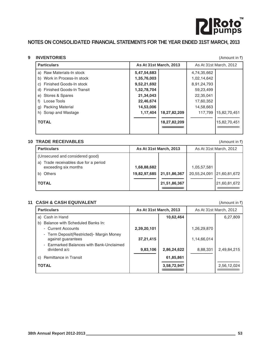

## **NOTES ON CONSOLIDATED FINANCIAL STATEMENTS FOR THE YEAR ENDED 31ST MARCH, 2013**

## **9 INVENTORIES** (Amount in ₹)

| <b>Particulars</b>            | <b>As At 31st March, 2013</b> |              |             | As At 31st March, 2012 |
|-------------------------------|-------------------------------|--------------|-------------|------------------------|
| a) Raw Materials-In stock     | 5,47,54,683                   |              | 4,74,35,662 |                        |
| b) Work in Process-In stock   | 1,35,76,003                   |              | 1,02,14,642 |                        |
| Finished Goods-In stock<br>C) | 9,52,21,692                   |              | 8,91,24,793 |                        |
| d) Finished Goods-In Transit  | 1,32,78,704                   |              | 59,23,499   |                        |
| e) Stores & Spares            | 21,34,043                     |              | 22,35,041   |                        |
| Loose Tools                   | 22,46,674                     |              | 17,60,352   |                        |
| <b>Packing Material</b><br>g) | 14,53,006                     |              | 14,58,663   |                        |
| Scrap and Wastage<br>h)       | 1,17,404                      | 18,27,82,209 | 117,799     | 15,82,70,451           |
| <b>TOTAL</b>                  |                               | 18,27,82,209 |             | 15,82,70,451           |
|                               |                               |              |             |                        |

## **10 TRADE RECEIVABLES** (Amount in  $\bar{x}$ )

| <b>Particulars</b>                                               |              | As At 31st March, 2013 |              | As At 31st March, 2012 |
|------------------------------------------------------------------|--------------|------------------------|--------------|------------------------|
| (Unsecured and considered good)                                  |              |                        |              |                        |
| Trade receivables due for a period<br>a)<br>exceeding six months | 1,68,88,682  |                        | 1,05,57,581  |                        |
| b) Others                                                        | 19,82,97,685 | 21,51,86,367           | 20,55,24,091 | 21,60,81,672           |
| <b>TOTAL</b>                                                     |              | 21,51,86,367           |              | 21,60,81,672           |

## **11 CASH & CASH EQUIVALENT** (Amount in ₹)

**Particulars As At 31st March, 2013** As At 31st March, 2012 a) Cash in Hand **10,62,464** 6,27,809 b) Balance with Scheduled Banks In: - Current Accounts **2,39,20,101** 1,26,29,870 - Term Deposit(Restricted)- Margin Money against guarantees **1988** 1,14,66,014 - Earmarked Balances with Bank-Unclaimed dividend a/c **9,83,106 2,86,24,622** 8,88,331 2,49,84,215 **------------------------------------------------------** ----------------------------------------------------- c) Remittance in Transit **61,85,861 ------------------------------------------------------** ------------------------------------------------------ **TOTAL 3,58,72,947** 2,56,12,024 **=================================** ==================================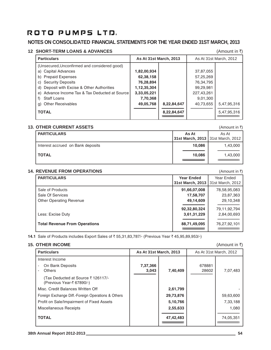## **NOTES ON CONSOLIDATED FINANCIAL STATEMENTS FOR THE YEAR ENDED 31ST MARCH, 2013**

## **12 SHORT-TERM LOANS & ADVANCES** (Amount in ₹)

| <b>Particulars</b>                             | <b>As At 31st March, 2013</b> |             |            | As At 31st March, 2012 |
|------------------------------------------------|-------------------------------|-------------|------------|------------------------|
| (Unsecured, Unconfirmed and considered good)   |                               |             |            |                        |
| a) Capital Advances                            | 1,82,00,934                   |             | 37,87,055  |                        |
| b) Prepaid Expenses                            | 62,38,158                     |             | 57,25,269  |                        |
| c) Security Deposits                           | 76,28,894                     |             | 76,34,795  |                        |
| d) Deposit with Excise & Other Authorities     | 1,12,35,304                   |             | 99,29,981  |                        |
| e) Advance Income Tax & Tax Deducted at Source | 3,33,05,221                   |             | 227,43,261 |                        |
| <b>Staff Loans</b>                             | 7,70,368                      |             | 9,01,300   |                        |
| <b>Other Receivables</b><br>g)                 | 49,05,768                     | 8,22,84,647 | 40,73,655  | 5,47,95,316            |
| <b>TOTAL</b>                                   |                               | 8,22,84,647 |            | 5,47,95,316            |

## **13. OTHER CURRENT ASSETS 12. OTHER CURRENT ASSETS**

|                                   |                                   | .        |
|-----------------------------------|-----------------------------------|----------|
| <b>PARTICULARS</b>                | As At                             | As At    |
|                                   | 31st March, 2013 31st March, 2012 |          |
| Interest accrued on Bank deposits | 10.086                            | 1,43,000 |
| <b>TOTAL</b>                      | 10,086                            | 1,43,000 |
|                                   |                                   |          |

## **14. REVENUE FROM OPERATIONS** (Amount in ₹)

| <b>PARTICULARS</b>                   | <b>Year Ended</b><br>31st March, 2013 | Year Ended<br>31st March, 2012 |
|--------------------------------------|---------------------------------------|--------------------------------|
| Sale of Products<br>Sale Of Services | 91,66,07,008<br>17,58,707             | 78,58,95,083<br>23,87,363      |
| <b>Other Operating Revenue</b>       | 49,14,609                             | 29,10,348                      |
| Less: Excise Duty                    | 92,32,80,324<br>3,61,31,229           | 79,11,92,794<br>2,84,00,693    |
| <b>Total Revenue From Operations</b> | 88,71,49,095                          | 76,27,92,101                   |

**14.1** Sale of Products includes Export Sales of ₹55,31,83,787/- (Previous Year ₹45,95,89,953/-)

## **15. OTHER INCOME** (Amount in ₹)

| <b>Particulars</b>                                              | As At 31st March, 2013 |           |                 | As At 31st March, 2012 |
|-----------------------------------------------------------------|------------------------|-----------|-----------------|------------------------|
| Interest Income                                                 |                        |           |                 |                        |
| On Bank Deposits<br><b>Others</b>                               | 7,37,366<br>3,043      | 7,40,409  | 678881<br>28602 | 7,07,483               |
| (Tax Deducted at Source ₹ 126117/-<br>(Previous Year-₹ 67890/-) |                        |           |                 |                        |
| Misc. Credit Balances Written Off                               |                        | 2,61,799  |                 |                        |
| Foreign Exchange Diff.-Foreign Operations & Others              |                        | 29,73,876 |                 | 59,63,600              |
| Profit on Sale/Impairment of Fixed Assets                       |                        | 5,10,766  |                 | 7,33,188               |
| Miscellaneous Receipts                                          |                        | 2,55,633  |                 | 1,080                  |
| <b>TOTAL</b>                                                    |                        | 47,42,483 |                 | 74,05,351              |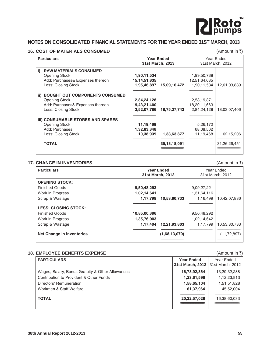

## **NOTES ON CONSOLIDATED FINANCIAL STATEMENTS FOR THE YEAR ENDED 31ST MARCH, 2013**

## **16. COST OF MATERIALS CONSUMED** (Amount in ₹)

| <b>Particulars</b>                                                                                                              | <b>Year Ended</b><br>31st March, 2013      |                                |                                            | Year Ended<br>31st March, 2012 |
|---------------------------------------------------------------------------------------------------------------------------------|--------------------------------------------|--------------------------------|--------------------------------------------|--------------------------------|
| i)<br><b>RAW MATERIALS CONSUMED</b><br><b>Opening Stock</b><br>Add: Purchases& Expenses thereon<br>Less: Closing Stock          | 1,90,11,534<br>15,14,51,835<br>1,95,46,897 | 15,09,16,472                   | 1,99,50,738<br>12,51,64,635<br>1,90,11,534 | 12,61,03,839                   |
| <b>BOUGHT OUT COMPONENTS CONSUMED</b><br>ii)<br><b>Opening Stock</b><br>Add: Purchases& Expenses thereon<br>Less: Closing Stock | 2,84,24,128<br>19,43,21,400<br>3,52,07,786 | 18,75,37,742                   | 2,58,19,871<br>18,29,11,663<br>2,84,24,128 | 18,03,07,406                   |
| <b>iii) CONSUMABLE STORES AND SPARES</b><br><b>Opening Stock</b><br>Add: Purchases<br>Less: Closing Stock<br><b>TOTAL</b>       | 11,19,468<br>1,32,83,348<br>10,38,939      | 1,33,63,877<br>35, 18, 18, 091 | 5,26,172<br>68,08,502<br>11,19,468         | 62,15,206<br>31,26,26,451      |

## **17. CHANGE IN INVENTORIES** (Amount in ₹)

| <b>Particulars</b>                                                       |                             | <b>Year Ended</b><br>31st March, 2013 |                            | Year Ended<br>31st March, 2012 |
|--------------------------------------------------------------------------|-----------------------------|---------------------------------------|----------------------------|--------------------------------|
| <b>OPENING STOCK:</b>                                                    |                             |                                       |                            |                                |
| <b>Finished Goods</b>                                                    | 9,50,48,293                 |                                       | 9,09,27,221                |                                |
| Work in Progress                                                         | 1,02,14,641                 |                                       | 1,31,64,116                |                                |
| Scrap & Wastage                                                          | 1,17,799                    | 10,53,80,733                          | 1,16,499                   | 10,42,07,836                   |
| <b>LESS: CLOSING STOCK:</b><br><b>Finished Goods</b><br>Work in Progress | 10,85,00,396<br>1,35,76,003 |                                       | 9,50,48,292<br>1,02,14,642 |                                |
| Scrap & Wastage                                                          | 1,17,404                    | 12,21,93,803                          | 1,17,799                   | 10,53,80,733                   |
| <b>Net Change in Inventories</b>                                         |                             | (1,68,13,070)                         |                            | (11, 72, 897)                  |

## **18. EMPLOYEE BENEFITS EXPENSE** (Amount in ₹)

| <b>PARTICULARS</b>                               | <b>Year Ended</b><br>31st March, 2013 | Year Ended<br>31st March, 2012 |
|--------------------------------------------------|---------------------------------------|--------------------------------|
| Wages, Salary, Bonus Gratuity & Other Allowances | 16,78,92,364                          | 13,29,32,288                   |
| Contribution to Provident & Other Funds          | 1,23,61,596                           | 1,12,23,913                    |
| Directors' Remuneration                          | 1,58,65,104                           | 1,51,51,828                    |
| Workmen & Staff Welfare                          | 61,37,964                             | 45,52,004                      |
| <b>TOTAL</b>                                     | 20,22,57,028                          | 16,38,60,033                   |
|                                                  |                                       |                                |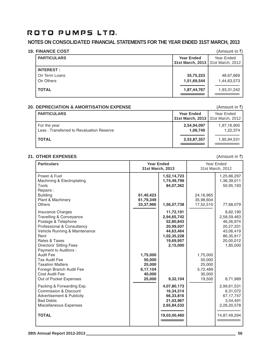## **NOTES ON CONSOLIDATED FINANCIAL STATEMENTS FOR THE YEAR ENDED 31ST MARCH, 2013**

| <b>19. FINANCE COST</b> |                                     | (Amount in ₹) |
|-------------------------|-------------------------------------|---------------|
| <b>PARTICULARS</b>      | <b>Year Ended</b>                   | Year Ended    |
|                         | 31st March, 2013   31st March, 2012 |               |
| <b>INTEREST:</b>        |                                     |               |
| On Term Loans           | 35,75,223                           | 48,67,669     |
| On Others               | 1,51,69,544                         | 1,44,63,573   |
| <b>TOTAL</b>            | 1,87,44,767                         | 1,93,31,242   |
|                         |                                     |               |

## **20. DEPRECIATION & AMORTISATION EXPENSE** (Amount in ₹)

| <b>PARTICULARS</b>                                       | <b>Year Ended</b><br>31st March, 2013   31st March, 2012 | Year Ended              |
|----------------------------------------------------------|----------------------------------------------------------|-------------------------|
| For the year<br>Less: Transferred to Revaluation Reserve | 2,54,94,097<br>1,06,740                                  | 1,97,16,905<br>1,22,374 |
| <b>TOTAL</b>                                             | 2,53,87,357                                              | 1,95,94,531             |

## **21. OTHER EXPENSES** (Amount in ₹)

| <b>Particulars</b>                                                                                                                                                                                                                       | <b>Year Ended</b><br>31st March, 2013                        |                                                                                                         |                                                              | Year Ended<br>31st March, 2012                                                                       |
|------------------------------------------------------------------------------------------------------------------------------------------------------------------------------------------------------------------------------------------|--------------------------------------------------------------|---------------------------------------------------------------------------------------------------------|--------------------------------------------------------------|------------------------------------------------------------------------------------------------------|
| Power & Fuel<br>Machining & Electroplating<br>Tools                                                                                                                                                                                      |                                                              | 1,52,14,723<br>1,74,49,799<br>84,07,362                                                                 |                                                              | 1,25,66,297<br>1,36,39,011<br>50,95,193                                                              |
| Repairs:<br><b>Building</b><br>Plant & Machinery<br><b>Others</b>                                                                                                                                                                        | 61,40,423<br>61,79,349<br>33,37,966                          | 1,56,57,738                                                                                             | 24,16,965<br>35,98,604<br>17,52,510                          | 77,68,079                                                                                            |
| <b>Insurance Charges</b><br><b>Travelling &amp; Conveyance</b><br>Postage & Telephone<br>Professional & Consultancy<br>Vehicle Running & Maintenance<br>Rent<br>Rates & Taxes<br><b>Directors' Sitting Fees</b><br>Payment to Auditors : |                                                              | 11,72,191<br>2,94,65,742<br>52,80,843<br>20,99,507<br>44,63,464<br>1,02,35,228<br>19,69,957<br>2,15,000 |                                                              | 8,82,190<br>2,58,59,463<br>46,26,974<br>20,27,331<br>43,06,419<br>86,35,917<br>20,00,012<br>1,85,000 |
| <b>Audit Fee</b><br>Tax Audit Fee<br><b>Taxation Matters</b><br>Foreign Branch Audit Fee<br>Cost Audit Fee<br>Out of Pocket Expenses                                                                                                     | 1,75,000<br>50,000<br>25,000<br>6,17,104<br>40,000<br>25,000 | 9,32,104                                                                                                | 1,75,000<br>50,000<br>25,000<br>5,72,489<br>30,000<br>19,500 | 8,71,989                                                                                             |
| Packing & Forwarding Exp.<br>Commission & Discount<br><b>Advertisement &amp; Publicity</b><br><b>Bad Debts</b><br>Miscellaneous Expenses                                                                                                 |                                                              | 4,07,80,173<br>16,34,314<br>66,33,816<br>21,03,967<br>2,65,84,532                                       |                                                              | 2,99,61,531<br>6,31,072<br>67, 17, 747<br>3,54,491<br>2,26,20,578                                    |
| <b>TOTAL</b>                                                                                                                                                                                                                             |                                                              | 19,03,00,460                                                                                            |                                                              | 14,87,49,294                                                                                         |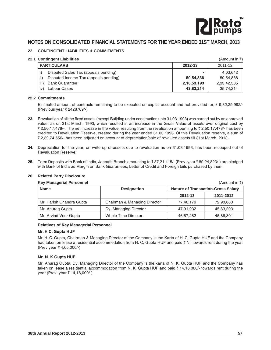

## **NOTES ON CONSOLIDATED FINANCIAL STATEMENTS FOR THE YEAR ENDED 31ST MARCH, 2013**

## **22. CONTINGENT LIABILITIES & COMMITMENTS**

## **22.1 Contingent Liabilities** (Amount in `)

| <b>CONTINUES</b> LIBRIILITY                  |             | $\sqrt{2}$  |
|----------------------------------------------|-------------|-------------|
| <b>PARTICULARS</b>                           | 2012-13     | 2011-12     |
| Disputed Sales Tax (appeals pending)         | ٠           | 4.03.642    |
| Disputed Income Tax (appeals pending)<br>ii) | 50,54,838   | 50.54.838   |
| iii)<br><b>Bank Guarantee</b>                | 2,16,53,193 | 2,33,42,385 |
| iv)<br>Labour Cases                          | 43,82,214   | 35,74,214   |

#### **22.2 Commitments**

Estimated amount of contracts remaining to be executed on capital account and not provided for,  $\bar{\tau}$  9,32,29,992/-(Previous year ₹ 2428769/-)

- **23.** Revaluation of all the fixed assets (except Building under construction upto 31.03.1993) was carried out by an approved valuer as on 31st March, 1993, which resulted in an increase in the Gross Value of assets over original cost by ₹ 2,50,17,478/-. The net increase in the value, resulting from the revaluation amounting to  $\bar{z}$  2,50,17,478/- has been credited to Revaluation Reserve, created during the year ended 31.03.1993. Of this Revaluation reserve, a sum of ` 2,39,74,556/- has been adjusted on account of depreciation/sale of revalued assets till 31st March, 2013.
- **24.** Depreciation for the year, on write up of assets due to revaluation as on 31.03.1993, has been recouped out of Revaluation Reserve.
- **25.** Term Deposits with Bank of India, Janpath Branch amounting to  $\bar{x}$  37,21,415/- (Prev. year  $\bar{x}$  89,24,823/-) are pledged with Bank of India as Margin on Bank Guarantees, Letter of Credit and Foreign biils purchased by them.

| <b>Key Managerial Personnel</b> |                              |                                                                                                                       | (Amount in ₹) |
|---------------------------------|------------------------------|-----------------------------------------------------------------------------------------------------------------------|---------------|
| <b>Name</b>                     | <b>Designation</b>           | <b>Nature of Transaction-Gross Salary</b><br>2011-2012<br>2012-13<br>77,46,179<br>72,90,680<br>47,91,932<br>45,83,293 |               |
|                                 |                              |                                                                                                                       |               |
| Mr. Harish Chandra Gupta        | Chairman & Managing Director |                                                                                                                       |               |
| Mr. Anurag Gupta                | Dy. Managing Director        |                                                                                                                       |               |
| Mr. Arvind Veer Gupta           | Whole Time Director          | 46,87,282                                                                                                             | 45,86,301     |

## **26. Related Party Disclosure**

### **Relatives of Key Managerial Personnel**

#### **Mr. H.C. Gupta HUF**

Mr. H. C. Gupta, Chairman & Managing Director of the Company is the Karta of H. C. Gupta HUF and the Company had taken on lease a residential accommodation from H. C. Gupta HUF and paid  $\bar{\tau}$  Nil towards rent during the year (Prev year ₹4,65,000/-)

### **Mr. N. K Gupta HUF**

Mr. Anurag Gupta, Dy. Managing Director of the Company is the karta of N. K. Gupta HUF and the Company has taken on lease a residential accommodation from N. K. Gupta HUF and paid  $\bar{\tau}$  14,16,000/- towards rent during the year (Prev. year ₹ 14,16,000/-)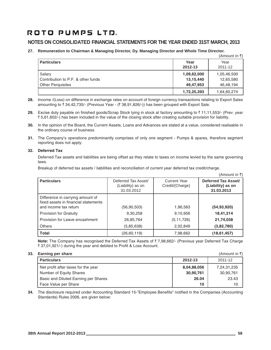## **NOTES ON CONSOLIDATED FINANCIAL STATEMENTS FOR THE YEAR ENDED 31ST MARCH, 2013**

**27. Remuneration to Chairman & Managing Director, Dy. Managing Director and Whole Time Director.**  $(0 \mod 1)$ 

|                                                                          |                                       | $($ Allivulit III $\setminus$         |
|--------------------------------------------------------------------------|---------------------------------------|---------------------------------------|
| <b>Particulars</b>                                                       | Year<br>2012-13                       | Year<br>2011-12                       |
| Salary<br>Contribution to P.F. & other funds<br><b>Other Perguisites</b> | 1,09,62,000<br>13,15,440<br>49,47,953 | 1,05,46,500<br>12,65,580<br>46,48,194 |
|                                                                          | 1,72,25,393                           | 1,64,60,274                           |

- **28.** Income /(Loss) on difference in exchange rates on account of foreign currency transactions relating to Export Sales amounting to ₹34,42,735/- (Previous Year - (₹38,91,826/-)) has been grouped with Export Sale.
- **29.** Excise duty payable on finished goods/Scrap Stock lying in stock at factory amounting to ₹11,11,553/- (Prev. year ` 5,61,602/-) has been included in the value of the closing stock after creating suitable provision for liability.
- **30.** In the opinion of the Board, the Current Assets, Loans and Advances are stated at a value, considered realisable in the ordinary course of business.
- **31.** The Company's operations predominantly comprises of only one segment Pumps & spares, therefore segment reporting does not apply.

## **32. Deferred Tax**

Deferred Tax assets and liabilities are being offset as they relate to taxes on income levied by the same governing laws.

Breakup of deferred tax assets / liabilities and reconciliation of current year deferred tax credit/charge.

|                                                                                                   |                                                        |                                        | (Amount in ₹)                                          |
|---------------------------------------------------------------------------------------------------|--------------------------------------------------------|----------------------------------------|--------------------------------------------------------|
| <b>Particulars</b>                                                                                | Deferred Tax Asset/<br>(Liability) as on<br>31.03.2012 | <b>Current Year</b><br>Credit/(Charge) | Deferred Tax Asset/<br>(Liability) as on<br>31.03.2013 |
| Difference in carrying amount of<br>fixed assets in financial statements<br>and income tax return | (56, 90, 503)                                          | 1,96,583                               | (54,93,920)                                            |
| <b>Provision for Gratuity</b>                                                                     | 9,30,258                                               | 9,10,956                               | 18,41,214                                              |
| Provision for Leave encashment                                                                    | 26,85,764                                              | (5, 11, 726)                           | 21,74,038                                              |
| Others                                                                                            | (5,85,638)                                             | 2,02,849                               | (3,82,780)                                             |
| <b>Total</b>                                                                                      | (26, 60, 119)                                          | 7,98,662                               | (18, 61, 457)                                          |

**Note:** The Company has recognised the Deferred Tax Assets of ₹7,98,662/- (Previous year Deferred Tax Charge ₹ 37,01,921/-) during the year and debited to Profit & Loss Account.

## **33. Earning per share** (Amount in  $\bar{x}$ )

| <b>Larring per share</b>             |             | $\left(\mathsf{minour} \cup \mathsf{min} \right)$ |  |
|--------------------------------------|-------------|---------------------------------------------------|--|
| <b>Particulars</b>                   | 2012-13     | 2011-12                                           |  |
| Net profit after taxes for the year  | 8,04,88,056 | 7,24,31,235                                       |  |
| Number of Equity Shares              | 30,90,761   | 30,90,761                                         |  |
| Basic and Diluted Earning per Shares | 26.04       | 23.43                                             |  |
| Face Value per Share                 | 10          | 10                                                |  |

**34.** The disclosure required under Accounting Standard 15-"Employee Benefits" notified in the Companies (Accounting Standards) Rules 2006, are given below: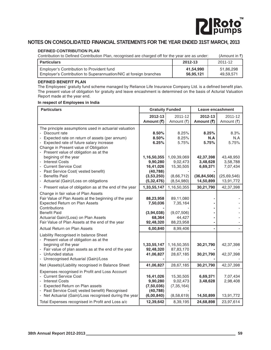

## **NOTES ON CONSOLIDATED FINANCIAL STATEMENTS FOR THE YEAR ENDED 31ST MARCH, 2013**

## **DEFINED CONTRIBUTION PLAN**

| Contribution to Defined Contribution Plan, recognised are charged off for the year are as under:               |                        |                        |
|----------------------------------------------------------------------------------------------------------------|------------------------|------------------------|
| <b>Particulars</b>                                                                                             | 2012-13                | 2011-12                |
| Employer's Contribution to Provident fund<br>Employer's Contribution to Superannuation/NIC at foreign branches | 41.54.990<br>56,95,121 | 51,86,298<br>49,59,571 |

### **DEFINED BENEFIT PLAN**

The Employees' gratuity fund scheme managed by Reliance Life Insurance Company Ltd. is a defined benefit plan. The present value of obligation for gratuity and leave encashment is determined on the basis of Acturial Valuation Report made at the year end.

#### **In respect of Employees in India**

| <b>Particulars</b>                                      | <b>Gratuity Funded</b>  |                         | Leave encashment      |                       |
|---------------------------------------------------------|-------------------------|-------------------------|-----------------------|-----------------------|
|                                                         | 2012-13<br>Amount (₹)   | 2011-12<br>Amount (₹)   | 2012-13<br>Amount (₹) | 2011-12<br>Amount (₹) |
|                                                         |                         |                         |                       |                       |
| The principle assumptions used in actuarial valuation   |                         |                         |                       |                       |
| - Discount rate                                         | 8.50%                   | 8.25%                   | 8.25%                 | 8.3%                  |
| - Expected rate on return of assets (per annum)         | 8.50%                   | 8.25%                   | N.A                   | N.A                   |
| - Expected rate of future salary increase               | 6.25%                   | 5.75%                   | 5.75%                 | 5.75%                 |
| Change in Present value of Obligation                   |                         |                         |                       |                       |
| - Present value of obligation as at the                 |                         |                         |                       |                       |
| begining of the year<br>- Interest Costs                | 1,16,50,355<br>9,90,280 | 1,09,39,069<br>9,02,473 | 42,37,398<br>3,48,628 | 43,48,950<br>3,58,788 |
| - Current Service Cost                                  | 16,41,026               | 15,30,505               | 6,69,371              | 7,07,434              |
| - Past Service Cost( vested benefit)                    | (40, 788)               |                         |                       |                       |
| - Benefits Paid                                         | (3,53,250)              | (8,66,712)              | (36, 84, 506)         | (25, 69, 546)         |
| - Actuarial (Gain)/Loss on obligations                  | (5, 32, 476)            | (8,54,980)              | 14,50,899             | 13,91,772             |
|                                                         |                         |                         |                       |                       |
| - Present value of obligation as at the end of the year | 1,33,55,147             | 1,16,50,355             | 30,21,790             | 42,37,398             |
| Change in fair value of Plan Assets                     |                         |                         |                       |                       |
| Fair Value of Plan Assets at the beginning of the year  | 88,23,958               | 89,11,080               |                       |                       |
| <b>Expected Return on Plan Assets</b>                   | 7,50,036                | 7,35,164                |                       |                       |
| Contributions                                           |                         |                         |                       |                       |
| <b>Benefit Paid</b>                                     | (3,94,038)              | (9,07,506)              |                       |                       |
| Actuarial Gain/(Loss) on Plan Assets                    | 68,364                  | 44,427                  |                       |                       |
| Fair Value of Plan Assets at the end of the year        | 92,48,320               | 88,23,958               |                       |                       |
| <b>Actual Return on Plan Assets</b>                     | 6,00,840                | 8,99,406                |                       |                       |
| Liability Recognised in balance Sheet                   |                         |                         |                       |                       |
| - Present value of obligation as at the                 |                         |                         |                       |                       |
| begining of the year                                    | 1,33,55,147             | 1,16,50,355             | 30,21,790             | 42,37,398             |
| - Fair value of plan assets as at the end of the year   | 92,48,320               | 87,83,170               |                       |                       |
| - Unfunded status                                       | 41,06,827               | 28,67,185               | 30,21,790             | 42,37,398             |
| - Unrecognised Actuarial (Gain)/Loss                    |                         |                         |                       |                       |
| Net (Assets)/Liability recognised in Balance Sheet      | 41,06,827               | 28,67,185               | 30,21,790             | 42,37,398             |
| Expenses recognised in Profit and Loss Account          |                         |                         |                       |                       |
| - Current Service Cost                                  | 16,41,026               | 15,30,505               | 6,69,371              | 7,07,434              |
| - Interest Costs                                        | 9,90,280                | 9,02,473                | 3,48,628              | 2,98,408              |
| - Expected Return on Plan assets                        | (7,50,036)              | (7, 35, 164)            |                       |                       |
| - Past Service Cost( vested benefit) Recognised         | (40, 788)               |                         |                       |                       |
| - Net Actuarial (Gain)/Loss recognised during the year  | (6,00,840)              | (8,58,619)              | 14,50,899             | 13,91,772             |
| Total Expenses recognised in Profit and Loss a/c        | 12,39,642               | 8,39,195                | 24,68,898             | 23,97,614             |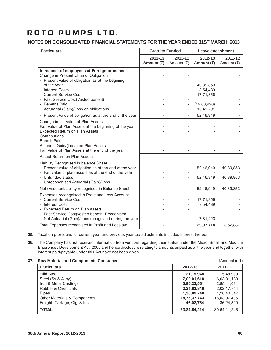## **NOTES ON CONSOLIDATED FINANCIAL STATEMENTS FOR THE YEAR ENDED 31ST MARCH, 2013**

| <b>Particulars</b>                                                                                                                                                                                                                                                  | <b>Gratuity Funded</b> |                       | Leave encashment         |                             |
|---------------------------------------------------------------------------------------------------------------------------------------------------------------------------------------------------------------------------------------------------------------------|------------------------|-----------------------|--------------------------|-----------------------------|
|                                                                                                                                                                                                                                                                     | 2012-13<br>Amount (₹)  | 2011-12<br>Amount (₹) | 2012-13<br>Amount (そ)    | $2011 - 12$<br>Amount $(₹)$ |
| In respect of employees at Foreign branches<br>Change in Present value of Obligation<br>- Present value of obligation as at the begining                                                                                                                            |                        |                       |                          |                             |
| of the year<br><b>Interest Costs</b>                                                                                                                                                                                                                                |                        |                       | 40,39,853<br>3,54,439    |                             |
| - Current Service Cost<br>- Past Service Cost(Vested benefit)                                                                                                                                                                                                       |                        |                       | 17,71,856                |                             |
| - Benefits Paid<br>- Acturarial (Gain)/Loss on obligations                                                                                                                                                                                                          |                        |                       | (19,68,990)<br>10,49,791 |                             |
| - Present Value of obligation as at the end of the year                                                                                                                                                                                                             |                        |                       | 52,46,949                |                             |
| Change in fair value of Plan Assets<br>Fair Value of Plan Assets at the beginning of the year<br>Expected Return on Plan Assets<br>Contributions<br><b>Benefit Paid</b><br>Actuarial Gain/(Loss) on Plan Assets<br>Fair Value of Plan Assets at the end of the year |                        |                       |                          |                             |
| Actual Return on Plan Assets                                                                                                                                                                                                                                        |                        |                       |                          |                             |
| Liability Recognised in balance Sheet<br>- Present value of obligation as at the end of the year<br>- Fair value of plan assets as at the end of the year<br>- Unfunded status                                                                                      |                        |                       | 52,46,949<br>52,46,949   | 40,39,853<br>40,39,853      |
| - Unrecongnised Actuarial (Gain)/Loss                                                                                                                                                                                                                               |                        |                       |                          |                             |
| Net (Assets)/Liability recognised in Balance Sheet                                                                                                                                                                                                                  |                        |                       | 52,46,949                | 40,39,853                   |
| Expenses recongnised in Profit and Loss Account<br>- Current Service Cost<br>- Interest Cost<br><b>Expected Return on Plan assets</b><br>- Past Service Cost(vested benefit) Recognised                                                                             |                        |                       | 17,71,856<br>3,54,439    |                             |
| - Net Actuarial (Gain)/Loss recognised during the year                                                                                                                                                                                                              |                        |                       | 7,81,423                 |                             |
| Total Expenses recognised in Profit and Loss a/c                                                                                                                                                                                                                    |                        |                       | 29,07,718                | 3,62,887                    |

**35.** Taxation provisions for current year and previous year tax adjustments includes interest thereon.

**36.** The Company has not received information from vendors regarding their status under the Micro, Small and Medium Enterprises Development Act, 2006 and hence disclosure relating to amounts unpaid as at the year end together with interest paid/payable under this Act have not been given.

## **37. Raw Material and Components Consumed** (Amount in ₹)

| Raw material and Components Consumed |              | $($ Allivulit III $\vee$ ) |
|--------------------------------------|--------------|----------------------------|
| <b>Particulars</b>                   | 2012-13      | 2011-12                    |
| Mild Steel                           | 21,15,948    | 5,48,989                   |
| Steel (Ss & Alloy)                   | 7,00,01,618  | 6,03,31,130                |
| Iron & Metal Castings                | 3,80,22,561  | 2,85,41,031                |
| <b>Rubber &amp; Chemicals</b>        | 2,24,83,840  | 2,02,17,744                |
| Pipes                                | 1,36,89,740  | 1,28,40,547                |
| Other Materials & Components         | 18,75,37,743 | 18,03,07,405               |
| Freight, Cartage, Clg. & Ins.        | 46.02.764    | 36,24,399                  |
| <b>TOTAL</b>                         | 33,84,54,214 | 30,64,11,245               |
|                                      |              |                            |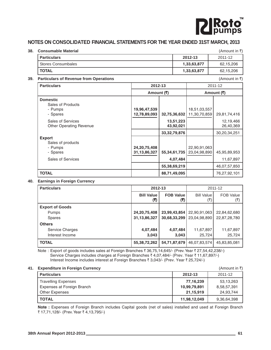

## **NOTES ON CONSOLIDATED FINANCIAL STATEMENTS FOR THE YEAR ENDED 31ST MARCH, 2013**

### **38. Consumable Material** and the set of the set of the set of the set of the set of the set of the set of the set of the set of the set of the set of the set of the set of the set of the set of the set of the set of the

| <b>Particulars</b> | 2012-13     | 2011-12   |
|--------------------|-------------|-----------|
| Stores Consumbales | 1,33,63,877 | 62,15,206 |
| <b>TOTAL</b>       | 1,33,63,877 | 62,15,206 |

## **39. Particulars of Revenue from Operations** (Amount in ₹)

**Particulars 2012-13** 2011-12 Amount (₹)  $\qquad \qquad$  Amount (₹) **Domestic** Sales of Products - Pumps **19,96,47,539** 18,51,03,557 - Spares **12,78,89,093** 32,75,36,632 11,30,70,859 29,81,74,416<br>Sales of Services **13,51,223** 13,51,223 Other Operating Revenue **43,92,021** 26,40,369 **33,32,79,876** 30,20,34,251 **Export** Sales of products - Pumps **24,20,75,408** 22,90,91,063 - Spares **19.45,95,89,953** 55,34,61,735 55,34,61,735 55,304,98,890 55,89,953 5<br>Tales of Services **11,67,897** 11,67,897 **55,38,69,219** 46,07,57,850 **TOTAL** 76,27,92,101

## **40. Earnings in Foreign Currency**

| <b>Particulars</b>     | 2012-13           |                  |                   | 2011-12          |
|------------------------|-------------------|------------------|-------------------|------------------|
|                        | <b>Bill Value</b> | <b>FOB Value</b> | <b>Bill Value</b> | <b>FOB Value</b> |
|                        | (3)               | (3)              | (₹)               | (₹)              |
| <b>Export of Goods</b> |                   |                  |                   |                  |
| <b>Pumps</b>           | 24, 20, 75, 408   | 23,99,43,854     | 22,90,91,063      | 22,84,62,680     |
| <b>Spares</b>          | 31, 13, 86, 327   | 30,68,33,299     | 23,04,98,890      | 22,87,28,780     |
| <b>Others</b>          |                   |                  |                   |                  |
| Service Charges        | 4,07,484          | 4,07,484         | 11,67,897         | 11,67,897        |
| Interest Income        | 3,043             | 3,043            | 25,724            | 25,724           |
| <b>TOTAL</b>           | 55, 38, 72, 262   | 54,71,87,679     | 46,07,83,574      | 45,83,85,081     |

Note : Export of goods includes sales at Foreign Branches ₹ 36,75,14,645/- (Prev. Year ₹ 27,54,42,238/-) Service Charges includes charges at Foreign Branches  $\bar{\tau}$  4,07,484/- (Prev. Year  $\bar{\tau}$  11,67,897/-) Interest Income includes interest at Foreign Branches ₹ 3,043/- (Prev. Year ₹ 25,724/-)

## **41. Expenditure in Foreign Currency** (Amount in ₹)

| $\blacksquare$             |              | $(1$ unvunt in $\sqrt{1}$ |
|----------------------------|--------------|---------------------------|
| <b>Particulars</b>         | 2012-13      | 2011-12                   |
| <b>Travelling Expenses</b> | 77,16,239    | 53,13,263                 |
| Expenses at Foreign Branch | 10,99,79,891 | 8,58,57,391               |
| <b>Other Expenses</b>      | 21.15.919    | 24.93.744                 |
| <b>TOTAL</b>               | 11,98,12,049 | 9,36,64,398               |

**Note :** Expenses of Foreign Branch includes Capital goods (net of sales) installed and used at Foreign Branch ₹ 17,71,128/- (Prev. Year ₹ 4,13,795/-)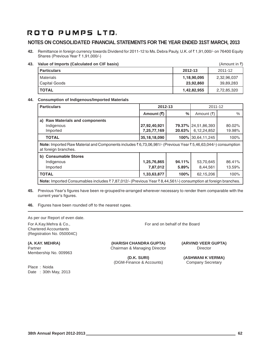## **NOTES ON CONSOLIDATED FINANCIAL STATEMENTS FOR THE YEAR ENDED 31ST MARCH, 2013**

**42.** Remittance in foreign currency towards Dividend for 2011-12 to Ms. Debra Pauly, U.K. of ₹1,91,000/- on 76400 Equity Shares (Previous Year ₹ 1,91,000/-)

## **43. Value of Imports (Calculated on CIF basis)** (Amount in ₹)

| <b>Particulars</b> | 2012-13     | 2011-12     |
|--------------------|-------------|-------------|
| Materials          | 1,18,90,095 | 2,32,96,037 |
| Capital Goods      | 23,92,860   | 39,89,283   |
| <b>TOTAL</b>       | 1,42,82,955 | 2,72,85,320 |

## **44. Consumption of Indigenous/Imported Materials**

| <b>Particulars</b>                                                                                                                                                   | 2012-13         |           | 2011-12                    |        |
|----------------------------------------------------------------------------------------------------------------------------------------------------------------------|-----------------|-----------|----------------------------|--------|
|                                                                                                                                                                      | Amount (₹)      | %         | Amount (₹)                 | $\%$   |
| a) Raw Materials and components                                                                                                                                      |                 |           |                            |        |
| Indigenous                                                                                                                                                           | 27,92,40,921    |           | <b>79.37% 24,51,86,393</b> | 80.02% |
| Imported                                                                                                                                                             | 7,25,77,169     | $20.63\%$ | 6,12,24,852                | 19.98% |
| <b>TOTAL</b>                                                                                                                                                         | 35, 18, 18, 090 |           | 100% 30,64,11,245          | 100%   |
| <b>Note:</b> Imported Raw Material and Components includes $\bar{\tau}$ 6,73,06,981/- (Previous Year $\bar{\tau}$ 5,46,63,044/-) consumption<br>at foreign branches. |                 |           |                            |        |
| b) Consumable Stores                                                                                                                                                 |                 |           |                            |        |
| Indigenous                                                                                                                                                           | 1,25,76,865     | 94.11%    | 53,70,645                  | 86.41% |
| Imported                                                                                                                                                             | 7,87,012        | 5.89%     | 8,44,561                   | 13.59% |
| <b>TOTAL</b>                                                                                                                                                         | 1,33,63,877     | 100%      | 62,15,206                  | 100%   |
| <b>Note:</b> Imported Consumables includes $\overline{z}$ 7,87,012/- (Previous Year $\overline{z}$ 8,44,561/-) consumption at foreign branches.                      |                 |           |                            |        |

**45.** Previous Year's figures have been re-grouped/re-arranged wherever necessary to render them comparable with the current year's figures.

**46.** Figures have been rounded off to the nearest rupee.

As per our Report of even date.

Chartered Accountants (Registration No. 050004C)

Membership No. 009963

Place : Noida Date : 30th May, 2013

For A.Kay.Mehra & Co., For and on behalf of the Board

**(A. KAY. MEHRA) (HARISH CHANDRA GUPTA) (ARVIND VEER GUPTA)** Partner **Chairman & Managing Director** Director **Director** Director

(DGM-Finance & Accounts) Company Secretary

**(D.K. SURI) (ASHWANI K VERMA)**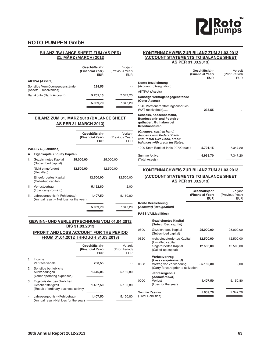

## **ROTO PUMPEN GmbH**

## **BILANZ (BALANCE SHEET) ZUM (AS PER) 31. MÄRZ (MARCH) 2013**

| EUR                                                               | (Previous Year)<br>EUR |
|-------------------------------------------------------------------|------------------------|
| <b>AKTIVA (Assets)</b>                                            |                        |
| Sonstige Vermögensgegenstände<br>238,55<br>(Assets – receivables) | -,-                    |
| Bankkonto (Bank Account)<br>5.701,15<br>7.347,20                  |                        |
| 5.939,70<br>7.347,20                                              |                        |

## **BILANZ ZUM 31. MÄRZ 2013 (BALANCE SHEET AS PER 31 MARCH 2013)**

|                                               |                              | EUR                                                                                                       | Vorjahr<br>(Previous Year)<br>FUR |
|-----------------------------------------------|------------------------------|-----------------------------------------------------------------------------------------------------------|-----------------------------------|
|                                               |                              |                                                                                                           |                                   |
|                                               |                              |                                                                                                           |                                   |
| Gezeichnetes Kapital<br>(Subscribed capital)  | 25.000,00                    |                                                                                                           | 25.000,00                         |
| Nicht eingefordert<br>(Uncalled)              | 12.500,00                    |                                                                                                           | 12.500,00                         |
| Eingefordertes Kapital<br>(Called-up capital) |                              | 12.500,00                                                                                                 | 12.500,00                         |
| Verlustvortrag<br>(Loss carry-forward)        |                              | 5.152,80                                                                                                  | 2,00                              |
|                                               |                              | 1.407,50                                                                                                  | 5.150,80                          |
|                                               |                              | 5.939,70                                                                                                  | 7.347,20                          |
|                                               | <b>PASSIVA (Liabilities)</b> | Eigenkapital (Equity Capital)<br>Jahresergebnis (= Fehlbetrag)<br>(Annual result = Net loss for the year) | Geschäftsjahr<br>(Financial Year) |

## **GEWINN- UND VERLUSTRECHNUNG VOM 01.04.2012 BIS 31.03.2013**

#### **(PROFIT AND LOSS ACCOUNT FOR THE PERIOD FROM 01.04.2012 THROUGH 31.03.2013)**

|    |                                                                                          | Geschäftsjahr<br>(Financial Year)<br><b>EUR</b> | Vorzeit<br>(Prior Period)<br><b>EUR</b> |
|----|------------------------------------------------------------------------------------------|-------------------------------------------------|-----------------------------------------|
| 1. | Income<br>Vat receivabels                                                                | 238,55                                          |                                         |
| 2. | Sonstige betriebliche<br>Aufwendungen<br>(Other operating expenses)                      | 1.646,05                                        | 5.150,80                                |
| 3. | Ergebnis der gewöhnlichen<br>Geschäftstätigkeit<br>(Result of ordinary business activity | 1.407,50                                        | 5.150,80                                |
| 4. | Jahresergebnis (=Fehlbetrag)<br>(Annual result=Net loss for the year)                    | 1.407,50                                        | 5.150,80                                |

### **KONTENNACHWEIS ZUR BILANZ ZUM 31.03.2013 (ACCOUNT STATEMENTS TO BALANCE SHEET AS PER 31.03.2013)**

|                                                                                                                           | Geschäftsjahr<br>(Financial Year)<br><b>EUR</b> | Vorzeit<br>(Prior Period)<br><b>EUR</b> |
|---------------------------------------------------------------------------------------------------------------------------|-------------------------------------------------|-----------------------------------------|
| Konto Bezeichnung<br>(Account) (Designation)                                                                              |                                                 |                                         |
| <b>AKTIVA (Assets)</b>                                                                                                    |                                                 |                                         |
| Sonstige Vermögensgegenstände<br>(Oster Assets)                                                                           |                                                 |                                         |
| 1545 Vorsteuererstattungsanspruch<br>(VAT receivabels)                                                                    | 238,55                                          | -.-                                     |
| Schecks, Kassenbestand,<br><b>Bundesbank- und Postgiro-</b><br>guthaben, Guthaben bei<br>Kreditinstituten                 |                                                 |                                         |
| (Cheques, cash in hand,<br>deposits with Federal Bank<br>and Postal Giro Bank, credit<br>balances with credit institutes) |                                                 |                                         |
| 1200 State Bank of India 0072240014                                                                                       | 5.701,15                                        | 7.347,20                                |
| Summe Aktiva<br>(Total Assets)                                                                                            | 5.939,70                                        | 7.347,20                                |

## **KONTENNACHWEIS ZUR BILANZ ZUM 31.03.2013 (ACCOUNT STATEMENTS TO BALANCE SHEET AS PER 31.03.2013)**

|      |                                                                                                          | Geschäftsjahr<br>(Financial Year)<br><b>EUR</b> | Vorjahr<br>(Previous Year)<br><b>EUR</b> |
|------|----------------------------------------------------------------------------------------------------------|-------------------------------------------------|------------------------------------------|
|      | Konto Bezeichnung<br>(Account) (Designation)                                                             |                                                 |                                          |
|      | <b>PASSIVA(Liabilities)</b>                                                                              |                                                 |                                          |
|      | <b>Gezeichnetes Kapital</b><br>(Subscribed capital)                                                      |                                                 |                                          |
| 0800 | Gezeichnetes Kapital<br>(Subscribed capital)                                                             | 25.000,00                                       | 25.000,00                                |
| 0820 | nicht eingefordertes Kapital<br>(Uncalled capital)                                                       | 12.500,00                                       | 12.500,00                                |
|      | eingefordertes Kapital<br>(Called-up capital)                                                            | 12.500,00                                       | 12.500,00                                |
| 8860 | Verlustvortrag<br>(Loss carry-forward)<br>Vortrag vor Verwendung<br>(Carry-forward prior to utilization) | - 5.152,80                                      | $-2,00$                                  |
| 0000 | Jahresergebnis<br>(Annual result)<br>Verlust<br>(Loss for the year)                                      | 1.407,50                                        | 5.150,80                                 |
|      | Summe Passiva<br>(Total Liabilities)                                                                     | 5.939,70                                        | 7.347,20                                 |
|      |                                                                                                          |                                                 |                                          |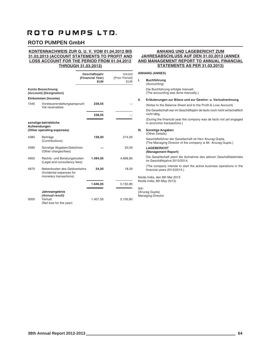## **ROTO PUMPEN GmbH**

#### **KONTENNACHWEIS ZUR G. U. V. VOM 01.04.2012 BIS 31.03.2013 (ACCOUNT STATEMENTS TO PROFIT AND LOSS ACCOUNT FOR THE PERIOD FROM 01.04.2012 THROUGH 31.03.2013)**

#### Geschäftsjahr Vorzeit<br>**Financial Year)** (Prior Period) **(Financial Year) EUR** EUR **Konto Bezeichnung (Account) (Designation) Einkommen (Income)** 1545 Vorsteuererstattungsanspruch **238,55** -,- Vat receivables **-------------------------------------------------** ------------------------------------------------- **238,55** -,- **================================** ================================ **sonstige betriebliche Aufwendungen (Other operating expenses)** 4380 Beiträge **128,00** 214,00 (Contributions) 4390 Sonstige Abgaben/Gebühren **-,-** 20,00 (Other charges/fees) 4950 Rechts- und Beratungskosten **1.494,05** 4.898,80 (Legal and consultancy fees) 4970 Nebenkosten des Geldverkehrs **24,00** 18,00 (Incidental expenses for monetary transactions) **-------------------------------------------------** ------------------------------------------------- **1.646,05** 5.150,80 **================================** ================================ **Jahresergebnis** *(Annual result)* 0000 Verlust 1.407,50 5.150,80 (Net loss for the year)

## **ANHANG UND LAGEBERICHT ZUM JAHRESABSCHLUSS AUF DEN 31.03.2013 (ANNEX AND MANAGEMENT REPORT TO ANNUAL FINANCIAL STATEMENTS AS PER 31.03.2013)**

#### **ANHANG (ANNEX)**

- **I. Buchführung** (Accounting) Die Buchführung erfolgte manuell. (The accounting was done manually.)
- **II. Erläuterungen zur Bilanz und zur Gewinn- u. Verlustrechnung**

(Notes to the Balance Sheet and to the Profit & Loss Account)

Die Gesellschaft war im Geschäftsjahr de facto noch nicht wirtschaftlich nicht tätig.

(During the financial year the company was de facto not yet engaged in economic transactions.)

#### **III. Sonstige Angaben**

(Other Details) Geschäftsführer der Gesellschaft ist Herr Anurag Gupta. (The Managing Director of the company is Mr. Anurag Gupta.)

#### **LAGEBERICHT (Management Report)**

Die Gesellschaft plant die Aufnahme des aktiven Geschäftsbetriebs im Geschäftsjahre 2013/2014.

(The company intends to start the active business operations in the financial years 2013/2014.)

Noida India, den 8th Mai 2013 Noida India; 8th May 2013)

#### Sd/-

(Anurag Gupta) Managing Director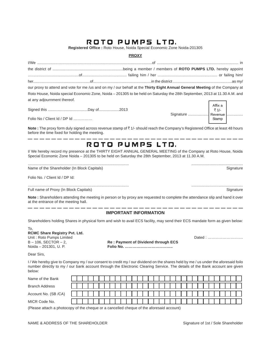**Registered Office :** Roto House, Noida Special Economic Zone Noida-201305

## **PROXY**

|                             | our proxy to attend and vote for me /us and on my / our behalf at the Thirty Eight Annual General Meeting of the Company at |  |
|-----------------------------|-----------------------------------------------------------------------------------------------------------------------------|--|
|                             | Roto House, Noida special Economic Zone, Noida - 201305 to be held on Saturday the 28th September, 2013 at 11.30 A.M. and   |  |
| at any adjournment thereof. |                                                                                                                             |  |
|                             |                                                                                                                             |  |
|                             |                                                                                                                             |  |

Folio No / Client Id / DP Id ……………

**Note :** The proxy form duly signed across revenue stamp of ₹1/- should reach the Company's Registered Office at least 48 hours before the time fixed for holding the meeting.

## ROTO PUMPS LTD.

I/ We hereby record my presence at the THIRTY EIGHT ANNUAL GENERAL MEETING of the Company at Roto House, Noida Special Economic Zone Noida – 201305 to be held on Saturday the 28th September, 2013 at 11.30 A.M.

.............................................................................................. ................................................

Name of the Shareholder (In Block Capitals) Signature Shareholder (In Block Capitals) Signature

Folio No. / Client Id / DP Id:

| Full name of Proxy (In Block Capitals) |  |
|----------------------------------------|--|

**Note :** Shareholders attending the meeting in person or by proxy are requested to complete the attendance slip and hand it over at the entrance of the meeting hall.

### **IMPORTANT INFORMATION**

Shareholders holding Shares in physical form and wish to avail ECS facility, may send their ECS mandate form as given below:

| To.                                  |
|--------------------------------------|
| <b>RCMC Share Registry Pvt. Ltd.</b> |
| Unit: Roto Pumps Limited             |
| B-106. SECTOR-2.                     |
| Noida - 201301, U. P.                |

 $Re:$  Payment of Dividend through ECS Noida – 201301, U. P. **Folio No. ………………………………..**

Dear Sirs,

I / We hereby give to Company my / our consent to credit my / our dividend on the shares held by me / us under the aforesaid foilo number directly to my / our bank account through the Electronic Clearing Service. The details of the Bank account are given below:

| Name of the Bank      |  |  |  |  |  |  |  |  |  |  |  |  |  |  |  |  |
|-----------------------|--|--|--|--|--|--|--|--|--|--|--|--|--|--|--|--|
| <b>Branch Address</b> |  |  |  |  |  |  |  |  |  |  |  |  |  |  |  |  |
| Account No. (SB /CA)  |  |  |  |  |  |  |  |  |  |  |  |  |  |  |  |  |
| MICR Code No.         |  |  |  |  |  |  |  |  |  |  |  |  |  |  |  |  |

(Please attach a photocopy of the cheque or a cancelled cheque of the aforesaid account)

.............................................................................................. ................................................

Stamp

-------------

Dated : ………………………